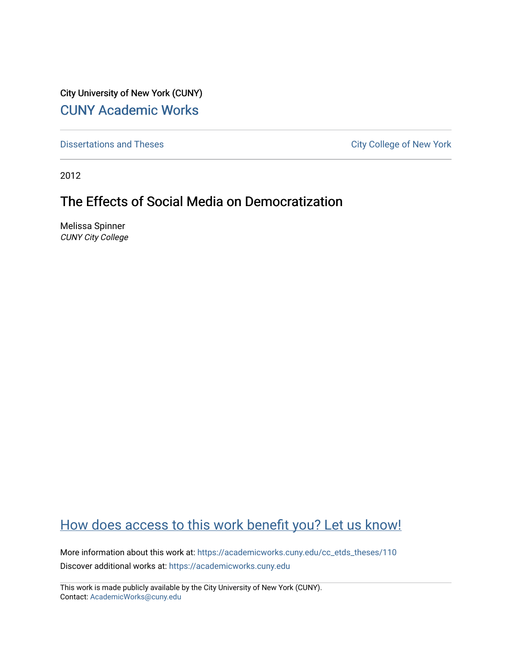City University of New York (CUNY) [CUNY Academic Works](https://academicworks.cuny.edu/) 

[Dissertations and Theses](https://academicworks.cuny.edu/cc_etds_theses) **City College of New York** City College of New York

2012

# The Effects of Social Media on Democratization

Melissa Spinner CUNY City College

# [How does access to this work benefit you? Let us know!](http://ols.cuny.edu/academicworks/?ref=https://academicworks.cuny.edu/cc_etds_theses/110)

More information about this work at: [https://academicworks.cuny.edu/cc\\_etds\\_theses/110](https://academicworks.cuny.edu/cc_etds_theses/110)  Discover additional works at: [https://academicworks.cuny.edu](https://academicworks.cuny.edu/?)

This work is made publicly available by the City University of New York (CUNY). Contact: [AcademicWorks@cuny.edu](mailto:AcademicWorks@cuny.edu)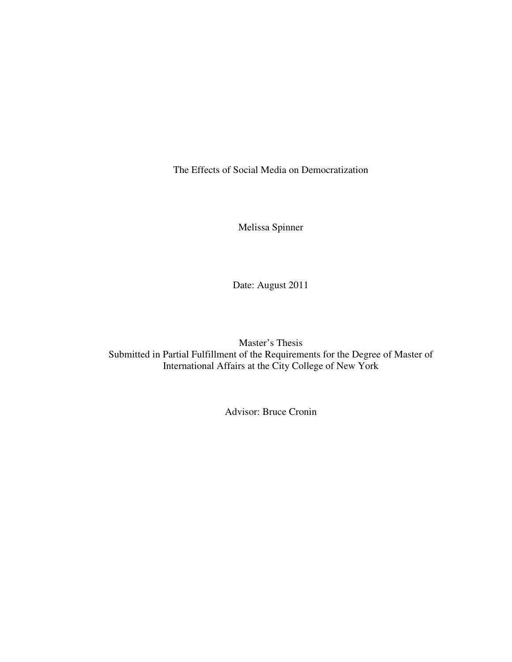The Effects of Social Media on Democratization

Melissa Spinner

Date: August 2011

Master's Thesis Submitted in Partial Fulfillment of the Requirements for the Degree of Master of International Affairs at the City College of New York

Advisor: Bruce Cronin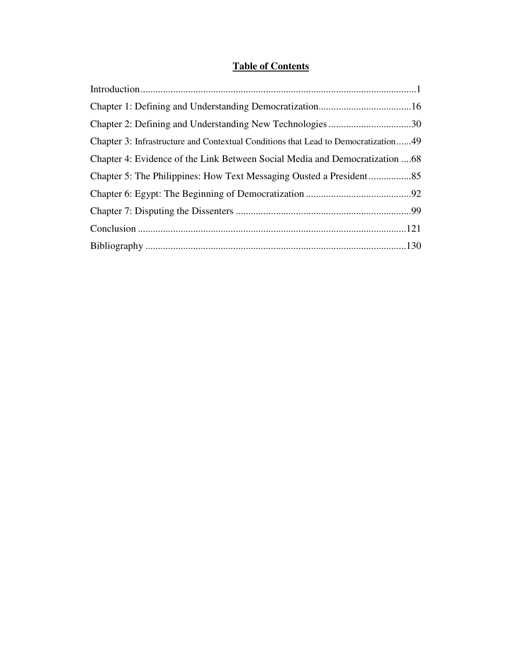## **Table of Contents**

| Chapter 3: Infrastructure and Contextual Conditions that Lead to Democratization49 |
|------------------------------------------------------------------------------------|
| Chapter 4: Evidence of the Link Between Social Media and Democratization 68        |
|                                                                                    |
|                                                                                    |
|                                                                                    |
|                                                                                    |
|                                                                                    |
|                                                                                    |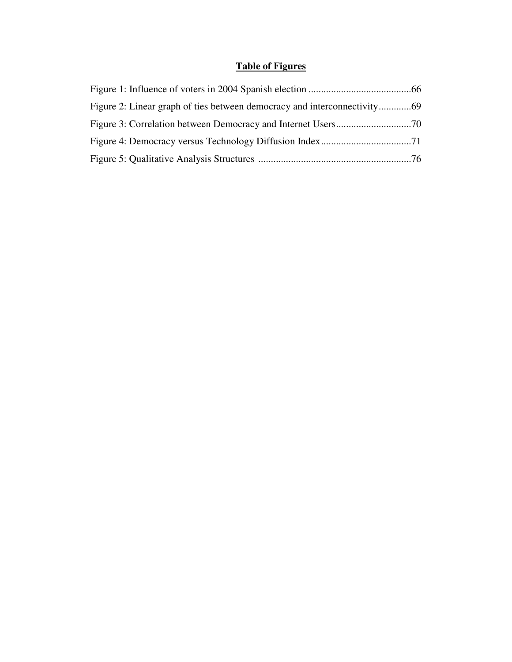## **Table of Figures**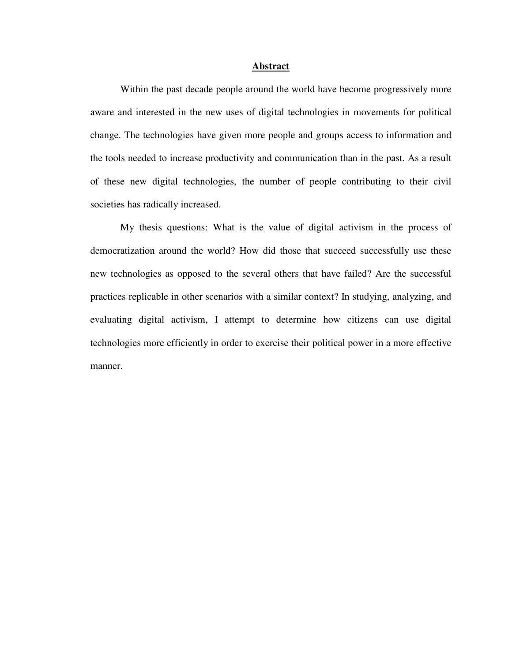#### **Abstract**

Within the past decade people around the world have become progressively more aware and interested in the new uses of digital technologies in movements for political change. The technologies have given more people and groups access to information and the tools needed to increase productivity and communication than in the past. As a result of these new digital technologies, the number of people contributing to their civil societies has radically increased.

My thesis questions: What is the value of digital activism in the process of democratization around the world? How did those that succeed successfully use these new technologies as opposed to the several others that have failed? Are the successful practices replicable in other scenarios with a similar context? In studying, analyzing, and evaluating digital activism, I attempt to determine how citizens can use digital technologies more efficiently in order to exercise their political power in a more effective manner.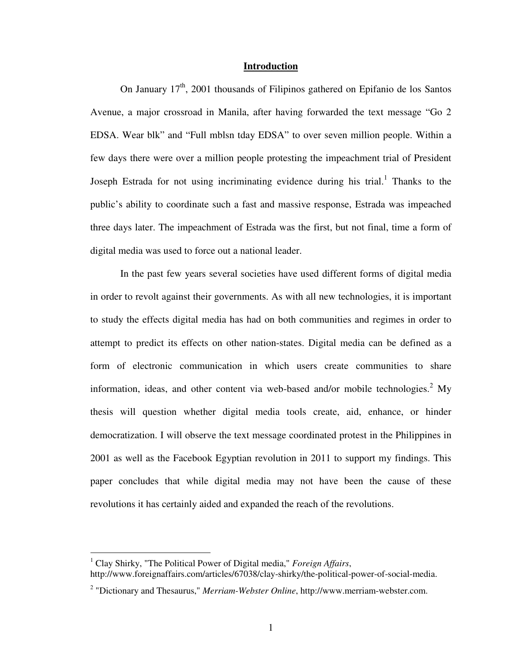#### **Introduction**

On January  $17<sup>th</sup>$ , 2001 thousands of Filipinos gathered on Epifanio de los Santos Avenue, a major crossroad in Manila, after having forwarded the text message "Go 2 EDSA. Wear blk" and "Full mblsn tday EDSA" to over seven million people. Within a few days there were over a million people protesting the impeachment trial of President Joseph Estrada for not using incriminating evidence during his trial.<sup>1</sup> Thanks to the public's ability to coordinate such a fast and massive response, Estrada was impeached three days later. The impeachment of Estrada was the first, but not final, time a form of digital media was used to force out a national leader.

In the past few years several societies have used different forms of digital media in order to revolt against their governments. As with all new technologies, it is important to study the effects digital media has had on both communities and regimes in order to attempt to predict its effects on other nation-states. Digital media can be defined as a form of electronic communication in which users create communities to share information, ideas, and other content via web-based and/or mobile technologies.<sup>2</sup> My thesis will question whether digital media tools create, aid, enhance, or hinder democratization. I will observe the text message coordinated protest in the Philippines in 2001 as well as the Facebook Egyptian revolution in 2011 to support my findings. This paper concludes that while digital media may not have been the cause of these revolutions it has certainly aided and expanded the reach of the revolutions.

<sup>1</sup> Clay Shirky, "The Political Power of Digital media," *Foreign Affairs*, http://www.foreignaffairs.com/articles/67038/clay-shirky/the-political-power-of-social-media.

<sup>&</sup>lt;sup>2</sup> "Dictionary and Thesaurus," *Merriam-Webster Online*, http://www.merriam-webster.com.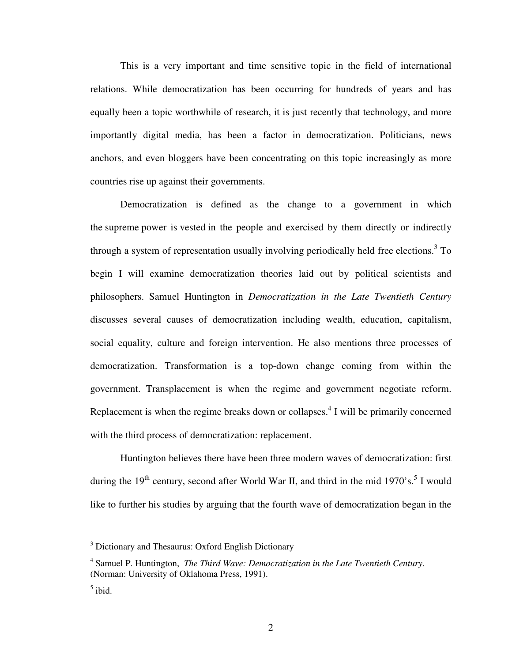This is a very important and time sensitive topic in the field of international relations. While democratization has been occurring for hundreds of years and has equally been a topic worthwhile of research, it is just recently that technology, and more importantly digital media, has been a factor in democratization. Politicians, news anchors, and even bloggers have been concentrating on this topic increasingly as more countries rise up against their governments.

Democratization is defined as the change to a government in which the supreme power is vested in the people and exercised by them directly or indirectly through a system of representation usually involving periodically held free elections.<sup>3</sup> To begin I will examine democratization theories laid out by political scientists and philosophers. Samuel Huntington in *Democratization in the Late Twentieth Century* discusses several causes of democratization including wealth, education, capitalism, social equality, culture and foreign intervention. He also mentions three processes of democratization. Transformation is a top-down change coming from within the government. Transplacement is when the regime and government negotiate reform. Replacement is when the regime breaks down or collapses. $4$  I will be primarily concerned with the third process of democratization: replacement.

Huntington believes there have been three modern waves of democratization: first during the 19<sup>th</sup> century, second after World War II, and third in the mid 1970's.<sup>5</sup> I would like to further his studies by arguing that the fourth wave of democratization began in the

<sup>&</sup>lt;sup>3</sup> Dictionary and Thesaurus: Oxford English Dictionary

<sup>4</sup> Samuel P. Huntington, *The Third Wave: Democratization in the Late Twentieth Century*. (Norman: University of Oklahoma Press, 1991).

 $<sup>5</sup>$  ibid.</sup>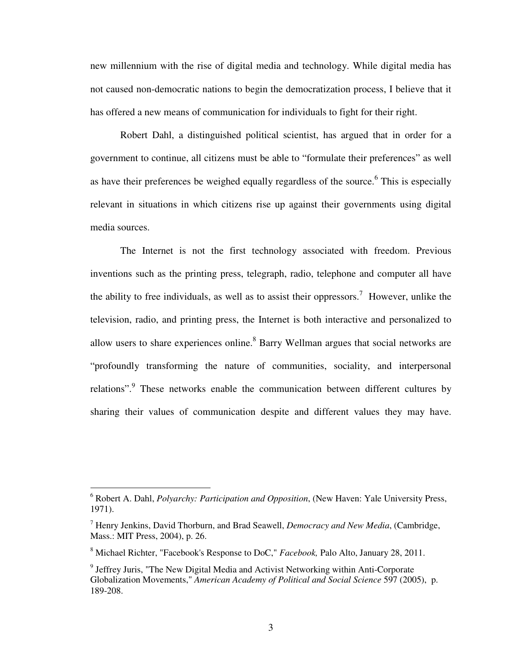new millennium with the rise of digital media and technology. While digital media has not caused non-democratic nations to begin the democratization process, I believe that it has offered a new means of communication for individuals to fight for their right.

Robert Dahl, a distinguished political scientist, has argued that in order for a government to continue, all citizens must be able to "formulate their preferences" as well as have their preferences be weighed equally regardless of the source.<sup>6</sup> This is especially relevant in situations in which citizens rise up against their governments using digital media sources.

The Internet is not the first technology associated with freedom. Previous inventions such as the printing press, telegraph, radio, telephone and computer all have the ability to free individuals, as well as to assist their oppressors.<sup>7</sup> However, unlike the television, radio, and printing press, the Internet is both interactive and personalized to allow users to share experiences online.<sup>8</sup> Barry Wellman argues that social networks are "profoundly transforming the nature of communities, sociality, and interpersonal relations". These networks enable the communication between different cultures by sharing their values of communication despite and different values they may have.

 6 Robert A. Dahl, *Polyarchy: Participation and Opposition*, (New Haven: Yale University Press, 1971).

<sup>7</sup> Henry Jenkins, David Thorburn, and Brad Seawell, *Democracy and New Media*, (Cambridge, Mass.: MIT Press, 2004), p. 26.

<sup>8</sup> Michael Richter, "Facebook's Response to DoC," *Facebook,* Palo Alto, January 28, 2011.

<sup>&</sup>lt;sup>9</sup> Jeffrey Juris, "The New Digital Media and Activist Networking within Anti-Corporate Globalization Movements," *American Academy of Political and Social Science* 597 (2005), p. 189-208.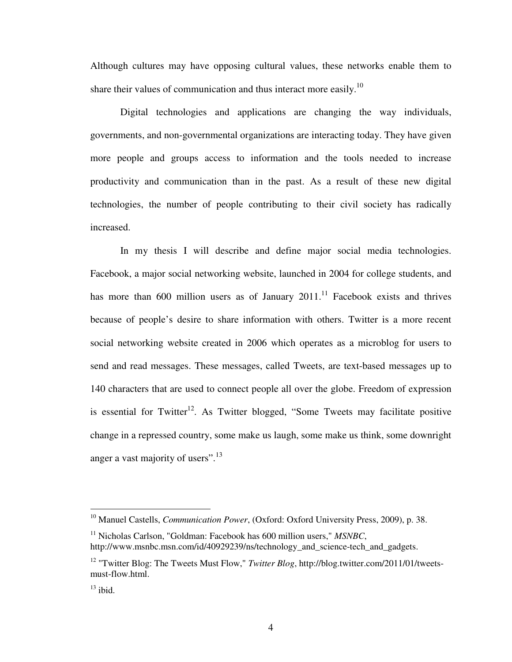Although cultures may have opposing cultural values, these networks enable them to share their values of communication and thus interact more easily.<sup>10</sup>

Digital technologies and applications are changing the way individuals, governments, and non-governmental organizations are interacting today. They have given more people and groups access to information and the tools needed to increase productivity and communication than in the past. As a result of these new digital technologies, the number of people contributing to their civil society has radically increased.

In my thesis I will describe and define major social media technologies. Facebook, a major social networking website, launched in 2004 for college students, and has more than 600 million users as of January  $2011$ .<sup>11</sup> Facebook exists and thrives because of people's desire to share information with others. Twitter is a more recent social networking website created in 2006 which operates as a microblog for users to send and read messages. These messages, called Tweets, are text-based messages up to 140 characters that are used to connect people all over the globe. Freedom of expression is essential for Twitter<sup>12</sup>. As Twitter blogged, "Some Tweets may facilitate positive change in a repressed country, some make us laugh, some make us think, some downright anger a vast majority of users".<sup>13</sup>

-

<sup>&</sup>lt;sup>10</sup> Manuel Castells, *Communication Power*, (Oxford: Oxford University Press, 2009), p. 38.

<sup>11</sup> Nicholas Carlson, "Goldman: Facebook has 600 million users," *MSNBC*, http://www.msnbc.msn.com/id/40929239/ns/technology and science-tech and gadgets.

<sup>&</sup>lt;sup>12</sup> "Twitter Blog: The Tweets Must Flow," *Twitter Blog*, http://blog.twitter.com/2011/01/tweetsmust-flow.html.

 $^{13}$  ibid.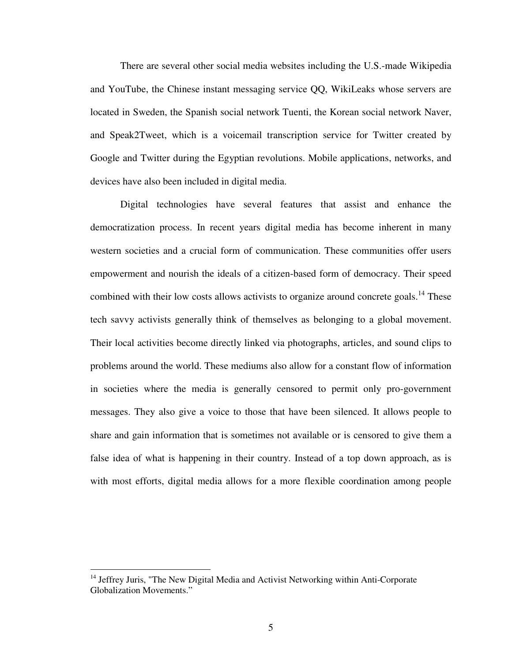There are several other social media websites including the U.S.-made Wikipedia and YouTube, the Chinese instant messaging service QQ, WikiLeaks whose servers are located in Sweden, the Spanish social network Tuenti, the Korean social network Naver, and Speak2Tweet, which is a voicemail transcription service for Twitter created by Google and Twitter during the Egyptian revolutions. Mobile applications, networks, and devices have also been included in digital media.

Digital technologies have several features that assist and enhance the democratization process. In recent years digital media has become inherent in many western societies and a crucial form of communication. These communities offer users empowerment and nourish the ideals of a citizen-based form of democracy. Their speed combined with their low costs allows activists to organize around concrete goals.<sup>14</sup> These tech savvy activists generally think of themselves as belonging to a global movement. Their local activities become directly linked via photographs, articles, and sound clips to problems around the world. These mediums also allow for a constant flow of information in societies where the media is generally censored to permit only pro-government messages. They also give a voice to those that have been silenced. It allows people to share and gain information that is sometimes not available or is censored to give them a false idea of what is happening in their country. Instead of a top down approach, as is with most efforts, digital media allows for a more flexible coordination among people

<sup>&</sup>lt;sup>14</sup> Jeffrey Juris, "The New Digital Media and Activist Networking within Anti-Corporate Globalization Movements."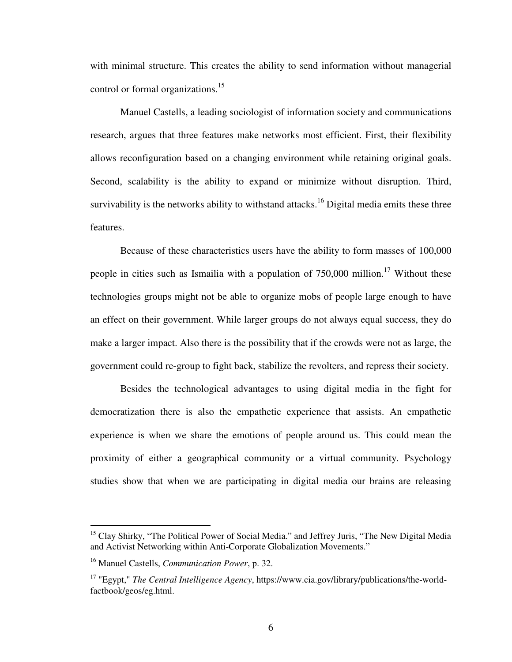with minimal structure. This creates the ability to send information without managerial control or formal organizations.<sup>15</sup>

Manuel Castells, a leading sociologist of information society and communications research, argues that three features make networks most efficient. First, their flexibility allows reconfiguration based on a changing environment while retaining original goals. Second, scalability is the ability to expand or minimize without disruption. Third, survivability is the networks ability to withstand attacks.<sup>16</sup> Digital media emits these three features.

Because of these characteristics users have the ability to form masses of 100,000 people in cities such as Ismailia with a population of  $750,000$  million.<sup>17</sup> Without these technologies groups might not be able to organize mobs of people large enough to have an effect on their government. While larger groups do not always equal success, they do make a larger impact. Also there is the possibility that if the crowds were not as large, the government could re-group to fight back, stabilize the revolters, and repress their society.

Besides the technological advantages to using digital media in the fight for democratization there is also the empathetic experience that assists. An empathetic experience is when we share the emotions of people around us. This could mean the proximity of either a geographical community or a virtual community. Psychology studies show that when we are participating in digital media our brains are releasing

<sup>&</sup>lt;sup>15</sup> Clay Shirky, "The Political Power of Social Media." and Jeffrey Juris, "The New Digital Media" and Activist Networking within Anti-Corporate Globalization Movements."

<sup>16</sup> Manuel Castells, *Communication Power*, p. 32.

<sup>17</sup> "Egypt," *The Central Intelligence Agency*, https://www.cia.gov/library/publications/the-worldfactbook/geos/eg.html.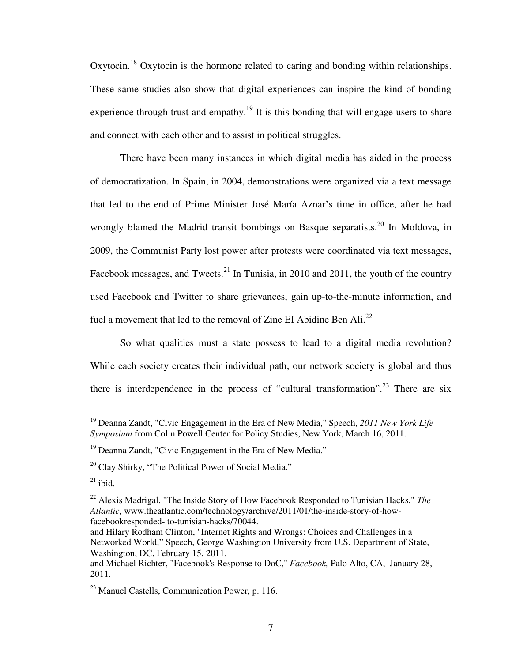Oxytocin.<sup>18</sup> Oxytocin is the hormone related to caring and bonding within relationships. These same studies also show that digital experiences can inspire the kind of bonding experience through trust and empathy.<sup>19</sup> It is this bonding that will engage users to share and connect with each other and to assist in political struggles.

There have been many instances in which digital media has aided in the process of democratization. In Spain, in 2004, demonstrations were organized via a text message that led to the end of Prime Minister José María Aznar's time in office, after he had wrongly blamed the Madrid transit bombings on Basque separatists.<sup>20</sup> In Moldova, in 2009, the Communist Party lost power after protests were coordinated via text messages, Facebook messages, and Tweets.<sup>21</sup> In Tunisia, in 2010 and 2011, the youth of the country used Facebook and Twitter to share grievances, gain up-to-the-minute information, and fuel a movement that led to the removal of Zine EI Abidine Ben Ali.<sup>22</sup>

So what qualities must a state possess to lead to a digital media revolution? While each society creates their individual path, our network society is global and thus there is interdependence in the process of "cultural transformation".<sup>23</sup> There are six

<u>.</u>

<sup>19</sup> Deanna Zandt, "Civic Engagement in the Era of New Media," Speech, *2011 New York Life Symposium* from Colin Powell Center for Policy Studies, New York, March 16, 2011.

 $19$  Deanna Zandt, "Civic Engagement in the Era of New Media."

 $20$  Clay Shirky, "The Political Power of Social Media."

 $21$  ibid.

<sup>22</sup> Alexis Madrigal, "The Inside Story of How Facebook Responded to Tunisian Hacks," *The Atlantic*, www.theatlantic.com/technology/archive/2011/01/the-inside-story-of-howfacebookresponded- to-tunisian-hacks/70044.

and Hilary Rodham Clinton, "Internet Rights and Wrongs: Choices and Challenges in a Networked World," Speech, George Washington University from U.S. Department of State, Washington, DC, February 15, 2011.

and Michael Richter, "Facebook's Response to DoC," *Facebook,* Palo Alto, CA, January 28, 2011.

<sup>23</sup> Manuel Castells, Communication Power, p. 116.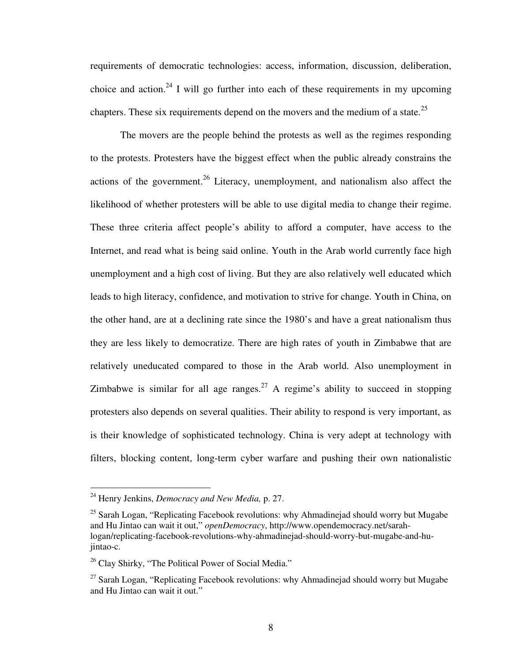requirements of democratic technologies: access, information, discussion, deliberation, choice and action.<sup>24</sup> I will go further into each of these requirements in my upcoming chapters. These six requirements depend on the movers and the medium of a state.<sup>25</sup>

The movers are the people behind the protests as well as the regimes responding to the protests. Protesters have the biggest effect when the public already constrains the actions of the government.<sup>26</sup> Literacy, unemployment, and nationalism also affect the likelihood of whether protesters will be able to use digital media to change their regime. These three criteria affect people's ability to afford a computer, have access to the Internet, and read what is being said online. Youth in the Arab world currently face high unemployment and a high cost of living. But they are also relatively well educated which leads to high literacy, confidence, and motivation to strive for change. Youth in China, on the other hand, are at a declining rate since the 1980's and have a great nationalism thus they are less likely to democratize. There are high rates of youth in Zimbabwe that are relatively uneducated compared to those in the Arab world. Also unemployment in Zimbabwe is similar for all age ranges.<sup>27</sup> A regime's ability to succeed in stopping protesters also depends on several qualities. Their ability to respond is very important, as is their knowledge of sophisticated technology. China is very adept at technology with filters, blocking content, long-term cyber warfare and pushing their own nationalistic

<sup>24</sup> Henry Jenkins, *Democracy and New Media,* p. 27.

 $25$  Sarah Logan, "Replicating Facebook revolutions: why Ahmadinejad should worry but Mugabe and Hu Jintao can wait it out," *openDemocracy*, http://www.opendemocracy.net/sarahlogan/replicating-facebook-revolutions-why-ahmadinejad-should-worry-but-mugabe-and-hujintao-c.

 $26$  Clay Shirky, "The Political Power of Social Media."

 $27$  Sarah Logan, "Replicating Facebook revolutions: why Ahmadinejad should worry but Mugabe and Hu Jintao can wait it out."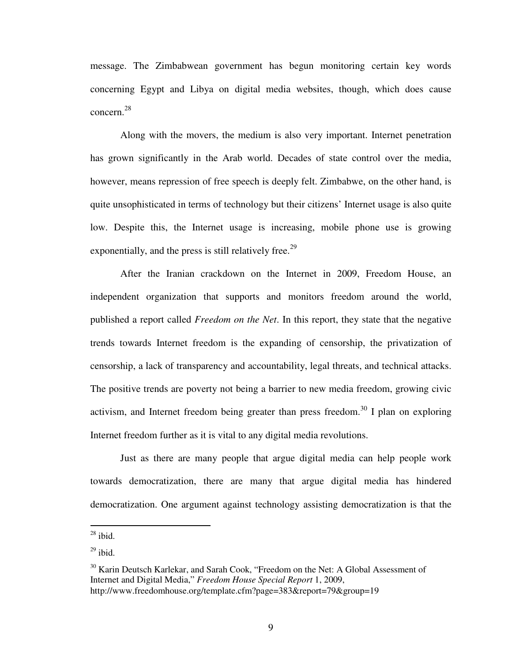message. The Zimbabwean government has begun monitoring certain key words concerning Egypt and Libya on digital media websites, though, which does cause concern.<sup>28</sup>

Along with the movers, the medium is also very important. Internet penetration has grown significantly in the Arab world. Decades of state control over the media, however, means repression of free speech is deeply felt. Zimbabwe, on the other hand, is quite unsophisticated in terms of technology but their citizens' Internet usage is also quite low. Despite this, the Internet usage is increasing, mobile phone use is growing exponentially, and the press is still relatively free.<sup>29</sup>

After the Iranian crackdown on the Internet in 2009, Freedom House, an independent organization that supports and monitors freedom around the world, published a report called *Freedom on the Net*. In this report, they state that the negative trends towards Internet freedom is the expanding of censorship, the privatization of censorship, a lack of transparency and accountability, legal threats, and technical attacks. The positive trends are poverty not being a barrier to new media freedom, growing civic activism, and Internet freedom being greater than press freedom.<sup>30</sup> I plan on exploring Internet freedom further as it is vital to any digital media revolutions.

Just as there are many people that argue digital media can help people work towards democratization, there are many that argue digital media has hindered democratization. One argument against technology assisting democratization is that the

 $28$  ibid.

 $29$  ibid.

<sup>&</sup>lt;sup>30</sup> Karin Deutsch Karlekar, and Sarah Cook, "Freedom on the Net: A Global Assessment of Internet and Digital Media," *Freedom House Special Report* 1, 2009, http://www.freedomhouse.org/template.cfm?page=383&report=79&group=19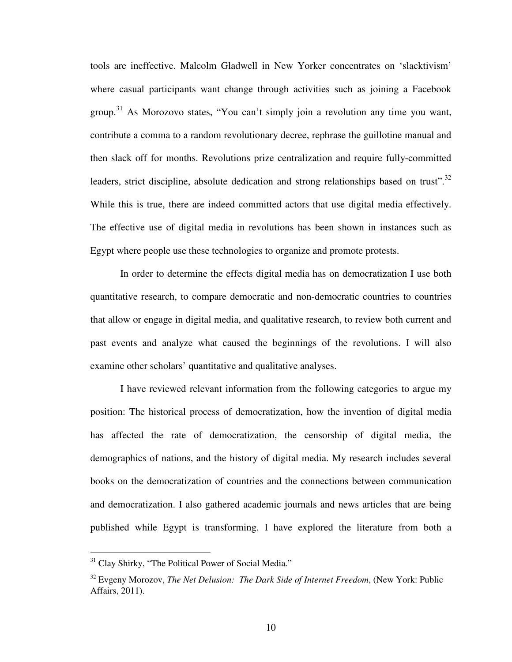tools are ineffective. Malcolm Gladwell in New Yorker concentrates on 'slacktivism' where casual participants want change through activities such as joining a Facebook group.<sup>31</sup> As Morozovo states, "You can't simply join a revolution any time you want, contribute a comma to a random revolutionary decree, rephrase the guillotine manual and then slack off for months. Revolutions prize centralization and require fully-committed leaders, strict discipline, absolute dedication and strong relationships based on trust".<sup>32</sup> While this is true, there are indeed committed actors that use digital media effectively. The effective use of digital media in revolutions has been shown in instances such as Egypt where people use these technologies to organize and promote protests.

In order to determine the effects digital media has on democratization I use both quantitative research, to compare democratic and non-democratic countries to countries that allow or engage in digital media, and qualitative research, to review both current and past events and analyze what caused the beginnings of the revolutions. I will also examine other scholars' quantitative and qualitative analyses.

I have reviewed relevant information from the following categories to argue my position: The historical process of democratization, how the invention of digital media has affected the rate of democratization, the censorship of digital media, the demographics of nations, and the history of digital media. My research includes several books on the democratization of countries and the connections between communication and democratization. I also gathered academic journals and news articles that are being published while Egypt is transforming. I have explored the literature from both a

<u>.</u>

<sup>&</sup>lt;sup>31</sup> Clay Shirky, "The Political Power of Social Media."

<sup>32</sup> Evgeny Morozov, *The Net Delusion: The Dark Side of Internet Freedom*, (New York: Public Affairs, 2011).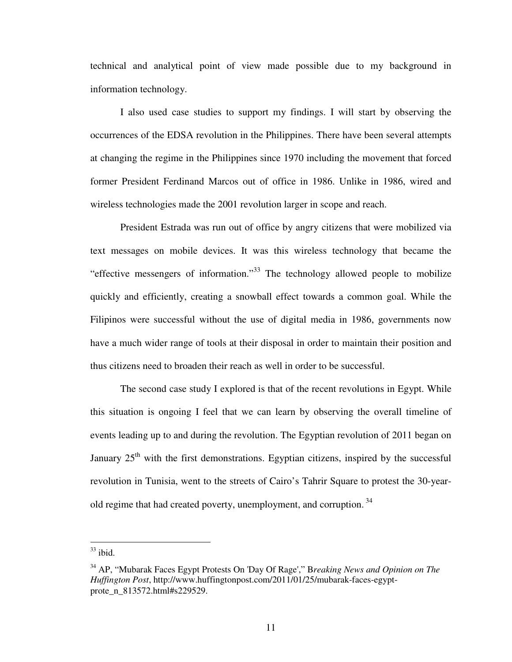technical and analytical point of view made possible due to my background in information technology.

I also used case studies to support my findings. I will start by observing the occurrences of the EDSA revolution in the Philippines. There have been several attempts at changing the regime in the Philippines since 1970 including the movement that forced former President Ferdinand Marcos out of office in 1986. Unlike in 1986, wired and wireless technologies made the 2001 revolution larger in scope and reach.

President Estrada was run out of office by angry citizens that were mobilized via text messages on mobile devices. It was this wireless technology that became the "effective messengers of information."<sup>33</sup> The technology allowed people to mobilize quickly and efficiently, creating a snowball effect towards a common goal. While the Filipinos were successful without the use of digital media in 1986, governments now have a much wider range of tools at their disposal in order to maintain their position and thus citizens need to broaden their reach as well in order to be successful.

The second case study I explored is that of the recent revolutions in Egypt. While this situation is ongoing I feel that we can learn by observing the overall timeline of events leading up to and during the revolution. The Egyptian revolution of 2011 began on January  $25<sup>th</sup>$  with the first demonstrations. Egyptian citizens, inspired by the successful revolution in Tunisia, went to the streets of Cairo's Tahrir Square to protest the 30-yearold regime that had created poverty, unemployment, and corruption.<sup>34</sup>

<u>.</u>

 $33$  ibid.

<sup>34</sup> AP, "Mubarak Faces Egypt Protests On 'Day Of Rage'," B*reaking News and Opinion on The Huffington Post*, http://www.huffingtonpost.com/2011/01/25/mubarak-faces-egyptprote\_n\_813572.html#s229529.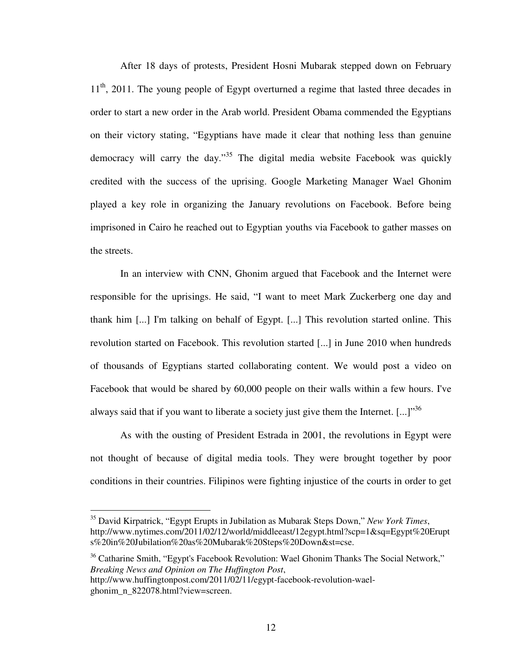After 18 days of protests, President Hosni Mubarak stepped down on February  $11<sup>th</sup>$ , 2011. The young people of Egypt overturned a regime that lasted three decades in order to start a new order in the Arab world. President Obama commended the Egyptians on their victory stating, "Egyptians have made it clear that nothing less than genuine democracy will carry the day."<sup>35</sup> The digital media website Facebook was quickly credited with the success of the uprising. Google Marketing Manager Wael Ghonim played a key role in organizing the January revolutions on Facebook. Before being imprisoned in Cairo he reached out to Egyptian youths via Facebook to gather masses on the streets.

In an interview with CNN, Ghonim argued that Facebook and the Internet were responsible for the uprisings. He said, "I want to meet Mark Zuckerberg one day and thank him [...] I'm talking on behalf of Egypt. [...] This revolution started online. This revolution started on Facebook. This revolution started [...] in June 2010 when hundreds of thousands of Egyptians started collaborating content. We would post a video on Facebook that would be shared by 60,000 people on their walls within a few hours. I've always said that if you want to liberate a society just give them the Internet.  $[...]^{36}$ 

As with the ousting of President Estrada in 2001, the revolutions in Egypt were not thought of because of digital media tools. They were brought together by poor conditions in their countries. Filipinos were fighting injustice of the courts in order to get

<sup>35</sup> David Kirpatrick, "Egypt Erupts in Jubilation as Mubarak Steps Down," *New York Times*, http://www.nytimes.com/2011/02/12/world/middleeast/12egypt.html?scp=1&sq=Egypt%20Erupt s%20in%20Jubilation%20as%20Mubarak%20Steps%20Down&st=cse.

<sup>&</sup>lt;sup>36</sup> Catharine Smith, "Egypt's Facebook Revolution: Wael Ghonim Thanks The Social Network," *Breaking News and Opinion on The Huffington Post*,

http://www.huffingtonpost.com/2011/02/11/egypt-facebook-revolution-waelghonim\_n\_822078.html?view=screen.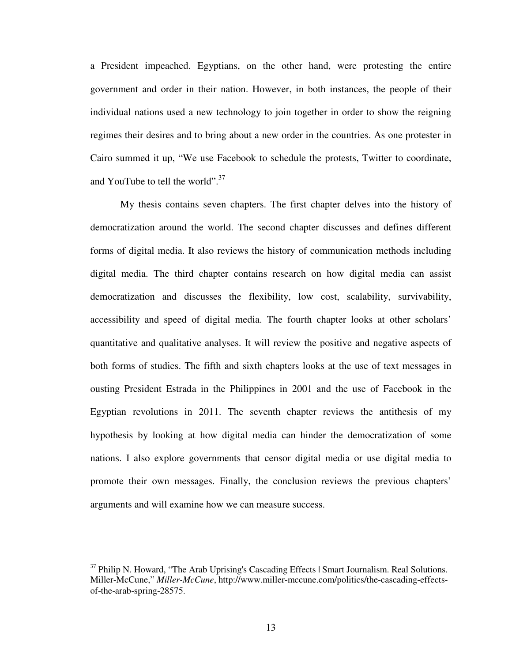a President impeached. Egyptians, on the other hand, were protesting the entire government and order in their nation. However, in both instances, the people of their individual nations used a new technology to join together in order to show the reigning regimes their desires and to bring about a new order in the countries. As one protester in Cairo summed it up, "We use Facebook to schedule the protests, Twitter to coordinate, and YouTube to tell the world". $37$ 

My thesis contains seven chapters. The first chapter delves into the history of democratization around the world. The second chapter discusses and defines different forms of digital media. It also reviews the history of communication methods including digital media. The third chapter contains research on how digital media can assist democratization and discusses the flexibility, low cost, scalability, survivability, accessibility and speed of digital media. The fourth chapter looks at other scholars' quantitative and qualitative analyses. It will review the positive and negative aspects of both forms of studies. The fifth and sixth chapters looks at the use of text messages in ousting President Estrada in the Philippines in 2001 and the use of Facebook in the Egyptian revolutions in 2011. The seventh chapter reviews the antithesis of my hypothesis by looking at how digital media can hinder the democratization of some nations. I also explore governments that censor digital media or use digital media to promote their own messages. Finally, the conclusion reviews the previous chapters' arguments and will examine how we can measure success.

-

<sup>&</sup>lt;sup>37</sup> Philip N. Howard, "The Arab Uprising's Cascading Effects | Smart Journalism. Real Solutions. Miller-McCune," *Miller-McCune*, http://www.miller-mccune.com/politics/the-cascading-effectsof-the-arab-spring-28575.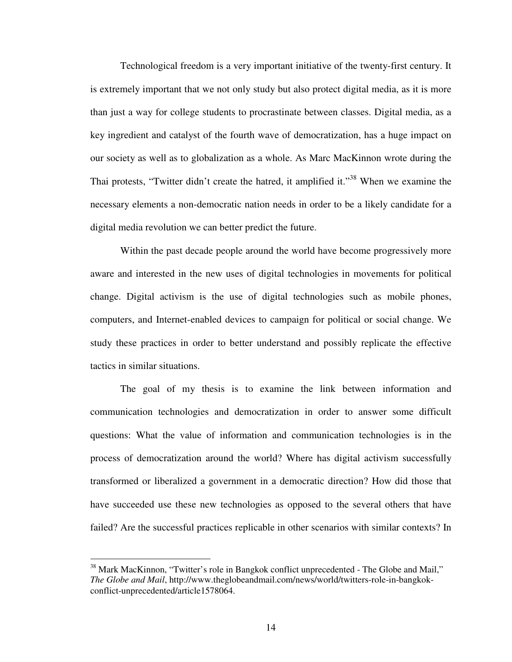Technological freedom is a very important initiative of the twenty-first century. It is extremely important that we not only study but also protect digital media, as it is more than just a way for college students to procrastinate between classes. Digital media, as a key ingredient and catalyst of the fourth wave of democratization, has a huge impact on our society as well as to globalization as a whole. As Marc MacKinnon wrote during the Thai protests, "Twitter didn't create the hatred, it amplified it."<sup>38</sup> When we examine the necessary elements a non-democratic nation needs in order to be a likely candidate for a digital media revolution we can better predict the future.

Within the past decade people around the world have become progressively more aware and interested in the new uses of digital technologies in movements for political change. Digital activism is the use of digital technologies such as mobile phones, computers, and Internet-enabled devices to campaign for political or social change. We study these practices in order to better understand and possibly replicate the effective tactics in similar situations.

The goal of my thesis is to examine the link between information and communication technologies and democratization in order to answer some difficult questions: What the value of information and communication technologies is in the process of democratization around the world? Where has digital activism successfully transformed or liberalized a government in a democratic direction? How did those that have succeeded use these new technologies as opposed to the several others that have failed? Are the successful practices replicable in other scenarios with similar contexts? In

-

<sup>&</sup>lt;sup>38</sup> Mark MacKinnon, "Twitter's role in Bangkok conflict unprecedented - The Globe and Mail," *The Globe and Mail*, http://www.theglobeandmail.com/news/world/twitters-role-in-bangkokconflict-unprecedented/article1578064.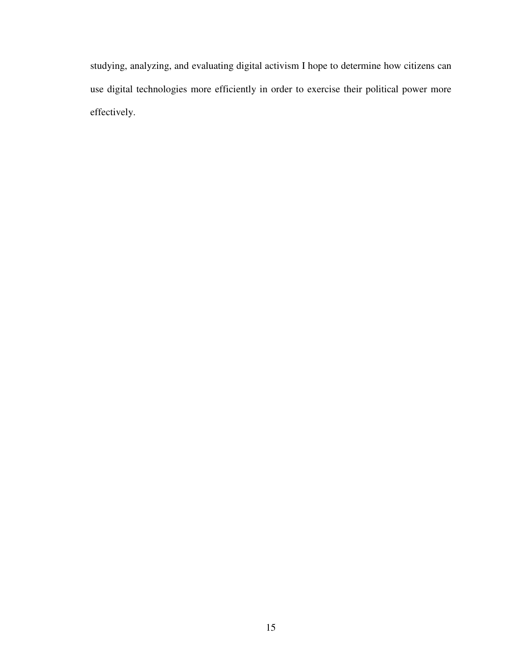studying, analyzing, and evaluating digital activism I hope to determine how citizens can use digital technologies more efficiently in order to exercise their political power more effectively.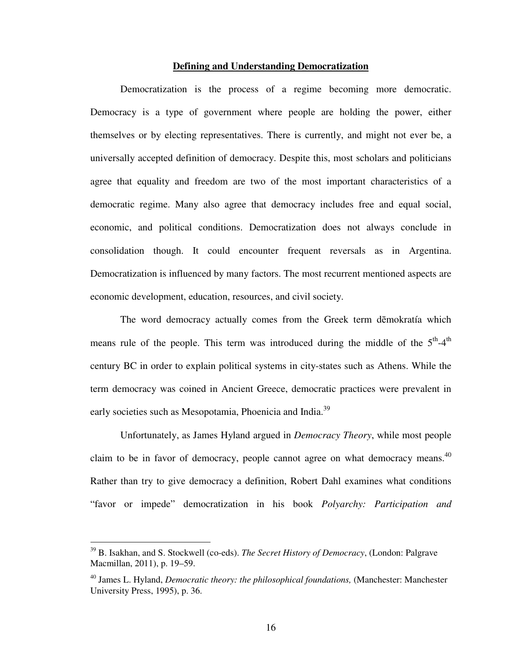#### **Defining and Understanding Democratization**

Democratization is the process of a regime becoming more democratic. Democracy is a type of government where people are holding the power, either themselves or by electing representatives. There is currently, and might not ever be, a universally accepted definition of democracy. Despite this, most scholars and politicians agree that equality and freedom are two of the most important characteristics of a democratic regime. Many also agree that democracy includes free and equal social, economic, and political conditions. Democratization does not always conclude in consolidation though. It could encounter frequent reversals as in Argentina. Democratization is influenced by many factors. The most recurrent mentioned aspects are economic development, education, resources, and civil society.

The word democracy actually comes from the Greek term dēmokratía which means rule of the people. This term was introduced during the middle of the  $5<sup>th</sup>-4<sup>th</sup>$ century BC in order to explain political systems in city-states such as Athens. While the term democracy was coined in Ancient Greece, democratic practices were prevalent in early societies such as Mesopotamia, Phoenicia and India.<sup>39</sup>

Unfortunately, as James Hyland argued in *Democracy Theory*, while most people claim to be in favor of democracy, people cannot agree on what democracy means.<sup>40</sup> Rather than try to give democracy a definition, Robert Dahl examines what conditions "favor or impede" democratization in his book *Polyarchy: Participation and* 

<sup>39</sup> B. Isakhan, and S. Stockwell (co-eds). *The Secret History of Democracy*, (London: Palgrave Macmillan, 2011), p. 19–59.

<sup>&</sup>lt;sup>40</sup> James L. Hyland, *Democratic theory: the philosophical foundations*, (Manchester: Manchester University Press, 1995), p. 36.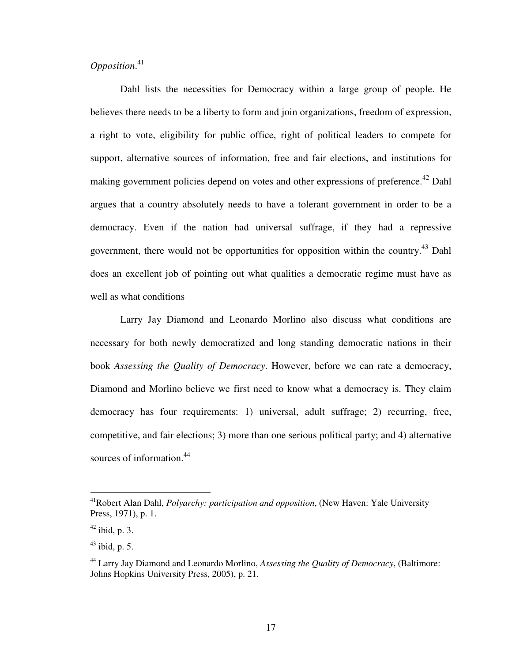### *Opposition*. 41

Dahl lists the necessities for Democracy within a large group of people. He believes there needs to be a liberty to form and join organizations, freedom of expression, a right to vote, eligibility for public office, right of political leaders to compete for support, alternative sources of information, free and fair elections, and institutions for making government policies depend on votes and other expressions of preference.<sup>42</sup> Dahl argues that a country absolutely needs to have a tolerant government in order to be a democracy. Even if the nation had universal suffrage, if they had a repressive government, there would not be opportunities for opposition within the country.<sup>43</sup> Dahl does an excellent job of pointing out what qualities a democratic regime must have as well as what conditions

Larry Jay Diamond and Leonardo Morlino also discuss what conditions are necessary for both newly democratized and long standing democratic nations in their book *Assessing the Quality of Democracy*. However, before we can rate a democracy, Diamond and Morlino believe we first need to know what a democracy is. They claim democracy has four requirements: 1) universal, adult suffrage; 2) recurring, free, competitive, and fair elections; 3) more than one serious political party; and 4) alternative sources of information.<sup>44</sup>

-

<sup>41</sup>Robert Alan Dahl, *Polyarchy: participation and opposition*, (New Haven: Yale University Press, 1971), p. 1.

 $42$  ibid, p. 3.

 $43$  ibid, p. 5.

<sup>44</sup> Larry Jay Diamond and Leonardo Morlino, *Assessing the Quality of Democracy*, (Baltimore: Johns Hopkins University Press, 2005), p. 21.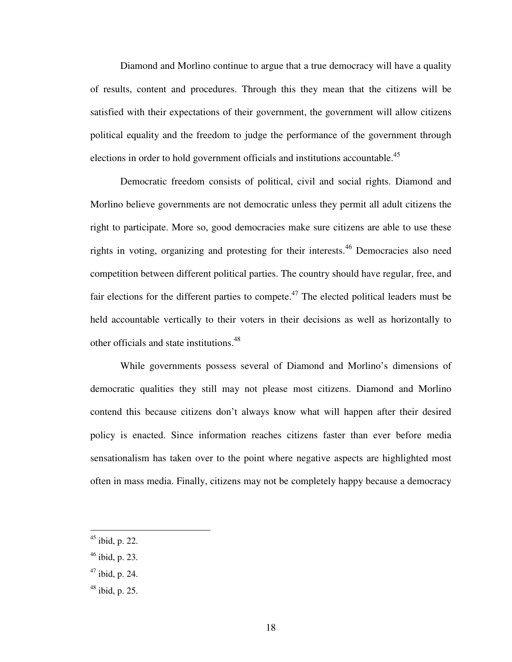Diamond and Morlino continue to argue that a true democracy will have a quality of results, content and procedures. Through this they mean that the citizens will be satisfied with their expectations of their government, the government will allow citizens political equality and the freedom to judge the performance of the government through elections in order to hold government officials and institutions accountable.<sup>45</sup>

Democratic freedom consists of political, civil and social rights. Diamond and Morlino believe governments are not democratic unless they permit all adult citizens the right to participate. More so, good democracies make sure citizens are able to use these rights in voting, organizing and protesting for their interests.<sup>46</sup> Democracies also need competition between different political parties. The country should have regular, free, and fair elections for the different parties to compete.<sup>47</sup> The elected political leaders must be held accountable vertically to their voters in their decisions as well as horizontally to other officials and state institutions.<sup>48</sup>

While governments possess several of Diamond and Morlino's dimensions of democratic qualities they still may not please most citizens. Diamond and Morlino contend this because citizens don't always know what will happen after their desired policy is enacted. Since information reaches citizens faster than ever before media sensationalism has taken over to the point where negative aspects are highlighted most often in mass media. Finally, citizens may not be completely happy because a democracy

 $\overline{a}$ 

 $46$  ibid, p. 23.

 $48$  ibid, p. 25.

 $45$  ibid, p. 22.

 $47$  ibid, p. 24.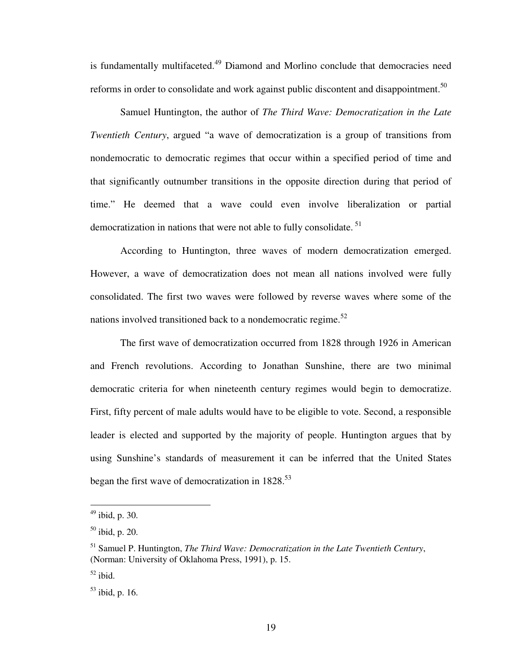is fundamentally multifaceted.<sup>49</sup> Diamond and Morlino conclude that democracies need reforms in order to consolidate and work against public discontent and disappointment.<sup>50</sup>

Samuel Huntington, the author of *The Third Wave: Democratization in the Late Twentieth Century*, argued "a wave of democratization is a group of transitions from nondemocratic to democratic regimes that occur within a specified period of time and that significantly outnumber transitions in the opposite direction during that period of time." He deemed that a wave could even involve liberalization or partial democratization in nations that were not able to fully consolidate.<sup>51</sup>

According to Huntington, three waves of modern democratization emerged. However, a wave of democratization does not mean all nations involved were fully consolidated. The first two waves were followed by reverse waves where some of the nations involved transitioned back to a nondemocratic regime.<sup>52</sup>

The first wave of democratization occurred from 1828 through 1926 in American and French revolutions. According to Jonathan Sunshine, there are two minimal democratic criteria for when nineteenth century regimes would begin to democratize. First, fifty percent of male adults would have to be eligible to vote. Second, a responsible leader is elected and supported by the majority of people. Huntington argues that by using Sunshine's standards of measurement it can be inferred that the United States began the first wave of democratization in  $1828$ <sup>53</sup>

 $49$  ibid, p. 30.

 $50$  ibid, p. 20.

<sup>51</sup> Samuel P. Huntington, *The Third Wave: Democratization in the Late Twentieth Century*, (Norman: University of Oklahoma Press, 1991), p. 15.

 $52$  ibid.

 $53$  ibid, p. 16.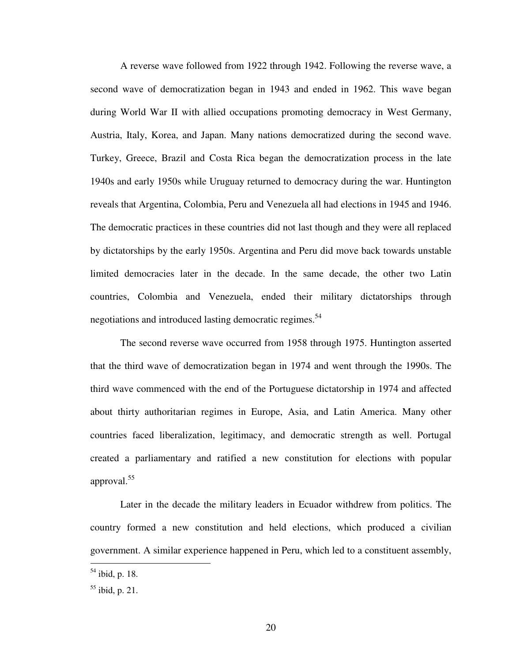A reverse wave followed from 1922 through 1942. Following the reverse wave, a second wave of democratization began in 1943 and ended in 1962. This wave began during World War II with allied occupations promoting democracy in West Germany, Austria, Italy, Korea, and Japan. Many nations democratized during the second wave. Turkey, Greece, Brazil and Costa Rica began the democratization process in the late 1940s and early 1950s while Uruguay returned to democracy during the war. Huntington reveals that Argentina, Colombia, Peru and Venezuela all had elections in 1945 and 1946. The democratic practices in these countries did not last though and they were all replaced by dictatorships by the early 1950s. Argentina and Peru did move back towards unstable limited democracies later in the decade. In the same decade, the other two Latin countries, Colombia and Venezuela, ended their military dictatorships through negotiations and introduced lasting democratic regimes.<sup>54</sup>

The second reverse wave occurred from 1958 through 1975. Huntington asserted that the third wave of democratization began in 1974 and went through the 1990s. The third wave commenced with the end of the Portuguese dictatorship in 1974 and affected about thirty authoritarian regimes in Europe, Asia, and Latin America. Many other countries faced liberalization, legitimacy, and democratic strength as well. Portugal created a parliamentary and ratified a new constitution for elections with popular approval.<sup>55</sup>

Later in the decade the military leaders in Ecuador withdrew from politics. The country formed a new constitution and held elections, which produced a civilian government. A similar experience happened in Peru, which led to a constituent assembly,

 $54$  ibid, p. 18.

 $55$  ibid, p. 21.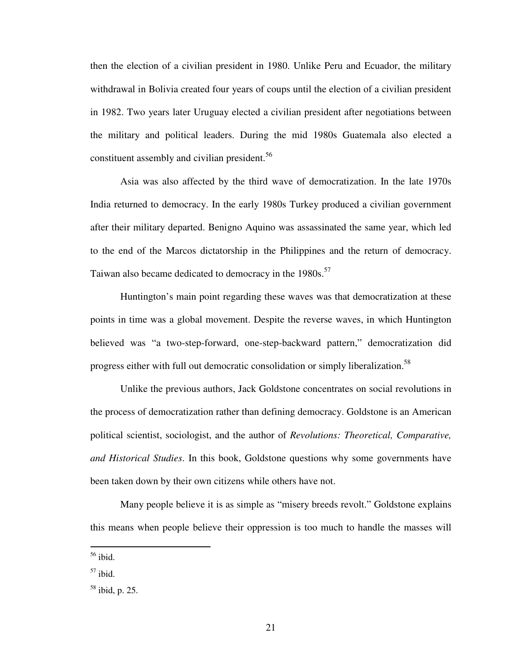then the election of a civilian president in 1980. Unlike Peru and Ecuador, the military withdrawal in Bolivia created four years of coups until the election of a civilian president in 1982. Two years later Uruguay elected a civilian president after negotiations between the military and political leaders. During the mid 1980s Guatemala also elected a constituent assembly and civilian president.<sup>56</sup>

Asia was also affected by the third wave of democratization. In the late 1970s India returned to democracy. In the early 1980s Turkey produced a civilian government after their military departed. Benigno Aquino was assassinated the same year, which led to the end of the Marcos dictatorship in the Philippines and the return of democracy. Taiwan also became dedicated to democracy in the 1980s.<sup>57</sup>

Huntington's main point regarding these waves was that democratization at these points in time was a global movement. Despite the reverse waves, in which Huntington believed was "a two-step-forward, one-step-backward pattern," democratization did progress either with full out democratic consolidation or simply liberalization.<sup>58</sup>

Unlike the previous authors, Jack Goldstone concentrates on social revolutions in the process of democratization rather than defining democracy. Goldstone is an American political scientist, sociologist, and the author of *Revolutions: Theoretical, Comparative, and Historical Studies*. In this book, Goldstone questions why some governments have been taken down by their own citizens while others have not.

Many people believe it is as simple as "misery breeds revolt." Goldstone explains this means when people believe their oppression is too much to handle the masses will

<sup>56</sup> ibid.

 $57$  ibid.

 $58$  ibid, p. 25.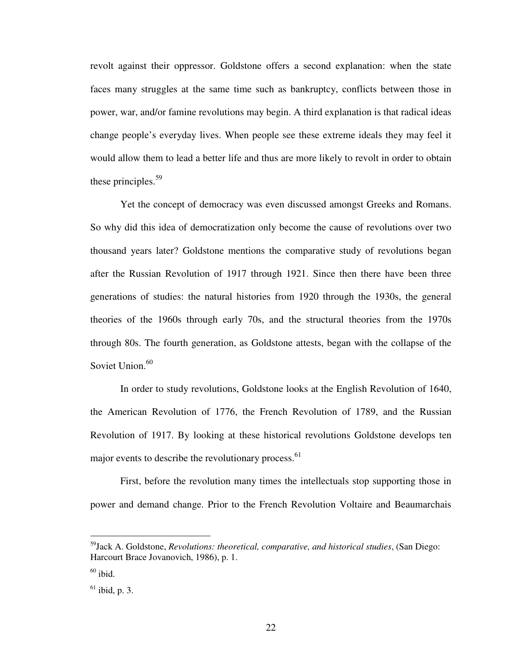revolt against their oppressor. Goldstone offers a second explanation: when the state faces many struggles at the same time such as bankruptcy, conflicts between those in power, war, and/or famine revolutions may begin. A third explanation is that radical ideas change people's everyday lives. When people see these extreme ideals they may feel it would allow them to lead a better life and thus are more likely to revolt in order to obtain these principles. $59$ 

Yet the concept of democracy was even discussed amongst Greeks and Romans. So why did this idea of democratization only become the cause of revolutions over two thousand years later? Goldstone mentions the comparative study of revolutions began after the Russian Revolution of 1917 through 1921. Since then there have been three generations of studies: the natural histories from 1920 through the 1930s, the general theories of the 1960s through early 70s, and the structural theories from the 1970s through 80s. The fourth generation, as Goldstone attests, began with the collapse of the Soviet Union.<sup>60</sup>

In order to study revolutions, Goldstone looks at the English Revolution of 1640, the American Revolution of 1776, the French Revolution of 1789, and the Russian Revolution of 1917. By looking at these historical revolutions Goldstone develops ten major events to describe the revolutionary process.<sup>61</sup>

First, before the revolution many times the intellectuals stop supporting those in power and demand change. Prior to the French Revolution Voltaire and Beaumarchais

<sup>59</sup>Jack A. Goldstone, *Revolutions: theoretical, comparative, and historical studies*, (San Diego: Harcourt Brace Jovanovich, 1986), p. 1.

 $60$  ibid.

 $<sup>61</sup>$  ibid, p. 3.</sup>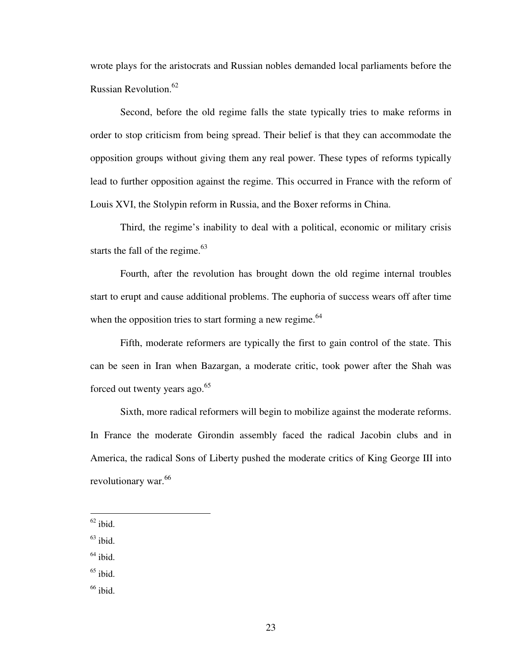wrote plays for the aristocrats and Russian nobles demanded local parliaments before the Russian Revolution.<sup>62</sup>

Second, before the old regime falls the state typically tries to make reforms in order to stop criticism from being spread. Their belief is that they can accommodate the opposition groups without giving them any real power. These types of reforms typically lead to further opposition against the regime. This occurred in France with the reform of Louis XVI, the Stolypin reform in Russia, and the Boxer reforms in China.

Third, the regime's inability to deal with a political, economic or military crisis starts the fall of the regime.<sup>63</sup>

Fourth, after the revolution has brought down the old regime internal troubles start to erupt and cause additional problems. The euphoria of success wears off after time when the opposition tries to start forming a new regime. $64$ 

Fifth, moderate reformers are typically the first to gain control of the state. This can be seen in Iran when Bazargan, a moderate critic, took power after the Shah was forced out twenty years ago.<sup>65</sup>

Sixth, more radical reformers will begin to mobilize against the moderate reforms. In France the moderate Girondin assembly faced the radical Jacobin clubs and in America, the radical Sons of Liberty pushed the moderate critics of King George III into revolutionary war.<sup>66</sup>

- $<sup>64</sup>$  ibid.</sup>
- $65$  ibid.
- $66$  ibid.

 $62$  ibid.

 $63$  ibid.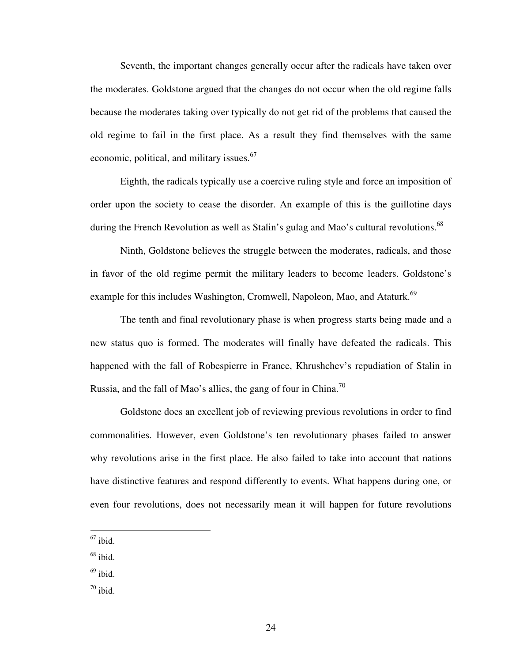Seventh, the important changes generally occur after the radicals have taken over the moderates. Goldstone argued that the changes do not occur when the old regime falls because the moderates taking over typically do not get rid of the problems that caused the old regime to fail in the first place. As a result they find themselves with the same economic, political, and military issues.<sup>67</sup>

Eighth, the radicals typically use a coercive ruling style and force an imposition of order upon the society to cease the disorder. An example of this is the guillotine days during the French Revolution as well as Stalin's gulag and Mao's cultural revolutions.<sup>68</sup>

Ninth, Goldstone believes the struggle between the moderates, radicals, and those in favor of the old regime permit the military leaders to become leaders. Goldstone's example for this includes Washington, Cromwell, Napoleon, Mao, and Ataturk.<sup>69</sup>

The tenth and final revolutionary phase is when progress starts being made and a new status quo is formed. The moderates will finally have defeated the radicals. This happened with the fall of Robespierre in France, Khrushchev's repudiation of Stalin in Russia, and the fall of Mao's allies, the gang of four in China.<sup>70</sup>

Goldstone does an excellent job of reviewing previous revolutions in order to find commonalities. However, even Goldstone's ten revolutionary phases failed to answer why revolutions arise in the first place. He also failed to take into account that nations have distinctive features and respond differently to events. What happens during one, or even four revolutions, does not necessarily mean it will happen for future revolutions

- $68$  ibid.
- $69$  ibid.
- $70$  ibid.

 $67$  ibid.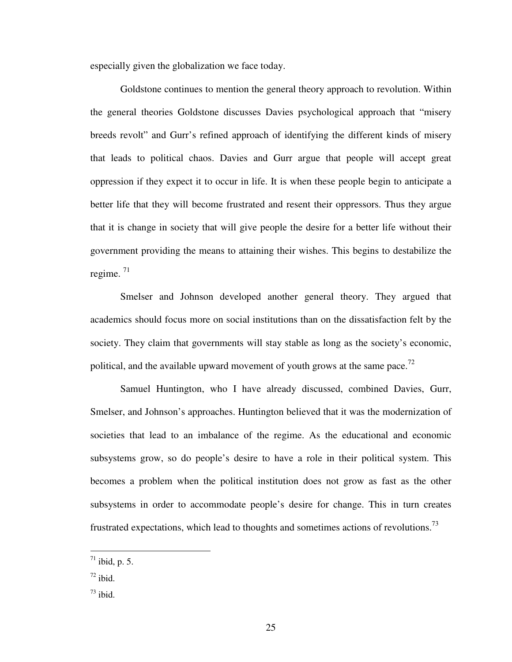especially given the globalization we face today.

Goldstone continues to mention the general theory approach to revolution. Within the general theories Goldstone discusses Davies psychological approach that "misery breeds revolt" and Gurr's refined approach of identifying the different kinds of misery that leads to political chaos. Davies and Gurr argue that people will accept great oppression if they expect it to occur in life. It is when these people begin to anticipate a better life that they will become frustrated and resent their oppressors. Thus they argue that it is change in society that will give people the desire for a better life without their government providing the means to attaining their wishes. This begins to destabilize the regime. <sup>71</sup>

Smelser and Johnson developed another general theory. They argued that academics should focus more on social institutions than on the dissatisfaction felt by the society. They claim that governments will stay stable as long as the society's economic, political, and the available upward movement of youth grows at the same pace.<sup>72</sup>

Samuel Huntington, who I have already discussed, combined Davies, Gurr, Smelser, and Johnson's approaches. Huntington believed that it was the modernization of societies that lead to an imbalance of the regime. As the educational and economic subsystems grow, so do people's desire to have a role in their political system. This becomes a problem when the political institution does not grow as fast as the other subsystems in order to accommodate people's desire for change. This in turn creates frustrated expectations, which lead to thoughts and sometimes actions of revolutions.<sup>73</sup>

 $^{71}$  ibid, p. 5.

 $72$  ibid.

 $73$  ibid.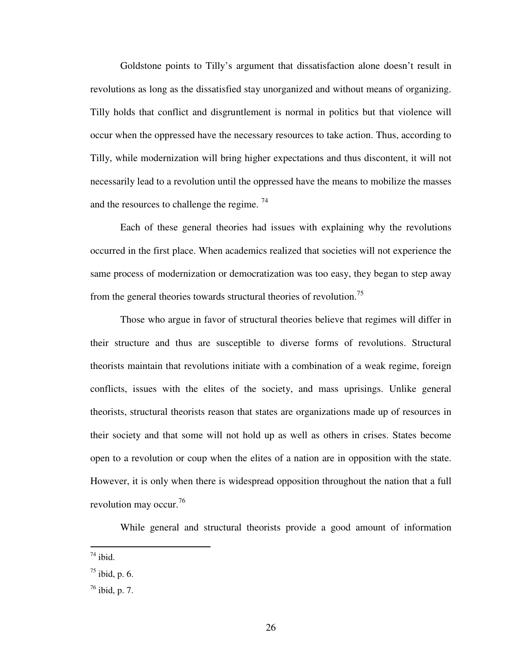Goldstone points to Tilly's argument that dissatisfaction alone doesn't result in revolutions as long as the dissatisfied stay unorganized and without means of organizing. Tilly holds that conflict and disgruntlement is normal in politics but that violence will occur when the oppressed have the necessary resources to take action. Thus, according to Tilly, while modernization will bring higher expectations and thus discontent, it will not necessarily lead to a revolution until the oppressed have the means to mobilize the masses and the resources to challenge the regime.  $74$ 

Each of these general theories had issues with explaining why the revolutions occurred in the first place. When academics realized that societies will not experience the same process of modernization or democratization was too easy, they began to step away from the general theories towards structural theories of revolution.<sup>75</sup>

Those who argue in favor of structural theories believe that regimes will differ in their structure and thus are susceptible to diverse forms of revolutions. Structural theorists maintain that revolutions initiate with a combination of a weak regime, foreign conflicts, issues with the elites of the society, and mass uprisings. Unlike general theorists, structural theorists reason that states are organizations made up of resources in their society and that some will not hold up as well as others in crises. States become open to a revolution or coup when the elites of a nation are in opposition with the state. However, it is only when there is widespread opposition throughout the nation that a full revolution may occur.<sup>76</sup>

While general and structural theorists provide a good amount of information

 $^{74}$  ibid.

 $^{75}$  ibid, p. 6.

 $^{76}$  ibid, p. 7.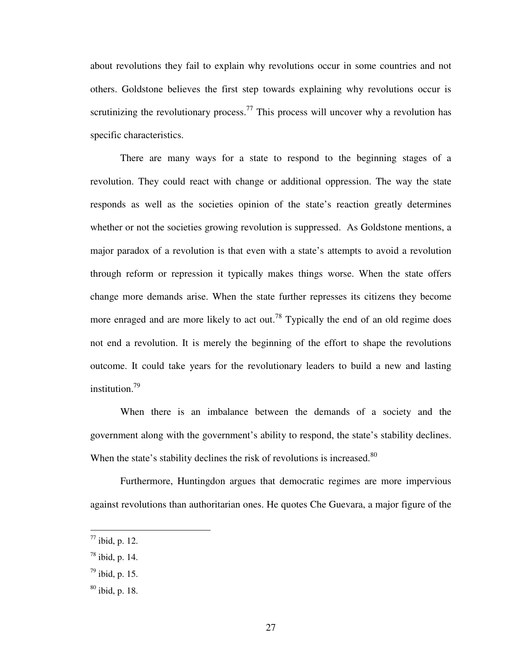about revolutions they fail to explain why revolutions occur in some countries and not others. Goldstone believes the first step towards explaining why revolutions occur is scrutinizing the revolutionary process.<sup>77</sup> This process will uncover why a revolution has specific characteristics.

There are many ways for a state to respond to the beginning stages of a revolution. They could react with change or additional oppression. The way the state responds as well as the societies opinion of the state's reaction greatly determines whether or not the societies growing revolution is suppressed. As Goldstone mentions, a major paradox of a revolution is that even with a state's attempts to avoid a revolution through reform or repression it typically makes things worse. When the state offers change more demands arise. When the state further represses its citizens they become more enraged and are more likely to act out.<sup>78</sup> Typically the end of an old regime does not end a revolution. It is merely the beginning of the effort to shape the revolutions outcome. It could take years for the revolutionary leaders to build a new and lasting institution.<sup>79</sup>

When there is an imbalance between the demands of a society and the government along with the government's ability to respond, the state's stability declines. When the state's stability declines the risk of revolutions is increased. $80$ 

Furthermore, Huntingdon argues that democratic regimes are more impervious against revolutions than authoritarian ones. He quotes Che Guevara, a major figure of the

 $^{77}$  ibid, p. 12.

 $^{78}$  ibid, p. 14.

 $^{79}$  ibid, p. 15.

 $80$  ibid, p. 18.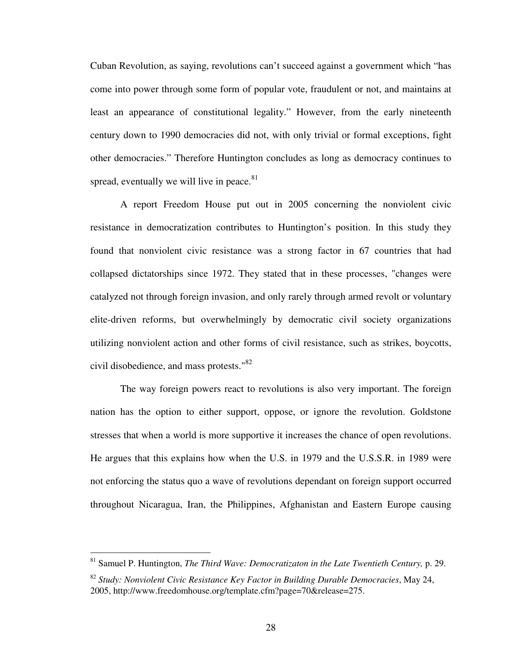Cuban Revolution, as saying, revolutions can't succeed against a government which "has come into power through some form of popular vote, fraudulent or not, and maintains at least an appearance of constitutional legality." However, from the early nineteenth century down to 1990 democracies did not, with only trivial or formal exceptions, fight other democracies." Therefore Huntington concludes as long as democracy continues to spread, eventually we will live in peace. $81$ 

A report Freedom House put out in 2005 concerning the nonviolent civic resistance in democratization contributes to Huntington's position. In this study they found that nonviolent civic resistance was a strong factor in 67 countries that had collapsed dictatorships since 1972. They stated that in these processes, "changes were catalyzed not through foreign invasion, and only rarely through armed revolt or voluntary elite-driven reforms, but overwhelmingly by democratic civil society organizations utilizing nonviolent action and other forms of civil resistance, such as strikes, boycotts, civil disobedience, and mass protests."<sup>82</sup>

The way foreign powers react to revolutions is also very important. The foreign nation has the option to either support, oppose, or ignore the revolution. Goldstone stresses that when a world is more supportive it increases the chance of open revolutions. He argues that this explains how when the U.S. in 1979 and the U.S.S.R. in 1989 were not enforcing the status quo a wave of revolutions dependant on foreign support occurred throughout Nicaragua, Iran, the Philippines, Afghanistan and Eastern Europe causing

<sup>81</sup> Samuel P. Huntington, *The Third Wave: Democratizaton in the Late Twentieth Century,* p. 29.

<sup>82</sup> *Study: Nonviolent Civic Resistance Key Factor in Building Durable Democracies*, May 24, 2005, http://www.freedomhouse.org/template.cfm?page=70&release=275.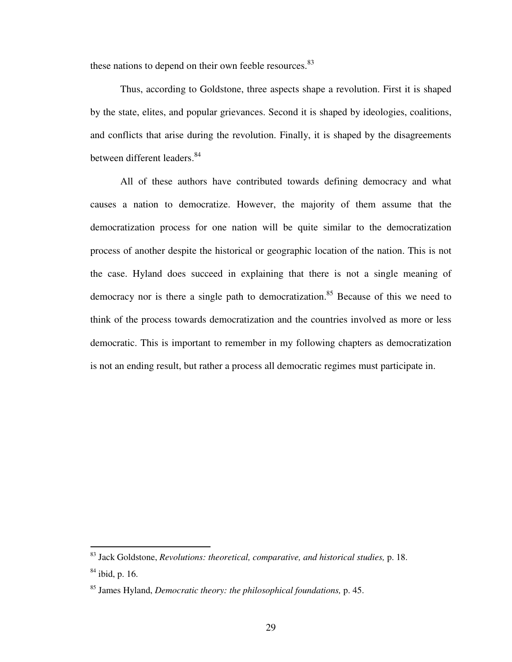these nations to depend on their own feeble resources.<sup>83</sup>

Thus, according to Goldstone, three aspects shape a revolution. First it is shaped by the state, elites, and popular grievances. Second it is shaped by ideologies, coalitions, and conflicts that arise during the revolution. Finally, it is shaped by the disagreements between different leaders.<sup>84</sup>

All of these authors have contributed towards defining democracy and what causes a nation to democratize. However, the majority of them assume that the democratization process for one nation will be quite similar to the democratization process of another despite the historical or geographic location of the nation. This is not the case. Hyland does succeed in explaining that there is not a single meaning of democracy nor is there a single path to democratization.<sup>85</sup> Because of this we need to think of the process towards democratization and the countries involved as more or less democratic. This is important to remember in my following chapters as democratization is not an ending result, but rather a process all democratic regimes must participate in.

-

<sup>83</sup> Jack Goldstone, *Revolutions: theoretical, comparative, and historical studies,* p. 18.

 $84$  ibid, p. 16.

<sup>85</sup> James Hyland, *Democratic theory: the philosophical foundations,* p. 45.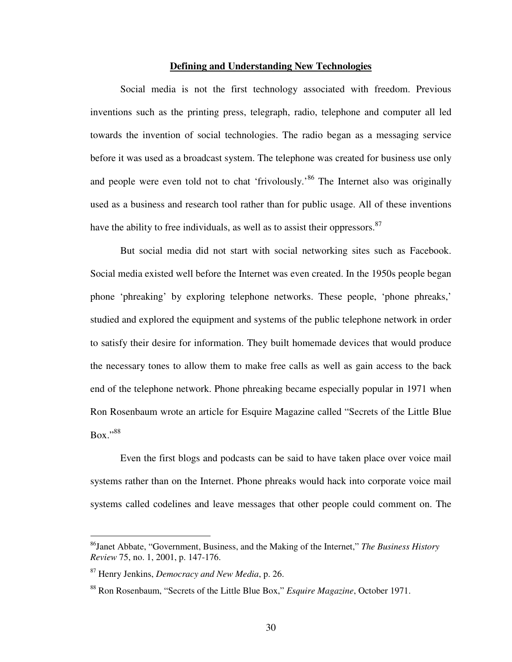#### **Defining and Understanding New Technologies**

Social media is not the first technology associated with freedom. Previous inventions such as the printing press, telegraph, radio, telephone and computer all led towards the invention of social technologies. The radio began as a messaging service before it was used as a broadcast system. The telephone was created for business use only and people were even told not to chat 'frivolously.'<sup>86</sup> The Internet also was originally used as a business and research tool rather than for public usage. All of these inventions have the ability to free individuals, as well as to assist their oppressors.<sup>87</sup>

But social media did not start with social networking sites such as Facebook. Social media existed well before the Internet was even created. In the 1950s people began phone 'phreaking' by exploring telephone networks. These people, 'phone phreaks,' studied and explored the equipment and systems of the public telephone network in order to satisfy their desire for information. They built homemade devices that would produce the necessary tones to allow them to make free calls as well as gain access to the back end of the telephone network. Phone phreaking became especially popular in 1971 when Ron Rosenbaum wrote an article for Esquire Magazine called "Secrets of the Little Blue Box."<sup>88</sup>

Even the first blogs and podcasts can be said to have taken place over voice mail systems rather than on the Internet. Phone phreaks would hack into corporate voice mail systems called codelines and leave messages that other people could comment on. The

<sup>86</sup>Janet Abbate, "Government, Business, and the Making of the Internet," *The Business History Review* 75, no. 1, 2001, p. 147-176.

<sup>87</sup> Henry Jenkins, *Democracy and New Media*, p. 26.

<sup>88</sup> Ron Rosenbaum, "Secrets of the Little Blue Box," *Esquire Magazine*, October 1971.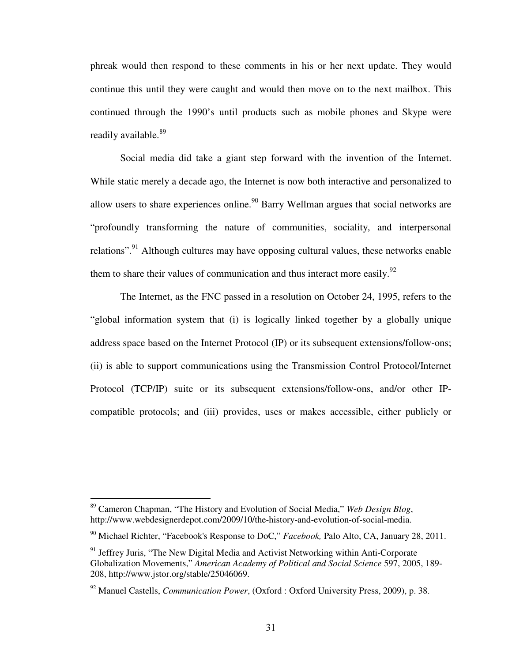phreak would then respond to these comments in his or her next update. They would continue this until they were caught and would then move on to the next mailbox. This continued through the 1990's until products such as mobile phones and Skype were readily available.<sup>89</sup>

Social media did take a giant step forward with the invention of the Internet. While static merely a decade ago, the Internet is now both interactive and personalized to allow users to share experiences online.<sup>90</sup> Barry Wellman argues that social networks are "profoundly transforming the nature of communities, sociality, and interpersonal relations".<sup>91</sup> Although cultures may have opposing cultural values, these networks enable them to share their values of communication and thus interact more easily. $92$ 

The Internet, as the FNC passed in a resolution on October 24, 1995, refers to the "global information system that (i) is logically linked together by a globally unique address space based on the Internet Protocol (IP) or its subsequent extensions/follow-ons; (ii) is able to support communications using the Transmission Control Protocol/Internet Protocol (TCP/IP) suite or its subsequent extensions/follow-ons, and/or other IPcompatible protocols; and (iii) provides, uses or makes accessible, either publicly or

<sup>89</sup> Cameron Chapman, "The History and Evolution of Social Media," *Web Design Blog*, http://www.webdesignerdepot.com/2009/10/the-history-and-evolution-of-social-media.

<sup>90</sup> Michael Richter, "Facebook's Response to DoC," *Facebook,* Palo Alto, CA, January 28, 2011.

 $91$  Jeffrey Juris, "The New Digital Media and Activist Networking within Anti-Corporate Globalization Movements," *American Academy of Political and Social Science* 597, 2005, 189- 208, http://www.jstor.org/stable/25046069.

<sup>92</sup> Manuel Castells, *Communication Power*, (Oxford : Oxford University Press, 2009), p. 38.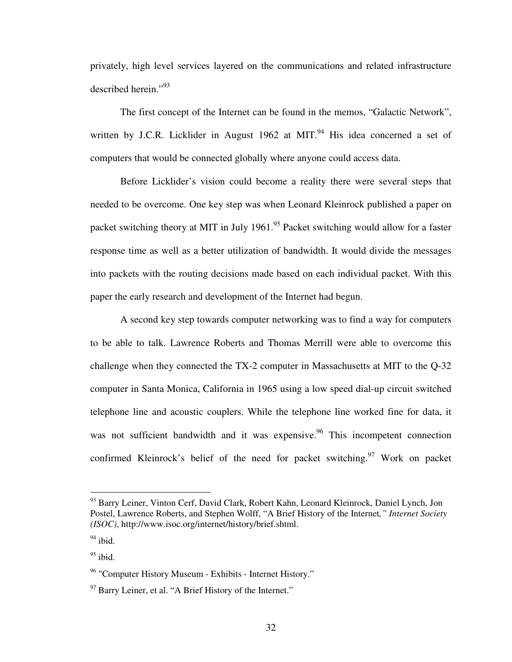privately, high level services layered on the communications and related infrastructure described herein."<sup>93</sup>

The first concept of the Internet can be found in the memos, "Galactic Network", written by J.C.R. Licklider in August 1962 at MIT. $94$  His idea concerned a set of computers that would be connected globally where anyone could access data.

Before Licklider's vision could become a reality there were several steps that needed to be overcome. One key step was when Leonard Kleinrock published a paper on packet switching theory at MIT in July 1961.<sup>95</sup> Packet switching would allow for a faster response time as well as a better utilization of bandwidth. It would divide the messages into packets with the routing decisions made based on each individual packet. With this paper the early research and development of the Internet had begun.

A second key step towards computer networking was to find a way for computers to be able to talk. Lawrence Roberts and Thomas Merrill were able to overcome this challenge when they connected the TX-2 computer in Massachusetts at MIT to the Q-32 computer in Santa Monica, California in 1965 using a low speed dial-up circuit switched telephone line and acoustic couplers. While the telephone line worked fine for data, it was not sufficient bandwidth and it was expensive. <sup>96</sup> This incompetent connection confirmed Kleinrock's belief of the need for packet switching.<sup>97</sup> Work on packet

<sup>93</sup> Barry Leiner, Vinton Cerf, David Clark, Robert Kahn, Leonard Kleinrock, Daniel Lynch, Jon Postel, Lawrence Roberts, and Stephen Wolff, "A Brief History of the Internet*," Internet Society (ISOC)*, http://www.isoc.org/internet/history/brief.shtml.

 $94$  ibid.

 $^{95}$ ibid.

<sup>&</sup>lt;sup>96</sup> "Computer History Museum - Exhibits - Internet History."

 $97$  Barry Leiner, et al. "A Brief History of the Internet."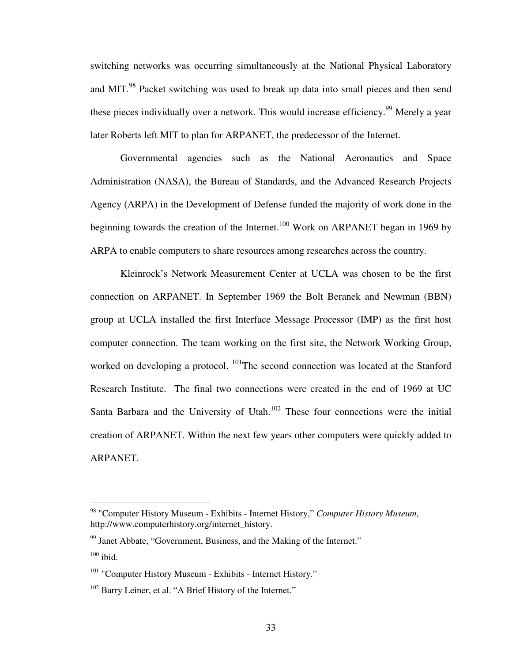switching networks was occurring simultaneously at the National Physical Laboratory and MIT.<sup>98</sup> Packet switching was used to break up data into small pieces and then send these pieces individually over a network. This would increase efficiency.<sup>99</sup> Merely a year later Roberts left MIT to plan for ARPANET, the predecessor of the Internet.

Governmental agencies such as the National Aeronautics and Space Administration (NASA), the Bureau of Standards, and the Advanced Research Projects Agency (ARPA) in the Development of Defense funded the majority of work done in the beginning towards the creation of the Internet.<sup>100</sup> Work on ARPANET began in 1969 by ARPA to enable computers to share resources among researches across the country.

Kleinrock's Network Measurement Center at UCLA was chosen to be the first connection on ARPANET. In September 1969 the Bolt Beranek and Newman (BBN) group at UCLA installed the first Interface Message Processor (IMP) as the first host computer connection. The team working on the first site, the Network Working Group, worked on developing a protocol. <sup>101</sup>The second connection was located at the Stanford Research Institute. The final two connections were created in the end of 1969 at UC Santa Barbara and the University of Utah. $102$  These four connections were the initial creation of ARPANET. Within the next few years other computers were quickly added to ARPANET.

<sup>98</sup> "Computer History Museum - Exhibits - Internet History," *Computer History Museum*, http://www.computerhistory.org/internet\_history.

 $99$  Janet Abbate, "Government, Business, and the Making of the Internet."  $100$  ibid.

<sup>&</sup>lt;sup>101</sup> "Computer History Museum - Exhibits - Internet History."

<sup>&</sup>lt;sup>102</sup> Barry Leiner, et al. "A Brief History of the Internet."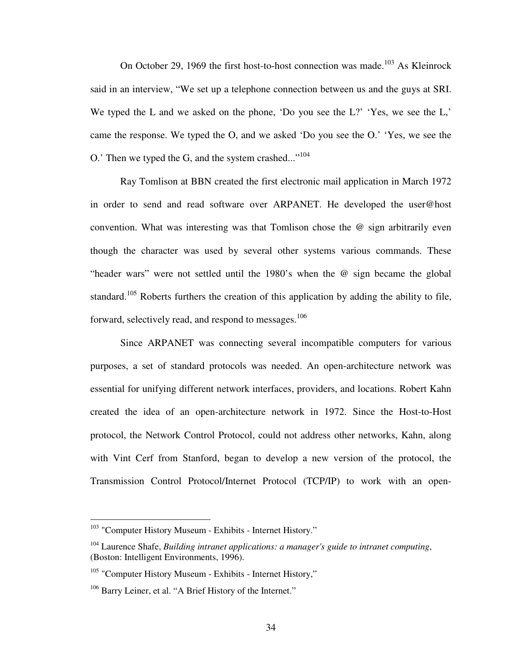On October 29, 1969 the first host-to-host connection was made.<sup>103</sup> As Kleinrock said in an interview, "We set up a telephone connection between us and the guys at SRI. We typed the L and we asked on the phone, 'Do you see the L?' 'Yes, we see the L,' came the response. We typed the O, and we asked 'Do you see the O.' 'Yes, we see the O.' Then we typed the G, and the system crashed... $"^{104}$ 

Ray Tomlison at BBN created the first electronic mail application in March 1972 in order to send and read software over ARPANET. He developed the user@host convention. What was interesting was that Tomlison chose the @ sign arbitrarily even though the character was used by several other systems various commands. These "header wars" were not settled until the 1980's when the @ sign became the global standard.<sup>105</sup> Roberts furthers the creation of this application by adding the ability to file, forward, selectively read, and respond to messages.<sup>106</sup>

Since ARPANET was connecting several incompatible computers for various purposes, a set of standard protocols was needed. An open-architecture network was essential for unifying different network interfaces, providers, and locations. Robert Kahn created the idea of an open-architecture network in 1972. Since the Host-to-Host protocol, the Network Control Protocol, could not address other networks, Kahn, along with Vint Cerf from Stanford, began to develop a new version of the protocol, the Transmission Control Protocol/Internet Protocol (TCP/IP) to work with an open-

<sup>&</sup>lt;sup>103</sup> "Computer History Museum - Exhibits - Internet History."

<sup>104</sup> Laurence Shafe, *Building intranet applications: a manager's guide to intranet computing*, (Boston: Intelligent Environments, 1996).

 $105$  "Computer History Museum - Exhibits - Internet History,"

<sup>&</sup>lt;sup>106</sup> Barry Leiner, et al. "A Brief History of the Internet."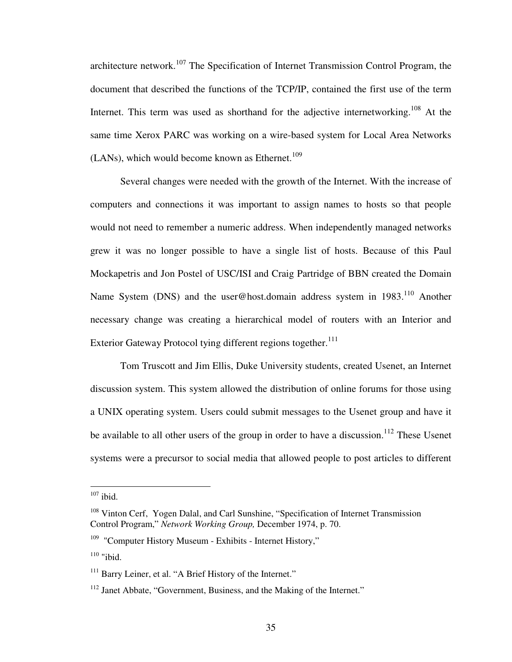architecture network.<sup>107</sup> The Specification of Internet Transmission Control Program, the document that described the functions of the TCP/IP, contained the first use of the term Internet. This term was used as shorthand for the adjective internetworking.<sup>108</sup> At the same time Xerox PARC was working on a wire-based system for Local Area Networks (LANs), which would become known as Ethernet.<sup>109</sup>

Several changes were needed with the growth of the Internet. With the increase of computers and connections it was important to assign names to hosts so that people would not need to remember a numeric address. When independently managed networks grew it was no longer possible to have a single list of hosts. Because of this Paul Mockapetris and Jon Postel of USC/ISI and Craig Partridge of BBN created the Domain Name System (DNS) and the user@host.domain address system in 1983.<sup>110</sup> Another necessary change was creating a hierarchical model of routers with an Interior and Exterior Gateway Protocol tying different regions together.<sup>111</sup>

Tom Truscott and Jim Ellis, Duke University students, created Usenet, an Internet discussion system. This system allowed the distribution of online forums for those using a UNIX operating system. Users could submit messages to the Usenet group and have it be available to all other users of the group in order to have a discussion.<sup>112</sup> These Usenet systems were a precursor to social media that allowed people to post articles to different

 $107$  ibid.

<sup>&</sup>lt;sup>108</sup> Vinton Cerf, Yogen Dalal, and Carl Sunshine, "Specification of Internet Transmission Control Program," *Network Working Group,* December 1974, p. 70.

 $109$  "Computer History Museum - Exhibits - Internet History,"

 $110$  "ibid.

<sup>&</sup>lt;sup>111</sup> Barry Leiner, et al. "A Brief History of the Internet."

<sup>&</sup>lt;sup>112</sup> Janet Abbate, "Government, Business, and the Making of the Internet."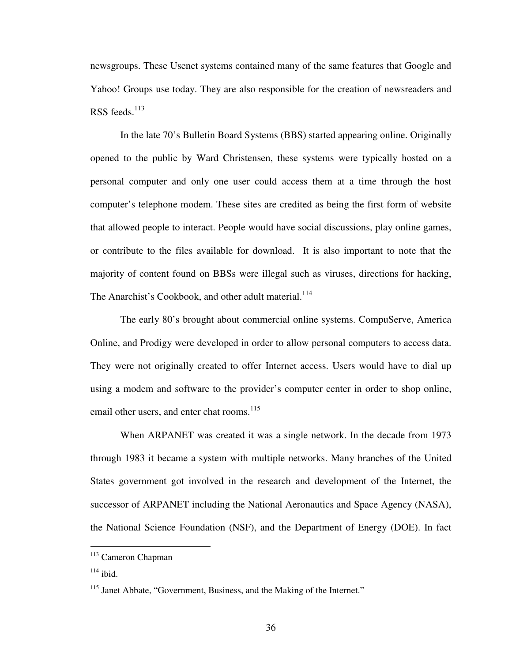newsgroups. These Usenet systems contained many of the same features that Google and Yahoo! Groups use today. They are also responsible for the creation of newsreaders and RSS feeds. $113$ 

In the late 70's Bulletin Board Systems (BBS) started appearing online. Originally opened to the public by Ward Christensen, these systems were typically hosted on a personal computer and only one user could access them at a time through the host computer's telephone modem. These sites are credited as being the first form of website that allowed people to interact. People would have social discussions, play online games, or contribute to the files available for download. It is also important to note that the majority of content found on BBSs were illegal such as viruses, directions for hacking, The Anarchist's Cookbook, and other adult material.<sup>114</sup>

The early 80's brought about commercial online systems. CompuServe, America Online, and Prodigy were developed in order to allow personal computers to access data. They were not originally created to offer Internet access. Users would have to dial up using a modem and software to the provider's computer center in order to shop online, email other users, and enter chat rooms.<sup>115</sup>

When ARPANET was created it was a single network. In the decade from 1973 through 1983 it became a system with multiple networks. Many branches of the United States government got involved in the research and development of the Internet, the successor of ARPANET including the National Aeronautics and Space Agency (NASA), the National Science Foundation (NSF), and the Department of Energy (DOE). In fact

<sup>&</sup>lt;sup>113</sup> Cameron Chapman

 $114$  ibid.

<sup>&</sup>lt;sup>115</sup> Janet Abbate, "Government, Business, and the Making of the Internet."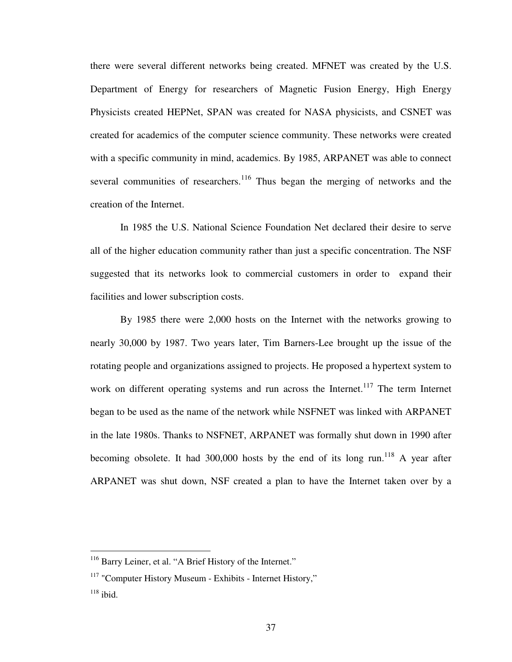there were several different networks being created. MFNET was created by the U.S. Department of Energy for researchers of Magnetic Fusion Energy, High Energy Physicists created HEPNet, SPAN was created for NASA physicists, and CSNET was created for academics of the computer science community. These networks were created with a specific community in mind, academics. By 1985, ARPANET was able to connect several communities of researchers.<sup>116</sup> Thus began the merging of networks and the creation of the Internet.

In 1985 the U.S. National Science Foundation Net declared their desire to serve all of the higher education community rather than just a specific concentration. The NSF suggested that its networks look to commercial customers in order to expand their facilities and lower subscription costs.

By 1985 there were 2,000 hosts on the Internet with the networks growing to nearly 30,000 by 1987. Two years later, Tim Barners-Lee brought up the issue of the rotating people and organizations assigned to projects. He proposed a hypertext system to work on different operating systems and run across the Internet.<sup>117</sup> The term Internet began to be used as the name of the network while NSFNET was linked with ARPANET in the late 1980s. Thanks to NSFNET, ARPANET was formally shut down in 1990 after becoming obsolete. It had 300,000 hosts by the end of its long run.<sup>118</sup> A year after ARPANET was shut down, NSF created a plan to have the Internet taken over by a

<sup>&</sup>lt;sup>116</sup> Barry Leiner, et al. "A Brief History of the Internet."

<sup>&</sup>lt;sup>117</sup> "Computer History Museum - Exhibits - Internet History,"

 $118$  ibid.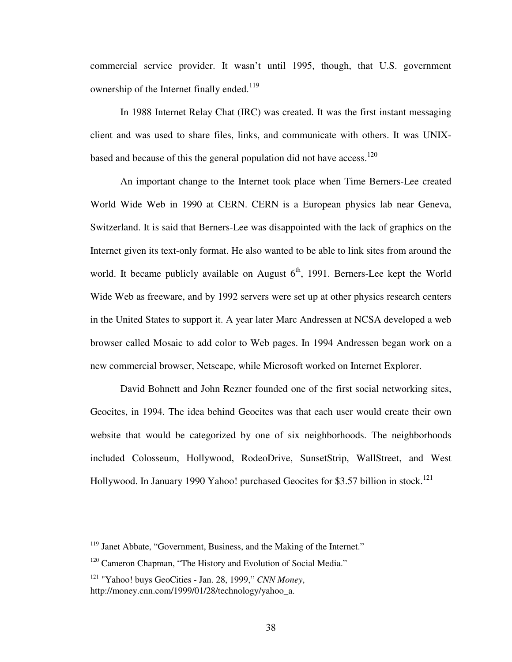commercial service provider. It wasn't until 1995, though, that U.S. government ownership of the Internet finally ended.<sup>119</sup>

In 1988 Internet Relay Chat (IRC) was created. It was the first instant messaging client and was used to share files, links, and communicate with others. It was UNIXbased and because of this the general population did not have access.<sup>120</sup>

An important change to the Internet took place when Time Berners-Lee created World Wide Web in 1990 at CERN. CERN is a European physics lab near Geneva, Switzerland. It is said that Berners-Lee was disappointed with the lack of graphics on the Internet given its text-only format. He also wanted to be able to link sites from around the world. It became publicly available on August  $6<sup>th</sup>$ , 1991. Berners-Lee kept the World Wide Web as freeware, and by 1992 servers were set up at other physics research centers in the United States to support it. A year later Marc Andressen at NCSA developed a web browser called Mosaic to add color to Web pages. In 1994 Andressen began work on a new commercial browser, Netscape, while Microsoft worked on Internet Explorer.

David Bohnett and John Rezner founded one of the first social networking sites, Geocites, in 1994. The idea behind Geocites was that each user would create their own website that would be categorized by one of six neighborhoods. The neighborhoods included Colosseum, Hollywood, RodeoDrive, SunsetStrip, WallStreet, and West Hollywood. In January 1990 Yahoo! purchased Geocites for \$3.57 billion in stock.<sup>121</sup>

<sup>&</sup>lt;sup>119</sup> Janet Abbate, "Government, Business, and the Making of the Internet."

<sup>&</sup>lt;sup>120</sup> Cameron Chapman, "The History and Evolution of Social Media."

<sup>121</sup> "Yahoo! buys GeoCities - Jan. 28, 1999," *CNN Money*, http://money.cnn.com/1999/01/28/technology/yahoo\_a.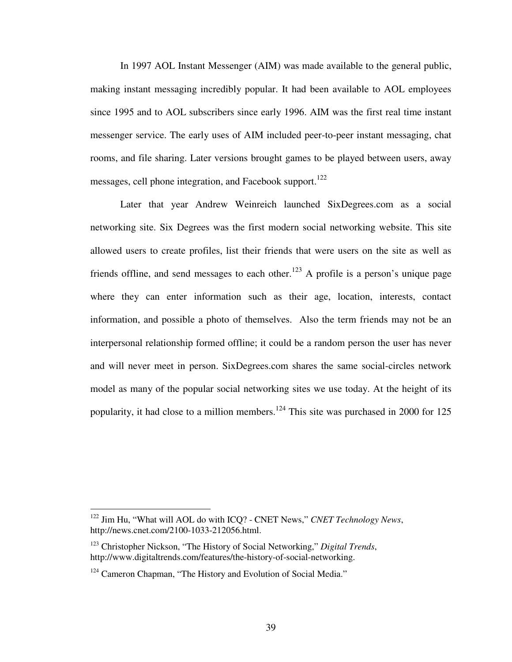In 1997 AOL Instant Messenger (AIM) was made available to the general public, making instant messaging incredibly popular. It had been available to AOL employees since 1995 and to AOL subscribers since early 1996. AIM was the first real time instant messenger service. The early uses of AIM included peer-to-peer instant messaging, chat rooms, and file sharing. Later versions brought games to be played between users, away messages, cell phone integration, and Facebook support.<sup>122</sup>

Later that year Andrew Weinreich launched SixDegrees.com as a social networking site. Six Degrees was the first modern social networking website. This site allowed users to create profiles, list their friends that were users on the site as well as friends offline, and send messages to each other.<sup>123</sup> A profile is a person's unique page where they can enter information such as their age, location, interests, contact information, and possible a photo of themselves. Also the term friends may not be an interpersonal relationship formed offline; it could be a random person the user has never and will never meet in person. SixDegrees.com shares the same social-circles network model as many of the popular social networking sites we use today. At the height of its popularity, it had close to a million members.<sup>124</sup> This site was purchased in 2000 for 125

<sup>122</sup> Jim Hu, "What will AOL do with ICQ? - CNET News," *CNET Technology News*, http://news.cnet.com/2100-1033-212056.html.

<sup>123</sup> Christopher Nickson, "The History of Social Networking," *Digital Trends*, http://www.digitaltrends.com/features/the-history-of-social-networking.

<sup>&</sup>lt;sup>124</sup> Cameron Chapman, "The History and Evolution of Social Media."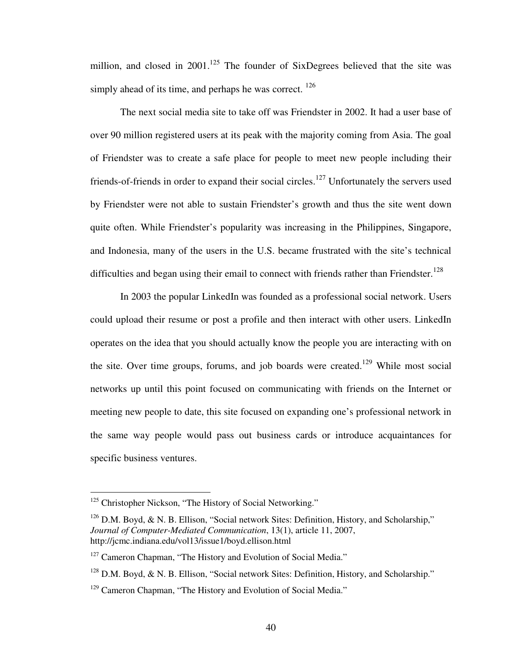million, and closed in  $2001$ .<sup>125</sup> The founder of SixDegrees believed that the site was simply ahead of its time, and perhaps he was correct.  $126$ 

The next social media site to take off was Friendster in 2002. It had a user base of over 90 million registered users at its peak with the majority coming from Asia. The goal of Friendster was to create a safe place for people to meet new people including their friends-of-friends in order to expand their social circles.<sup>127</sup> Unfortunately the servers used by Friendster were not able to sustain Friendster's growth and thus the site went down quite often. While Friendster's popularity was increasing in the Philippines, Singapore, and Indonesia, many of the users in the U.S. became frustrated with the site's technical difficulties and began using their email to connect with friends rather than Friendster.<sup>128</sup>

In 2003 the popular LinkedIn was founded as a professional social network. Users could upload their resume or post a profile and then interact with other users. LinkedIn operates on the idea that you should actually know the people you are interacting with on the site. Over time groups, forums, and job boards were created.<sup>129</sup> While most social networks up until this point focused on communicating with friends on the Internet or meeting new people to date, this site focused on expanding one's professional network in the same way people would pass out business cards or introduce acquaintances for specific business ventures.

<sup>&</sup>lt;sup>125</sup> Christopher Nickson, "The History of Social Networking."

<sup>&</sup>lt;sup>126</sup> D.M. Boyd, & N. B. Ellison, "Social network Sites: Definition, History, and Scholarship," *Journal of Computer-Mediated Communication*, 13(1), article 11, 2007, http://jcmc.indiana.edu/vol13/issue1/boyd.ellison.html

<sup>&</sup>lt;sup>127</sup> Cameron Chapman, "The History and Evolution of Social Media."

<sup>&</sup>lt;sup>128</sup> D.M. Boyd, & N. B. Ellison, "Social network Sites: Definition, History, and Scholarship."

<sup>&</sup>lt;sup>129</sup> Cameron Chapman, "The History and Evolution of Social Media."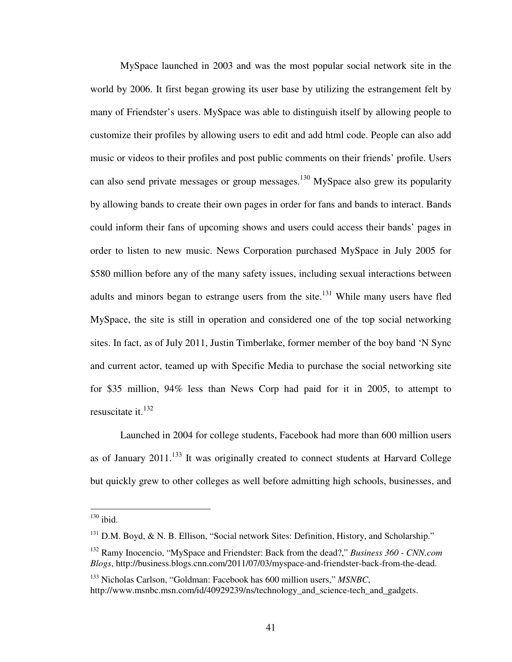MySpace launched in 2003 and was the most popular social network site in the world by 2006. It first began growing its user base by utilizing the estrangement felt by many of Friendster's users. MySpace was able to distinguish itself by allowing people to customize their profiles by allowing users to edit and add html code. People can also add music or videos to their profiles and post public comments on their friends' profile. Users can also send private messages or group messages.<sup>130</sup> MySpace also grew its popularity by allowing bands to create their own pages in order for fans and bands to interact. Bands could inform their fans of upcoming shows and users could access their bands' pages in order to listen to new music. News Corporation purchased MySpace in July 2005 for \$580 million before any of the many safety issues, including sexual interactions between adults and minors began to estrange users from the site.<sup>131</sup> While many users have fled MySpace, the site is still in operation and considered one of the top social networking sites. In fact, as of July 2011, Justin Timberlake, former member of the boy band 'N Sync and current actor, teamed up with Specific Media to purchase the social networking site for \$35 million, 94% less than News Corp had paid for it in 2005, to attempt to resuscitate it. $^{132}$ 

Launched in 2004 for college students, Facebook had more than 600 million users as of January  $2011$ <sup>133</sup>. It was originally created to connect students at Harvard College but quickly grew to other colleges as well before admitting high schools, businesses, and

 $130$  ibid.

 $131$  D.M. Boyd, & N. B. Ellison, "Social network Sites: Definition, History, and Scholarship."

<sup>132</sup> Ramy Inocencio, "MySpace and Friendster: Back from the dead?," *Business 360 - CNN.com Blogs*, http://business.blogs.cnn.com/2011/07/03/myspace-and-friendster-back-from-the-dead.

<sup>133</sup> Nicholas Carlson, "Goldman: Facebook has 600 million users," *MSNBC*, http://www.msnbc.msn.com/id/40929239/ns/technology and science-tech and gadgets.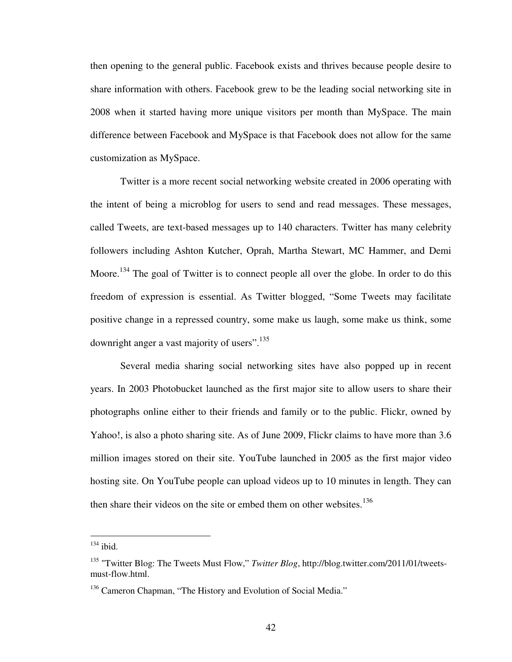then opening to the general public. Facebook exists and thrives because people desire to share information with others. Facebook grew to be the leading social networking site in 2008 when it started having more unique visitors per month than MySpace. The main difference between Facebook and MySpace is that Facebook does not allow for the same customization as MySpace.

Twitter is a more recent social networking website created in 2006 operating with the intent of being a microblog for users to send and read messages. These messages, called Tweets, are text-based messages up to 140 characters. Twitter has many celebrity followers including Ashton Kutcher, Oprah, Martha Stewart, MC Hammer, and Demi Moore.<sup>134</sup> The goal of Twitter is to connect people all over the globe. In order to do this freedom of expression is essential. As Twitter blogged, "Some Tweets may facilitate positive change in a repressed country, some make us laugh, some make us think, some downright anger a vast majority of users".<sup>135</sup>

Several media sharing social networking sites have also popped up in recent years. In 2003 Photobucket launched as the first major site to allow users to share their photographs online either to their friends and family or to the public. Flickr, owned by Yahoo!, is also a photo sharing site. As of June 2009, Flickr claims to have more than 3.6 million images stored on their site. YouTube launched in 2005 as the first major video hosting site. On YouTube people can upload videos up to 10 minutes in length. They can then share their videos on the site or embed them on other websites.<sup>136</sup>

 $134$  ibid.

<sup>135</sup> "Twitter Blog: The Tweets Must Flow," *Twitter Blog*, http://blog.twitter.com/2011/01/tweetsmust-flow.html.

<sup>&</sup>lt;sup>136</sup> Cameron Chapman, "The History and Evolution of Social Media."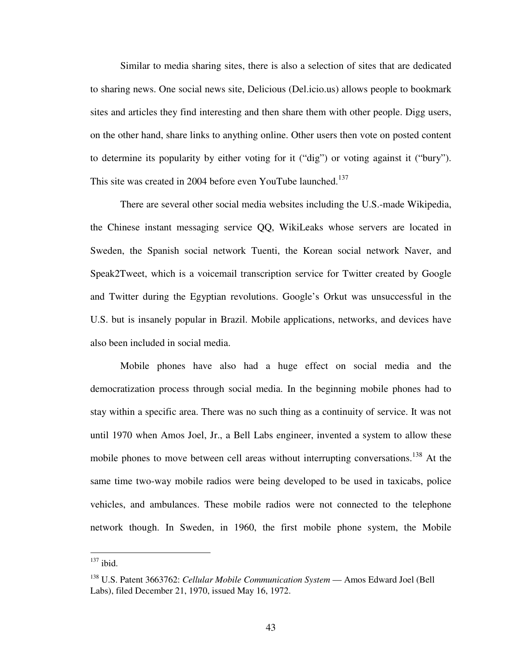Similar to media sharing sites, there is also a selection of sites that are dedicated to sharing news. One social news site, Delicious (Del.icio.us) allows people to bookmark sites and articles they find interesting and then share them with other people. Digg users, on the other hand, share links to anything online. Other users then vote on posted content to determine its popularity by either voting for it ("dig") or voting against it ("bury"). This site was created in 2004 before even YouTube launched.<sup>137</sup>

There are several other social media websites including the U.S.-made Wikipedia, the Chinese instant messaging service QQ, WikiLeaks whose servers are located in Sweden, the Spanish social network Tuenti, the Korean social network Naver, and Speak2Tweet, which is a voicemail transcription service for Twitter created by Google and Twitter during the Egyptian revolutions. Google's Orkut was unsuccessful in the U.S. but is insanely popular in Brazil. Mobile applications, networks, and devices have also been included in social media.

Mobile phones have also had a huge effect on social media and the democratization process through social media. In the beginning mobile phones had to stay within a specific area. There was no such thing as a continuity of service. It was not until 1970 when Amos Joel, Jr., a Bell Labs engineer, invented a system to allow these mobile phones to move between cell areas without interrupting conversations.<sup>138</sup> At the same time two-way mobile radios were being developed to be used in taxicabs, police vehicles, and ambulances. These mobile radios were not connected to the telephone network though. In Sweden, in 1960, the first mobile phone system, the Mobile

 $137$  ibid.

<sup>&</sup>lt;sup>138</sup> U.S. Patent 3663762: *Cellular Mobile Communication System* — Amos Edward Joel (Bell Labs), filed December 21, 1970, issued May 16, 1972.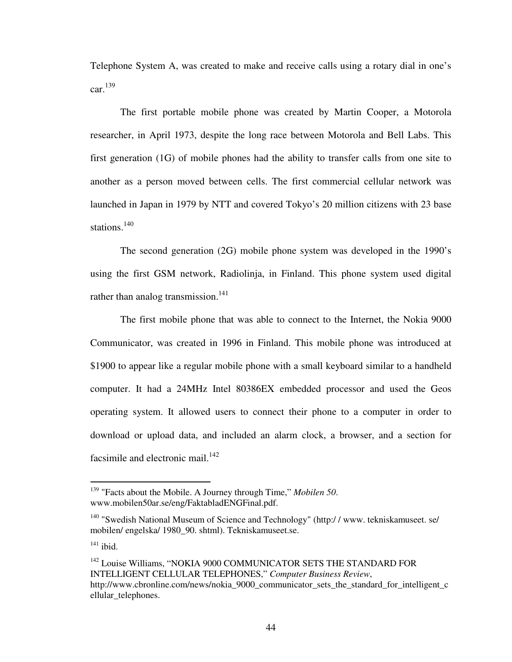Telephone System A, was created to make and receive calls using a rotary dial in one's  $car.<sup>139</sup>$ 

The first portable mobile phone was created by Martin Cooper, a Motorola researcher, in April 1973, despite the long race between Motorola and Bell Labs. This first generation (1G) of mobile phones had the ability to transfer calls from one site to another as a person moved between cells. The first commercial cellular network was launched in Japan in 1979 by NTT and covered Tokyo's 20 million citizens with 23 base stations.<sup>140</sup>

The second generation (2G) mobile phone system was developed in the 1990's using the first GSM network, Radiolinja, in Finland. This phone system used digital rather than analog transmission.<sup>141</sup>

The first mobile phone that was able to connect to the Internet, the Nokia 9000 Communicator, was created in 1996 in Finland. This mobile phone was introduced at \$1900 to appear like a regular mobile phone with a small keyboard similar to a handheld computer. It had a 24MHz Intel 80386EX embedded processor and used the Geos operating system. It allowed users to connect their phone to a computer in order to download or upload data, and included an alarm clock, a browser, and a section for facsimile and electronic mail. $^{142}$ 

<sup>139</sup> "Facts about the Mobile. A Journey through Time," *Mobilen 50*. www.mobilen50ar.se/eng/FaktabladENGFinal.pdf.

<sup>&</sup>lt;sup>140</sup> "Swedish National Museum of Science and Technology" (http://www.tekniskamuseet. se/ mobilen/ engelska/ 1980\_90. shtml). Tekniskamuseet.se.

 $141$  ibid.

<sup>&</sup>lt;sup>142</sup> Louise Williams, "NOKIA 9000 COMMUNICATOR SETS THE STANDARD FOR INTELLIGENT CELLULAR TELEPHONES," *Computer Business Review*, http://www.cbronline.com/news/nokia\_9000\_communicator\_sets\_the\_standard\_for\_intelligent\_c ellular telephones.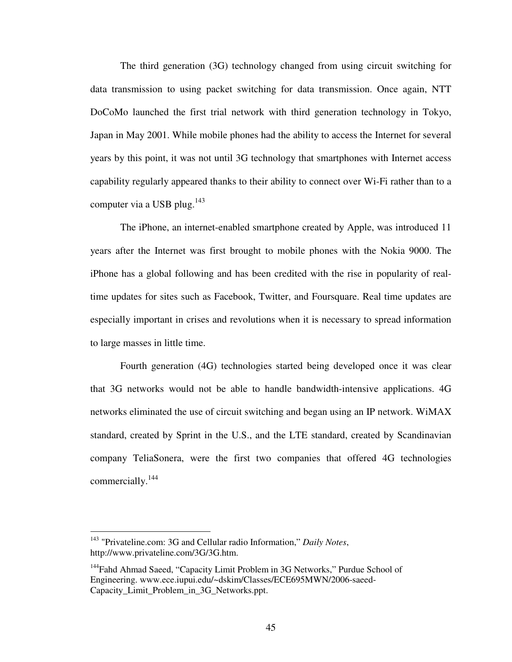The third generation (3G) technology changed from using circuit switching for data transmission to using packet switching for data transmission. Once again, NTT DoCoMo launched the first trial network with third generation technology in Tokyo, Japan in May 2001. While mobile phones had the ability to access the Internet for several years by this point, it was not until 3G technology that smartphones with Internet access capability regularly appeared thanks to their ability to connect over Wi-Fi rather than to a computer via a USB plug.<sup>143</sup>

The iPhone, an internet-enabled smartphone created by Apple, was introduced 11 years after the Internet was first brought to mobile phones with the Nokia 9000. The iPhone has a global following and has been credited with the rise in popularity of realtime updates for sites such as Facebook, Twitter, and Foursquare. Real time updates are especially important in crises and revolutions when it is necessary to spread information to large masses in little time.

Fourth generation (4G) technologies started being developed once it was clear that 3G networks would not be able to handle bandwidth-intensive applications. 4G networks eliminated the use of circuit switching and began using an IP network. WiMAX standard, created by Sprint in the U.S., and the LTE standard, created by Scandinavian company TeliaSonera, were the first two companies that offered 4G technologies commercially.<sup>144</sup>

<sup>143</sup> "Privateline.com: 3G and Cellular radio Information," *Daily Notes*, http://www.privateline.com/3G/3G.htm.

<sup>&</sup>lt;sup>144</sup>Fahd Ahmad Saeed, "Capacity Limit Problem in 3G Networks," Purdue School of Engineering. www.ece.iupui.edu/~dskim/Classes/ECE695MWN/2006-saeed-Capacity\_Limit\_Problem\_in\_3G\_Networks.ppt.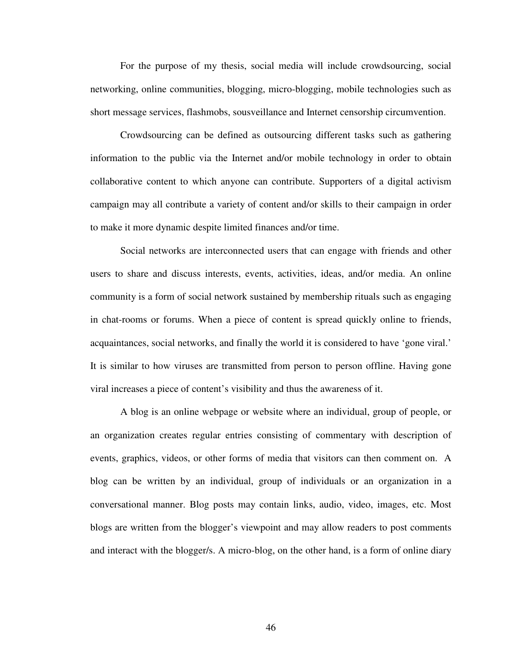For the purpose of my thesis, social media will include crowdsourcing, social networking, online communities, blogging, micro-blogging, mobile technologies such as short message services, flashmobs, sousveillance and Internet censorship circumvention.

Crowdsourcing can be defined as outsourcing different tasks such as gathering information to the public via the Internet and/or mobile technology in order to obtain collaborative content to which anyone can contribute. Supporters of a digital activism campaign may all contribute a variety of content and/or skills to their campaign in order to make it more dynamic despite limited finances and/or time.

Social networks are interconnected users that can engage with friends and other users to share and discuss interests, events, activities, ideas, and/or media. An online community is a form of social network sustained by membership rituals such as engaging in chat-rooms or forums. When a piece of content is spread quickly online to friends, acquaintances, social networks, and finally the world it is considered to have 'gone viral.' It is similar to how viruses are transmitted from person to person offline. Having gone viral increases a piece of content's visibility and thus the awareness of it.

A blog is an online webpage or website where an individual, group of people, or an organization creates regular entries consisting of commentary with description of events, graphics, videos, or other forms of media that visitors can then comment on. A blog can be written by an individual, group of individuals or an organization in a conversational manner. Blog posts may contain links, audio, video, images, etc. Most blogs are written from the blogger's viewpoint and may allow readers to post comments and interact with the blogger/s. A micro-blog, on the other hand, is a form of online diary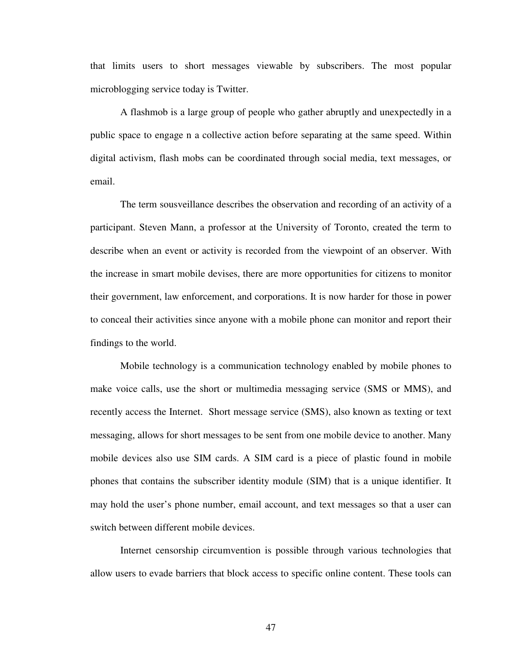that limits users to short messages viewable by subscribers. The most popular microblogging service today is Twitter.

A flashmob is a large group of people who gather abruptly and unexpectedly in a public space to engage n a collective action before separating at the same speed. Within digital activism, flash mobs can be coordinated through social media, text messages, or email.

The term sousveillance describes the observation and recording of an activity of a participant. Steven Mann, a professor at the University of Toronto, created the term to describe when an event or activity is recorded from the viewpoint of an observer. With the increase in smart mobile devises, there are more opportunities for citizens to monitor their government, law enforcement, and corporations. It is now harder for those in power to conceal their activities since anyone with a mobile phone can monitor and report their findings to the world.

Mobile technology is a communication technology enabled by mobile phones to make voice calls, use the short or multimedia messaging service (SMS or MMS), and recently access the Internet. Short message service (SMS), also known as texting or text messaging, allows for short messages to be sent from one mobile device to another. Many mobile devices also use SIM cards. A SIM card is a piece of plastic found in mobile phones that contains the subscriber identity module (SIM) that is a unique identifier. It may hold the user's phone number, email account, and text messages so that a user can switch between different mobile devices.

Internet censorship circumvention is possible through various technologies that allow users to evade barriers that block access to specific online content. These tools can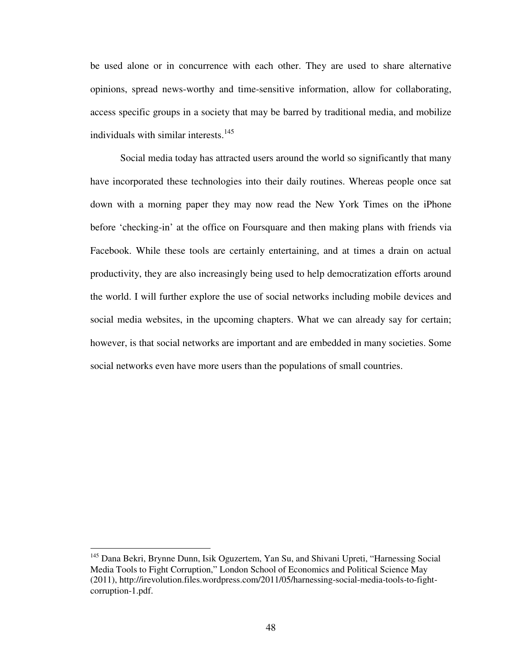be used alone or in concurrence with each other. They are used to share alternative opinions, spread news-worthy and time-sensitive information, allow for collaborating, access specific groups in a society that may be barred by traditional media, and mobilize individuals with similar interests. $145$ 

Social media today has attracted users around the world so significantly that many have incorporated these technologies into their daily routines. Whereas people once sat down with a morning paper they may now read the New York Times on the iPhone before 'checking-in' at the office on Foursquare and then making plans with friends via Facebook. While these tools are certainly entertaining, and at times a drain on actual productivity, they are also increasingly being used to help democratization efforts around the world. I will further explore the use of social networks including mobile devices and social media websites, in the upcoming chapters. What we can already say for certain; however, is that social networks are important and are embedded in many societies. Some social networks even have more users than the populations of small countries.

<sup>&</sup>lt;sup>145</sup> Dana Bekri, Brynne Dunn, Isik Oguzertem, Yan Su, and Shivani Upreti, "Harnessing Social Media Tools to Fight Corruption," London School of Economics and Political Science May (2011), http://irevolution.files.wordpress.com/2011/05/harnessing-social-media-tools-to-fightcorruption-1.pdf.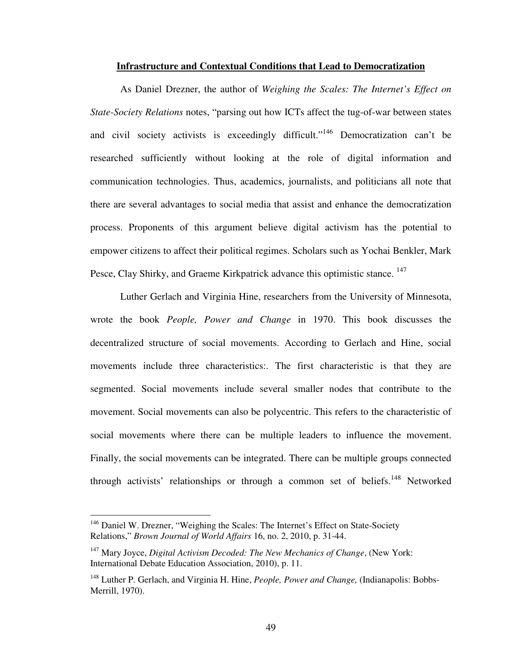## **Infrastructure and Contextual Conditions that Lead to Democratization**

As Daniel Drezner, the author of *Weighing the Scales: The Internet's Effect on State-Society Relations* notes, "parsing out how ICTs affect the tug-of-war between states and civil society activists is exceedingly difficult."<sup>146</sup> Democratization can't be researched sufficiently without looking at the role of digital information and communication technologies. Thus, academics, journalists, and politicians all note that there are several advantages to social media that assist and enhance the democratization process. Proponents of this argument believe digital activism has the potential to empower citizens to affect their political regimes. Scholars such as Yochai Benkler, Mark Pesce, Clay Shirky, and Graeme Kirkpatrick advance this optimistic stance.<sup>147</sup>

Luther Gerlach and Virginia Hine, researchers from the University of Minnesota, wrote the book *People, Power and Change* in 1970. This book discusses the decentralized structure of social movements. According to Gerlach and Hine, social movements include three characteristics:. The first characteristic is that they are segmented. Social movements include several smaller nodes that contribute to the movement. Social movements can also be polycentric. This refers to the characteristic of social movements where there can be multiple leaders to influence the movement. Finally, the social movements can be integrated. There can be multiple groups connected through activists' relationships or through a common set of beliefs.<sup>148</sup> Networked

<sup>&</sup>lt;sup>146</sup> Daniel W. Drezner, "Weighing the Scales: The Internet's Effect on State-Society Relations," *Brown Journal of World Affairs* 16, no. 2, 2010, p. 31-44.

<sup>147</sup> Mary Joyce, *Digital Activism Decoded: The New Mechanics of Change*, (New York: International Debate Education Association, 2010), p. 11.

<sup>148</sup> Luther P. Gerlach, and Virginia H. Hine, *People, Power and Change,* (Indianapolis: Bobbs-Merrill, 1970).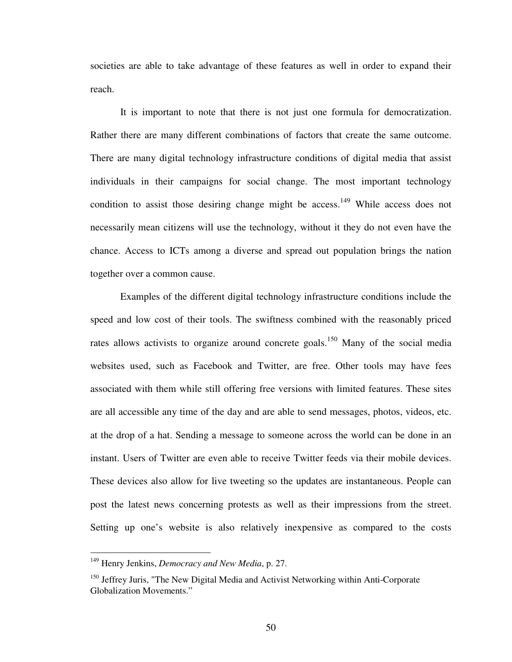societies are able to take advantage of these features as well in order to expand their reach.

It is important to note that there is not just one formula for democratization. Rather there are many different combinations of factors that create the same outcome. There are many digital technology infrastructure conditions of digital media that assist individuals in their campaigns for social change. The most important technology condition to assist those desiring change might be access.<sup>149</sup> While access does not necessarily mean citizens will use the technology, without it they do not even have the chance. Access to ICTs among a diverse and spread out population brings the nation together over a common cause.

Examples of the different digital technology infrastructure conditions include the speed and low cost of their tools. The swiftness combined with the reasonably priced rates allows activists to organize around concrete goals.<sup>150</sup> Many of the social media websites used, such as Facebook and Twitter, are free. Other tools may have fees associated with them while still offering free versions with limited features. These sites are all accessible any time of the day and are able to send messages, photos, videos, etc. at the drop of a hat. Sending a message to someone across the world can be done in an instant. Users of Twitter are even able to receive Twitter feeds via their mobile devices. These devices also allow for live tweeting so the updates are instantaneous. People can post the latest news concerning protests as well as their impressions from the street. Setting up one's website is also relatively inexpensive as compared to the costs

<u>.</u>

<sup>149</sup> Henry Jenkins, *Democracy and New Media*, p. 27.

<sup>&</sup>lt;sup>150</sup> Jeffrey Juris, "The New Digital Media and Activist Networking within Anti-Corporate Globalization Movements."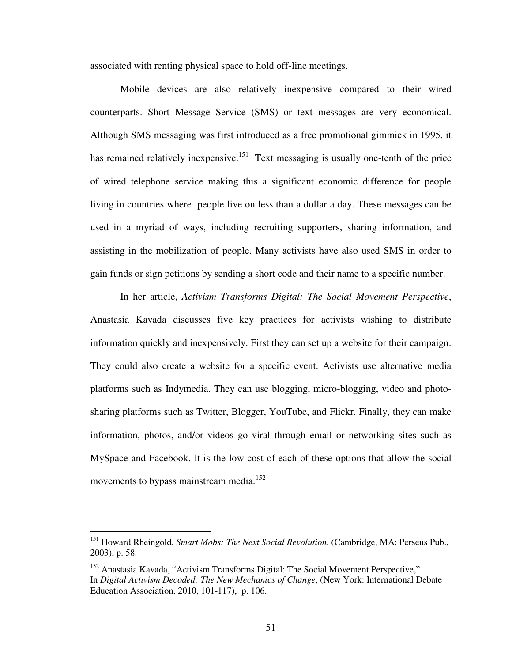associated with renting physical space to hold off-line meetings.

Mobile devices are also relatively inexpensive compared to their wired counterparts. Short Message Service (SMS) or text messages are very economical. Although SMS messaging was first introduced as a free promotional gimmick in 1995, it has remained relatively inexpensive.<sup>151</sup> Text messaging is usually one-tenth of the price of wired telephone service making this a significant economic difference for people living in countries where people live on less than a dollar a day. These messages can be used in a myriad of ways, including recruiting supporters, sharing information, and assisting in the mobilization of people. Many activists have also used SMS in order to gain funds or sign petitions by sending a short code and their name to a specific number.

In her article, *Activism Transforms Digital: The Social Movement Perspective*, Anastasia Kavada discusses five key practices for activists wishing to distribute information quickly and inexpensively. First they can set up a website for their campaign. They could also create a website for a specific event. Activists use alternative media platforms such as Indymedia. They can use blogging, micro-blogging, video and photosharing platforms such as Twitter, Blogger, YouTube, and Flickr. Finally, they can make information, photos, and/or videos go viral through email or networking sites such as MySpace and Facebook. It is the low cost of each of these options that allow the social movements to bypass mainstream media.<sup>152</sup>

<sup>151</sup> Howard Rheingold, *Smart Mobs: The Next Social Revolution*, (Cambridge, MA: Perseus Pub., 2003), p. 58.

<sup>&</sup>lt;sup>152</sup> Anastasia Kavada, "Activism Transforms Digital: The Social Movement Perspective," In *Digital Activism Decoded: The New Mechanics of Change*, (New York: International Debate Education Association, 2010, 101-117), p. 106.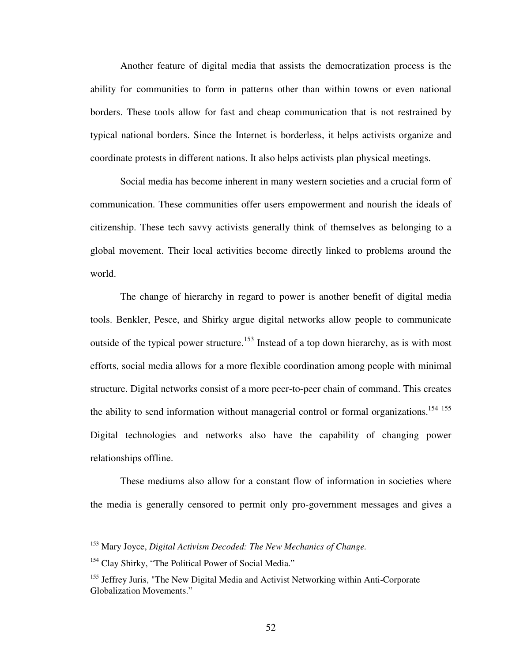Another feature of digital media that assists the democratization process is the ability for communities to form in patterns other than within towns or even national borders. These tools allow for fast and cheap communication that is not restrained by typical national borders. Since the Internet is borderless, it helps activists organize and coordinate protests in different nations. It also helps activists plan physical meetings.

Social media has become inherent in many western societies and a crucial form of communication. These communities offer users empowerment and nourish the ideals of citizenship. These tech savvy activists generally think of themselves as belonging to a global movement. Their local activities become directly linked to problems around the world.

The change of hierarchy in regard to power is another benefit of digital media tools. Benkler, Pesce, and Shirky argue digital networks allow people to communicate outside of the typical power structure.<sup>153</sup> Instead of a top down hierarchy, as is with most efforts, social media allows for a more flexible coordination among people with minimal structure. Digital networks consist of a more peer-to-peer chain of command. This creates the ability to send information without managerial control or formal organizations.<sup>154 155</sup> Digital technologies and networks also have the capability of changing power relationships offline.

These mediums also allow for a constant flow of information in societies where the media is generally censored to permit only pro-government messages and gives a

<sup>153</sup> Mary Joyce, *Digital Activism Decoded: The New Mechanics of Change.*

<sup>&</sup>lt;sup>154</sup> Clay Shirky, "The Political Power of Social Media."

<sup>&</sup>lt;sup>155</sup> Jeffrey Juris, "The New Digital Media and Activist Networking within Anti-Corporate Globalization Movements."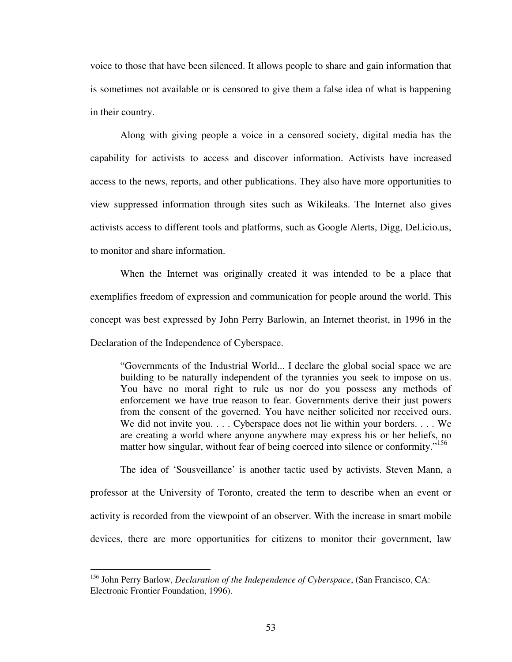voice to those that have been silenced. It allows people to share and gain information that is sometimes not available or is censored to give them a false idea of what is happening in their country.

Along with giving people a voice in a censored society, digital media has the capability for activists to access and discover information. Activists have increased access to the news, reports, and other publications. They also have more opportunities to view suppressed information through sites such as Wikileaks. The Internet also gives activists access to different tools and platforms, such as Google Alerts, Digg, Del.icio.us, to monitor and share information.

When the Internet was originally created it was intended to be a place that exemplifies freedom of expression and communication for people around the world. This concept was best expressed by John Perry Barlowin, an Internet theorist, in 1996 in the Declaration of the Independence of Cyberspace.

"Governments of the Industrial World... I declare the global social space we are building to be naturally independent of the tyrannies you seek to impose on us. You have no moral right to rule us nor do you possess any methods of enforcement we have true reason to fear. Governments derive their just powers from the consent of the governed. You have neither solicited nor received ours. We did not invite you. . . . Cyberspace does not lie within your borders. . . . We are creating a world where anyone anywhere may express his or her beliefs, no matter how singular, without fear of being coerced into silence or conformity."<sup>156</sup>

The idea of 'Sousveillance' is another tactic used by activists. Steven Mann, a professor at the University of Toronto, created the term to describe when an event or activity is recorded from the viewpoint of an observer. With the increase in smart mobile devices, there are more opportunities for citizens to monitor their government, law

<sup>156</sup> John Perry Barlow, *Declaration of the Independence of Cyberspace*, (San Francisco, CA: Electronic Frontier Foundation, 1996).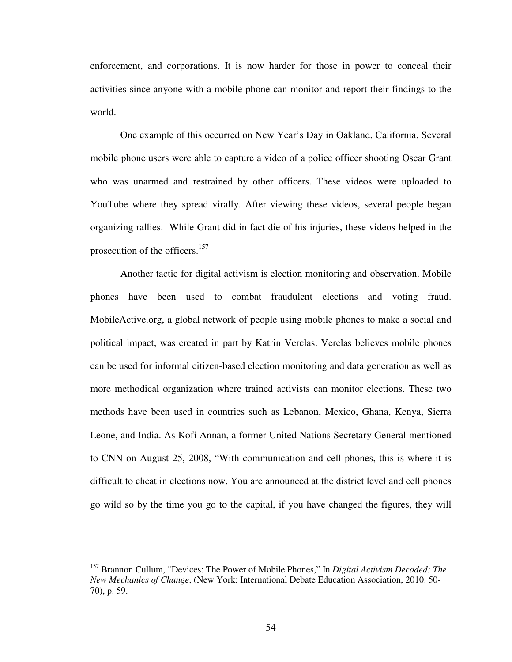enforcement, and corporations. It is now harder for those in power to conceal their activities since anyone with a mobile phone can monitor and report their findings to the world.

One example of this occurred on New Year's Day in Oakland, California. Several mobile phone users were able to capture a video of a police officer shooting Oscar Grant who was unarmed and restrained by other officers. These videos were uploaded to YouTube where they spread virally. After viewing these videos, several people began organizing rallies. While Grant did in fact die of his injuries, these videos helped in the prosecution of the officers.<sup>157</sup>

Another tactic for digital activism is election monitoring and observation. Mobile phones have been used to combat fraudulent elections and voting fraud. MobileActive.org, a global network of people using mobile phones to make a social and political impact, was created in part by Katrin Verclas. Verclas believes mobile phones can be used for informal citizen-based election monitoring and data generation as well as more methodical organization where trained activists can monitor elections. These two methods have been used in countries such as Lebanon, Mexico, Ghana, Kenya, Sierra Leone, and India. As Kofi Annan, a former United Nations Secretary General mentioned to CNN on August 25, 2008, "With communication and cell phones, this is where it is difficult to cheat in elections now. You are announced at the district level and cell phones go wild so by the time you go to the capital, if you have changed the figures, they will

<sup>157</sup> Brannon Cullum, "Devices: The Power of Mobile Phones," In *Digital Activism Decoded: The New Mechanics of Change*, (New York: International Debate Education Association, 2010. 50- 70), p. 59.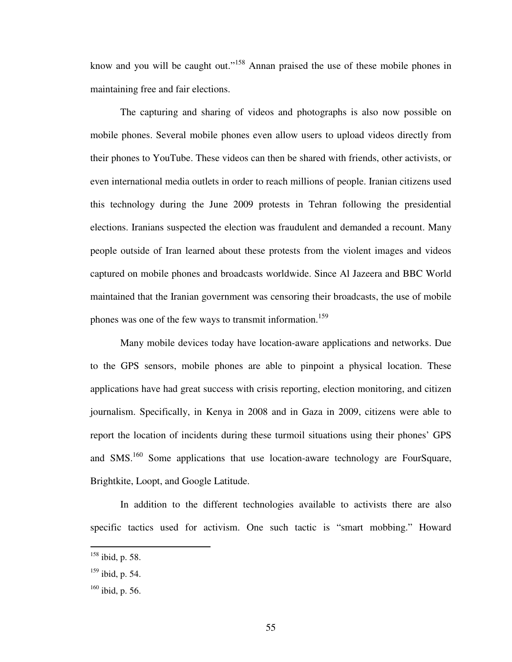know and you will be caught out."<sup>158</sup> Annan praised the use of these mobile phones in maintaining free and fair elections.

The capturing and sharing of videos and photographs is also now possible on mobile phones. Several mobile phones even allow users to upload videos directly from their phones to YouTube. These videos can then be shared with friends, other activists, or even international media outlets in order to reach millions of people. Iranian citizens used this technology during the June 2009 protests in Tehran following the presidential elections. Iranians suspected the election was fraudulent and demanded a recount. Many people outside of Iran learned about these protests from the violent images and videos captured on mobile phones and broadcasts worldwide. Since Al Jazeera and BBC World maintained that the Iranian government was censoring their broadcasts, the use of mobile phones was one of the few ways to transmit information.<sup>159</sup>

Many mobile devices today have location-aware applications and networks. Due to the GPS sensors, mobile phones are able to pinpoint a physical location. These applications have had great success with crisis reporting, election monitoring, and citizen journalism. Specifically, in Kenya in 2008 and in Gaza in 2009, citizens were able to report the location of incidents during these turmoil situations using their phones' GPS and SMS.<sup>160</sup> Some applications that use location-aware technology are FourSquare, Brightkite, Loopt, and Google Latitude.

In addition to the different technologies available to activists there are also specific tactics used for activism. One such tactic is "smart mobbing." Howard

 $158$  ibid, p. 58.

 $159$  ibid, p. 54.

 $160$  ibid, p. 56.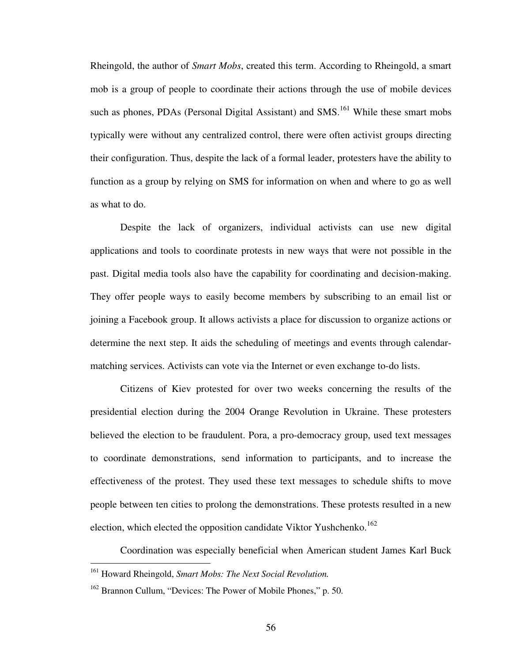Rheingold, the author of *Smart Mobs*, created this term. According to Rheingold, a smart mob is a group of people to coordinate their actions through the use of mobile devices such as phones, PDAs (Personal Digital Assistant) and  $SMS$ <sup>161</sup> While these smart mobs typically were without any centralized control, there were often activist groups directing their configuration. Thus, despite the lack of a formal leader, protesters have the ability to function as a group by relying on SMS for information on when and where to go as well as what to do.

Despite the lack of organizers, individual activists can use new digital applications and tools to coordinate protests in new ways that were not possible in the past. Digital media tools also have the capability for coordinating and decision-making. They offer people ways to easily become members by subscribing to an email list or joining a Facebook group. It allows activists a place for discussion to organize actions or determine the next step. It aids the scheduling of meetings and events through calendarmatching services. Activists can vote via the Internet or even exchange to-do lists.

Citizens of Kiev protested for over two weeks concerning the results of the presidential election during the 2004 Orange Revolution in Ukraine. These protesters believed the election to be fraudulent. Pora, a pro-democracy group, used text messages to coordinate demonstrations, send information to participants, and to increase the effectiveness of the protest. They used these text messages to schedule shifts to move people between ten cities to prolong the demonstrations. These protests resulted in a new election, which elected the opposition candidate Viktor Yushchenko.<sup>162</sup>

Coordination was especially beneficial when American student James Karl Buck

<sup>161</sup> Howard Rheingold, *Smart Mobs: The Next Social Revolution.*

<sup>&</sup>lt;sup>162</sup> Brannon Cullum, "Devices: The Power of Mobile Phones," p. 50.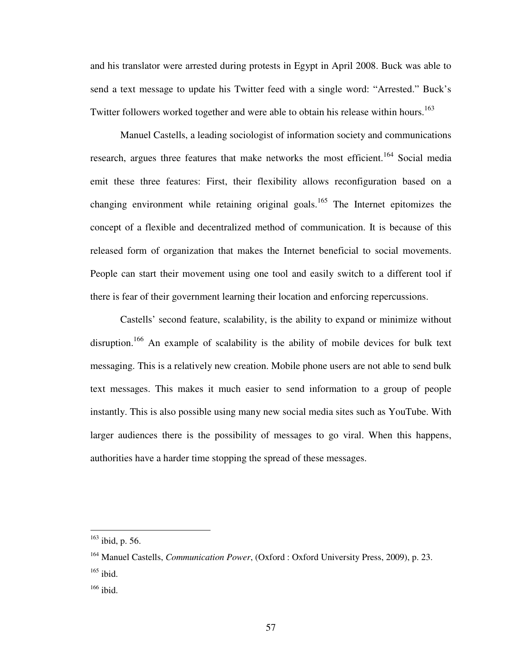and his translator were arrested during protests in Egypt in April 2008. Buck was able to send a text message to update his Twitter feed with a single word: "Arrested." Buck's Twitter followers worked together and were able to obtain his release within hours.<sup>163</sup>

Manuel Castells, a leading sociologist of information society and communications research, argues three features that make networks the most efficient.<sup>164</sup> Social media emit these three features: First, their flexibility allows reconfiguration based on a changing environment while retaining original goals.<sup>165</sup> The Internet epitomizes the concept of a flexible and decentralized method of communication. It is because of this released form of organization that makes the Internet beneficial to social movements. People can start their movement using one tool and easily switch to a different tool if there is fear of their government learning their location and enforcing repercussions.

Castells' second feature, scalability, is the ability to expand or minimize without disruption.<sup>166</sup> An example of scalability is the ability of mobile devices for bulk text messaging. This is a relatively new creation. Mobile phone users are not able to send bulk text messages. This makes it much easier to send information to a group of people instantly. This is also possible using many new social media sites such as YouTube. With larger audiences there is the possibility of messages to go viral. When this happens, authorities have a harder time stopping the spread of these messages.

 $163$  ibid, p. 56.

<sup>164</sup> Manuel Castells, *Communication Power*, (Oxford : Oxford University Press, 2009), p. 23.  $165$  ibid.

<sup>166</sup> ibid.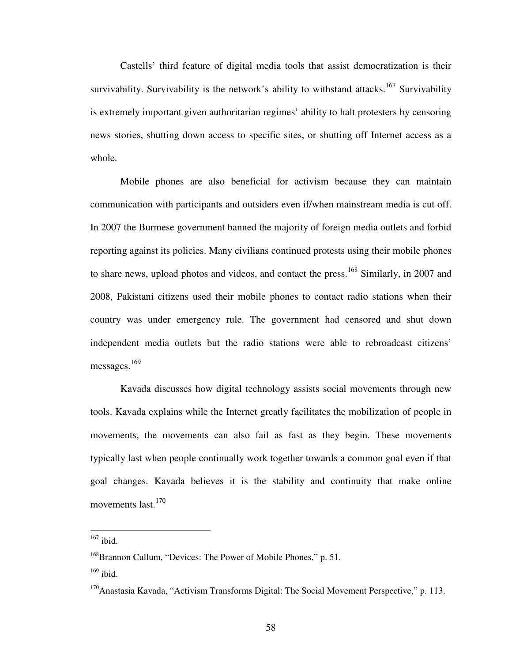Castells' third feature of digital media tools that assist democratization is their survivability. Survivability is the network's ability to withstand attacks.<sup>167</sup> Survivability is extremely important given authoritarian regimes' ability to halt protesters by censoring news stories, shutting down access to specific sites, or shutting off Internet access as a whole.

Mobile phones are also beneficial for activism because they can maintain communication with participants and outsiders even if/when mainstream media is cut off. In 2007 the Burmese government banned the majority of foreign media outlets and forbid reporting against its policies. Many civilians continued protests using their mobile phones to share news, upload photos and videos, and contact the press.<sup>168</sup> Similarly, in 2007 and 2008, Pakistani citizens used their mobile phones to contact radio stations when their country was under emergency rule. The government had censored and shut down independent media outlets but the radio stations were able to rebroadcast citizens' messages. 169

Kavada discusses how digital technology assists social movements through new tools. Kavada explains while the Internet greatly facilitates the mobilization of people in movements, the movements can also fail as fast as they begin. These movements typically last when people continually work together towards a common goal even if that goal changes. Kavada believes it is the stability and continuity that make online movements last.<sup>170</sup>

 $167$  ibid.

<sup>&</sup>lt;sup>168</sup>Brannon Cullum, "Devices: The Power of Mobile Phones," p. 51.

 $169$  ibid.

 $170$ Anastasia Kavada, "Activism Transforms Digital: The Social Movement Perspective," p. 113.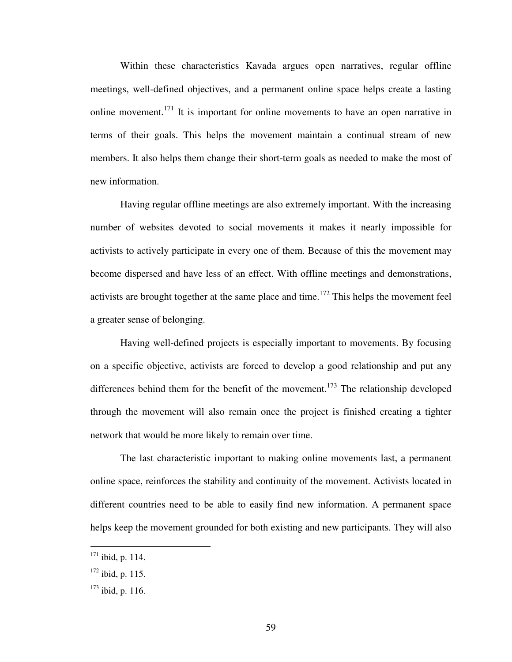Within these characteristics Kavada argues open narratives, regular offline meetings, well-defined objectives, and a permanent online space helps create a lasting online movement.<sup>171</sup> It is important for online movements to have an open narrative in terms of their goals. This helps the movement maintain a continual stream of new members. It also helps them change their short-term goals as needed to make the most of new information.

Having regular offline meetings are also extremely important. With the increasing number of websites devoted to social movements it makes it nearly impossible for activists to actively participate in every one of them. Because of this the movement may become dispersed and have less of an effect. With offline meetings and demonstrations, activists are brought together at the same place and time.<sup>172</sup> This helps the movement feel a greater sense of belonging.

Having well-defined projects is especially important to movements. By focusing on a specific objective, activists are forced to develop a good relationship and put any differences behind them for the benefit of the movement.<sup>173</sup> The relationship developed through the movement will also remain once the project is finished creating a tighter network that would be more likely to remain over time.

The last characteristic important to making online movements last, a permanent online space, reinforces the stability and continuity of the movement. Activists located in different countries need to be able to easily find new information. A permanent space helps keep the movement grounded for both existing and new participants. They will also

 $171$  ibid, p. 114.

 $172$  ibid, p. 115.

 $173$  ibid, p. 116.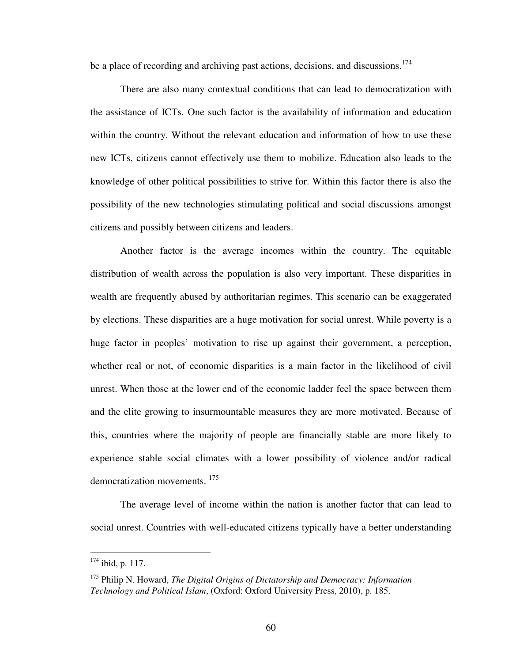be a place of recording and archiving past actions, decisions, and discussions.<sup>174</sup>

There are also many contextual conditions that can lead to democratization with the assistance of ICTs. One such factor is the availability of information and education within the country. Without the relevant education and information of how to use these new ICTs, citizens cannot effectively use them to mobilize. Education also leads to the knowledge of other political possibilities to strive for. Within this factor there is also the possibility of the new technologies stimulating political and social discussions amongst citizens and possibly between citizens and leaders.

Another factor is the average incomes within the country. The equitable distribution of wealth across the population is also very important. These disparities in wealth are frequently abused by authoritarian regimes. This scenario can be exaggerated by elections. These disparities are a huge motivation for social unrest. While poverty is a huge factor in peoples' motivation to rise up against their government, a perception, whether real or not, of economic disparities is a main factor in the likelihood of civil unrest. When those at the lower end of the economic ladder feel the space between them and the elite growing to insurmountable measures they are more motivated. Because of this, countries where the majority of people are financially stable are more likely to experience stable social climates with a lower possibility of violence and/or radical democratization movements.<sup>175</sup>

The average level of income within the nation is another factor that can lead to social unrest. Countries with well-educated citizens typically have a better understanding

<sup>174</sup> ibid, p. 117.

<sup>175</sup> Philip N. Howard, *The Digital Origins of Dictatorship and Democracy: Information Technology and Political Islam*, (Oxford: Oxford University Press, 2010), p. 185.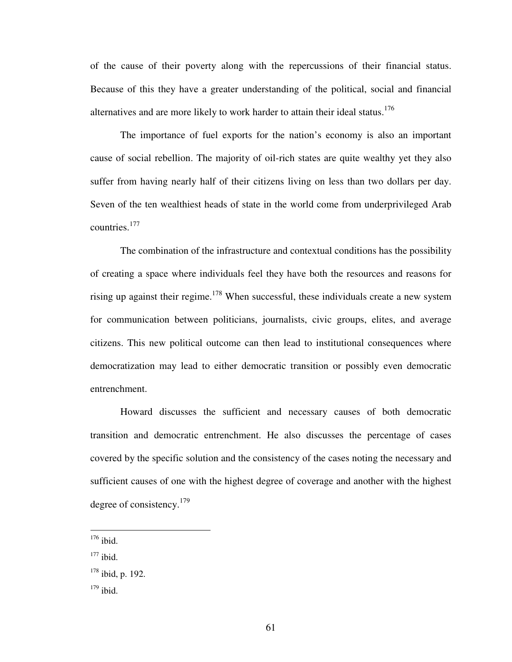of the cause of their poverty along with the repercussions of their financial status. Because of this they have a greater understanding of the political, social and financial alternatives and are more likely to work harder to attain their ideal status.<sup>176</sup>

The importance of fuel exports for the nation's economy is also an important cause of social rebellion. The majority of oil-rich states are quite wealthy yet they also suffer from having nearly half of their citizens living on less than two dollars per day. Seven of the ten wealthiest heads of state in the world come from underprivileged Arab countries.<sup>177</sup>

The combination of the infrastructure and contextual conditions has the possibility of creating a space where individuals feel they have both the resources and reasons for rising up against their regime.<sup>178</sup> When successful, these individuals create a new system for communication between politicians, journalists, civic groups, elites, and average citizens. This new political outcome can then lead to institutional consequences where democratization may lead to either democratic transition or possibly even democratic entrenchment.

Howard discusses the sufficient and necessary causes of both democratic transition and democratic entrenchment. He also discusses the percentage of cases covered by the specific solution and the consistency of the cases noting the necessary and sufficient causes of one with the highest degree of coverage and another with the highest degree of consistency.<sup>179</sup>

 $176$  ibid.

 $177$  ibid.

 $178$  ibid, p. 192.

 $179$  ibid.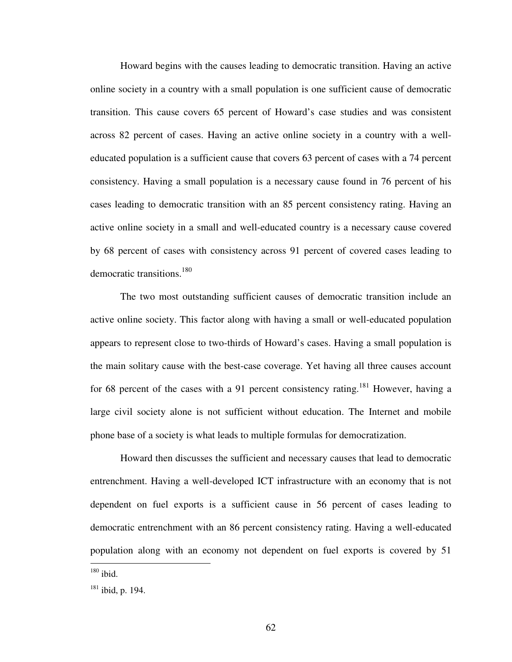Howard begins with the causes leading to democratic transition. Having an active online society in a country with a small population is one sufficient cause of democratic transition. This cause covers 65 percent of Howard's case studies and was consistent across 82 percent of cases. Having an active online society in a country with a welleducated population is a sufficient cause that covers 63 percent of cases with a 74 percent consistency. Having a small population is a necessary cause found in 76 percent of his cases leading to democratic transition with an 85 percent consistency rating. Having an active online society in a small and well-educated country is a necessary cause covered by 68 percent of cases with consistency across 91 percent of covered cases leading to democratic transitions.<sup>180</sup>

The two most outstanding sufficient causes of democratic transition include an active online society. This factor along with having a small or well-educated population appears to represent close to two-thirds of Howard's cases. Having a small population is the main solitary cause with the best-case coverage. Yet having all three causes account for 68 percent of the cases with a 91 percent consistency rating.<sup>181</sup> However, having a large civil society alone is not sufficient without education. The Internet and mobile phone base of a society is what leads to multiple formulas for democratization.

Howard then discusses the sufficient and necessary causes that lead to democratic entrenchment. Having a well-developed ICT infrastructure with an economy that is not dependent on fuel exports is a sufficient cause in 56 percent of cases leading to democratic entrenchment with an 86 percent consistency rating. Having a well-educated population along with an economy not dependent on fuel exports is covered by 51 -

 $180$  ibid.

<sup>181</sup> ibid, p. 194.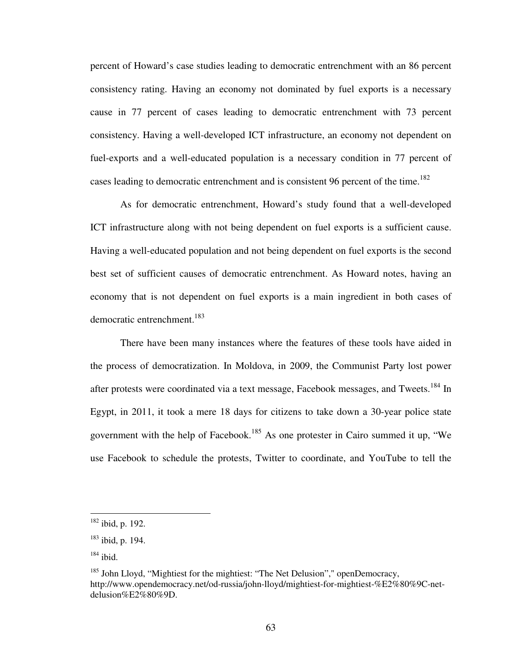percent of Howard's case studies leading to democratic entrenchment with an 86 percent consistency rating. Having an economy not dominated by fuel exports is a necessary cause in 77 percent of cases leading to democratic entrenchment with 73 percent consistency. Having a well-developed ICT infrastructure, an economy not dependent on fuel-exports and a well-educated population is a necessary condition in 77 percent of cases leading to democratic entrenchment and is consistent 96 percent of the time.<sup>182</sup>

As for democratic entrenchment, Howard's study found that a well-developed ICT infrastructure along with not being dependent on fuel exports is a sufficient cause. Having a well-educated population and not being dependent on fuel exports is the second best set of sufficient causes of democratic entrenchment. As Howard notes, having an economy that is not dependent on fuel exports is a main ingredient in both cases of democratic entrenchment.<sup>183</sup>

There have been many instances where the features of these tools have aided in the process of democratization. In Moldova, in 2009, the Communist Party lost power after protests were coordinated via a text message, Facebook messages, and Tweets.<sup>184</sup> In Egypt, in 2011, it took a mere 18 days for citizens to take down a 30-year police state government with the help of Facebook.<sup>185</sup> As one protester in Cairo summed it up, "We use Facebook to schedule the protests, Twitter to coordinate, and YouTube to tell the

 $182$  ibid, p. 192.

<sup>183</sup> ibid, p. 194.

 $184$  ibid.

 $185$  John Lloyd, "Mightiest for the mightiest: "The Net Delusion"," openDemocracy, http://www.opendemocracy.net/od-russia/john-lloyd/mightiest-for-mightiest-%E2%80%9C-netdelusion%E2%80%9D.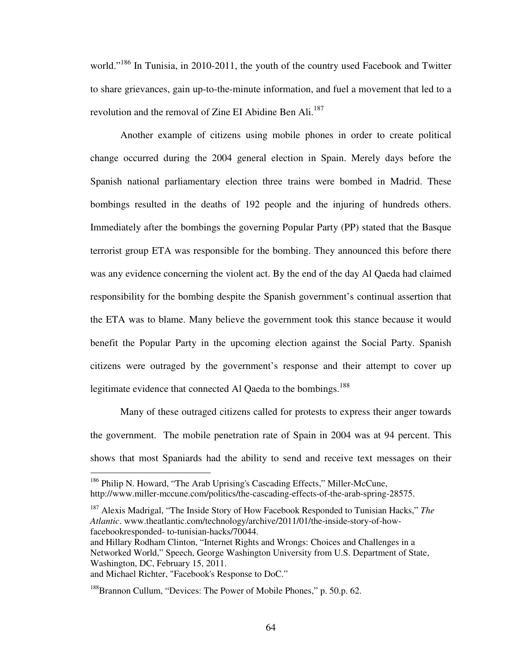world."<sup>186</sup> In Tunisia, in 2010-2011, the youth of the country used Facebook and Twitter to share grievances, gain up-to-the-minute information, and fuel a movement that led to a revolution and the removal of Zine EI Abidine Ben Ali.<sup>187</sup>

Another example of citizens using mobile phones in order to create political change occurred during the 2004 general election in Spain. Merely days before the Spanish national parliamentary election three trains were bombed in Madrid. These bombings resulted in the deaths of 192 people and the injuring of hundreds others. Immediately after the bombings the governing Popular Party (PP) stated that the Basque terrorist group ETA was responsible for the bombing. They announced this before there was any evidence concerning the violent act. By the end of the day Al Qaeda had claimed responsibility for the bombing despite the Spanish government's continual assertion that the ETA was to blame. Many believe the government took this stance because it would benefit the Popular Party in the upcoming election against the Social Party. Spanish citizens were outraged by the government's response and their attempt to cover up legitimate evidence that connected Al Qaeda to the bombings.<sup>188</sup>

Many of these outraged citizens called for protests to express their anger towards the government. The mobile penetration rate of Spain in 2004 was at 94 percent. This shows that most Spaniards had the ability to send and receive text messages on their

<sup>&</sup>lt;sup>186</sup> Philip N. Howard, "The Arab Uprising's Cascading Effects," Miller-McCune, http://www.miller-mccune.com/politics/the-cascading-effects-of-the-arab-spring-28575.

<sup>187</sup> Alexis Madrigal, "The Inside Story of How Facebook Responded to Tunisian Hacks," *The Atlantic*. www.theatlantic.com/technology/archive/2011/01/the-inside-story-of-howfacebookresponded- to-tunisian-hacks/70044.

and Hillary Rodham Clinton, "Internet Rights and Wrongs: Choices and Challenges in a Networked World," Speech, George Washington University from U.S. Department of State, Washington, DC, February 15, 2011.

and Michael Richter, "Facebook's Response to DoC."

<sup>&</sup>lt;sup>188</sup>Brannon Cullum, "Devices: The Power of Mobile Phones," p. 50.p. 62.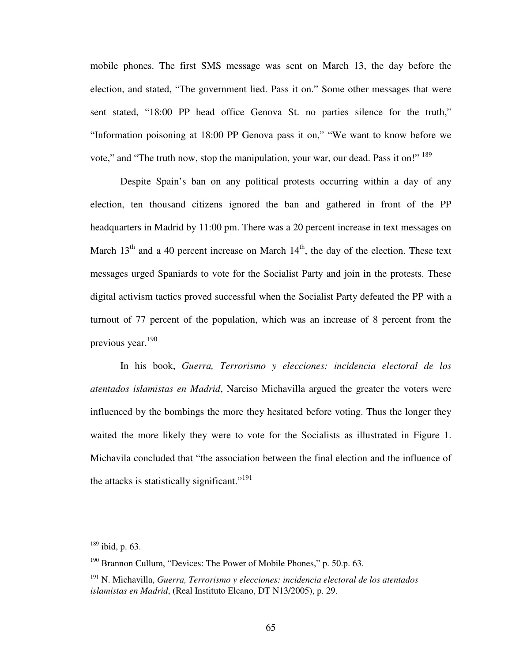mobile phones. The first SMS message was sent on March 13, the day before the election, and stated, "The government lied. Pass it on." Some other messages that were sent stated, "18:00 PP head office Genova St. no parties silence for the truth," "Information poisoning at 18:00 PP Genova pass it on," "We want to know before we vote," and "The truth now, stop the manipulation, your war, our dead. Pass it on!" <sup>189</sup>

Despite Spain's ban on any political protests occurring within a day of any election, ten thousand citizens ignored the ban and gathered in front of the PP headquarters in Madrid by 11:00 pm. There was a 20 percent increase in text messages on March  $13<sup>th</sup>$  and a 40 percent increase on March  $14<sup>th</sup>$ , the day of the election. These text messages urged Spaniards to vote for the Socialist Party and join in the protests. These digital activism tactics proved successful when the Socialist Party defeated the PP with a turnout of 77 percent of the population, which was an increase of 8 percent from the previous year.<sup>190</sup>

In his book, *Guerra, Terrorismo y elecciones: incidencia electoral de los atentados islamistas en Madrid*, Narciso Michavilla argued the greater the voters were influenced by the bombings the more they hesitated before voting. Thus the longer they waited the more likely they were to vote for the Socialists as illustrated in Figure 1. Michavila concluded that "the association between the final election and the influence of the attacks is statistically significant."<sup>191</sup>

 $189$  ibid, p. 63.

<sup>&</sup>lt;sup>190</sup> Brannon Cullum, "Devices: The Power of Mobile Phones," p. 50.p. 63.

<sup>191</sup> N. Michavilla, *Guerra, Terrorismo y elecciones: incidencia electoral de los atentados islamistas en Madrid*, (Real Instituto Elcano, DT N13/2005), p. 29.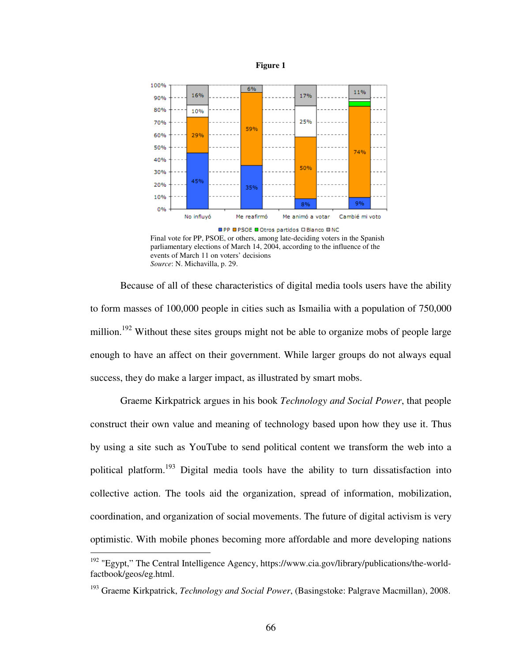



Final vote for PP, PSOE, or others, among late-deciding voters in the Spanish parliamentary elections of March 14, 2004, according to the influence of the events of March 11 on voters' decisions *Source*: N. Michavilla, p. 29.

Because of all of these characteristics of digital media tools users have the ability to form masses of 100,000 people in cities such as Ismailia with a population of 750,000 million.<sup>192</sup> Without these sites groups might not be able to organize mobs of people large enough to have an affect on their government. While larger groups do not always equal success, they do make a larger impact, as illustrated by smart mobs.

Graeme Kirkpatrick argues in his book *Technology and Social Power*, that people construct their own value and meaning of technology based upon how they use it. Thus by using a site such as YouTube to send political content we transform the web into a political platform.<sup>193</sup> Digital media tools have the ability to turn dissatisfaction into collective action. The tools aid the organization, spread of information, mobilization, coordination, and organization of social movements. The future of digital activism is very optimistic. With mobile phones becoming more affordable and more developing nations

<u>.</u>

<sup>&</sup>lt;sup>192</sup> "Egypt," The Central Intelligence Agency, https://www.cia.gov/library/publications/the-worldfactbook/geos/eg.html.

<sup>193</sup> Graeme Kirkpatrick, *Technology and Social Power*, (Basingstoke: Palgrave Macmillan), 2008.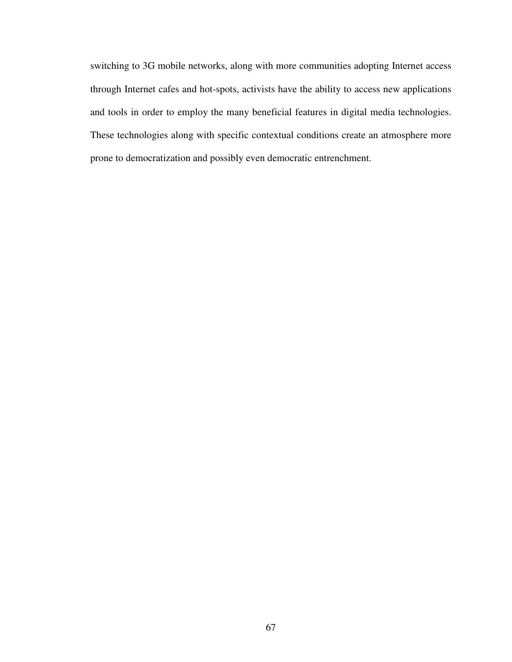switching to 3G mobile networks, along with more communities adopting Internet access through Internet cafes and hot-spots, activists have the ability to access new applications and tools in order to employ the many beneficial features in digital media technologies. These technologies along with specific contextual conditions create an atmosphere more prone to democratization and possibly even democratic entrenchment.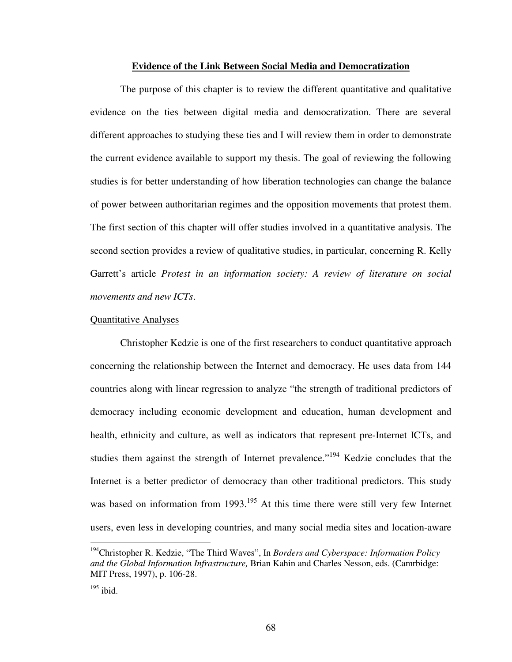## **Evidence of the Link Between Social Media and Democratization**

The purpose of this chapter is to review the different quantitative and qualitative evidence on the ties between digital media and democratization. There are several different approaches to studying these ties and I will review them in order to demonstrate the current evidence available to support my thesis. The goal of reviewing the following studies is for better understanding of how liberation technologies can change the balance of power between authoritarian regimes and the opposition movements that protest them. The first section of this chapter will offer studies involved in a quantitative analysis. The second section provides a review of qualitative studies, in particular, concerning R. Kelly Garrett's article *Protest in an information society: A review of literature on social movements and new ICTs*.

### Quantitative Analyses

Christopher Kedzie is one of the first researchers to conduct quantitative approach concerning the relationship between the Internet and democracy. He uses data from 144 countries along with linear regression to analyze "the strength of traditional predictors of democracy including economic development and education, human development and health, ethnicity and culture, as well as indicators that represent pre-Internet ICTs, and studies them against the strength of Internet prevalence."<sup>194</sup> Kedzie concludes that the Internet is a better predictor of democracy than other traditional predictors. This study was based on information from 1993.<sup>195</sup> At this time there were still very few Internet users, even less in developing countries, and many social media sites and location-aware

<u>.</u>

<sup>194</sup>Christopher R. Kedzie, "The Third Waves", In *Borders and Cyberspace: Information Policy and the Global Information Infrastructure,* Brian Kahin and Charles Nesson, eds. (Camrbidge: MIT Press, 1997), p. 106-28.

 $195$  ibid.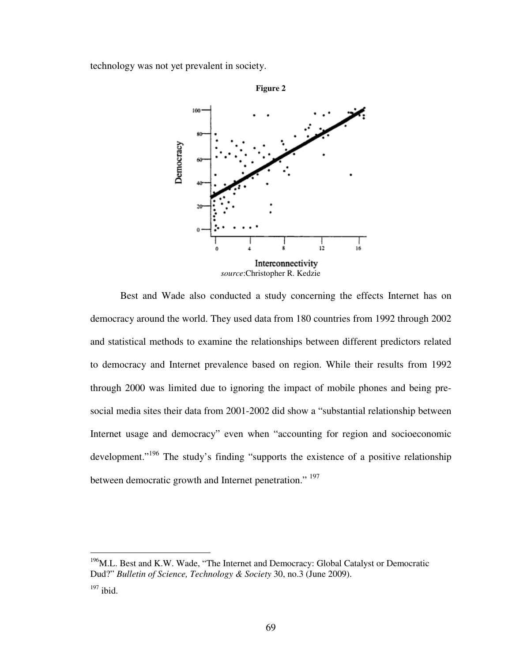technology was not yet prevalent in society.



Best and Wade also conducted a study concerning the effects Internet has on democracy around the world. They used data from 180 countries from 1992 through 2002 and statistical methods to examine the relationships between different predictors related to democracy and Internet prevalence based on region. While their results from 1992 through 2000 was limited due to ignoring the impact of mobile phones and being presocial media sites their data from 2001-2002 did show a "substantial relationship between Internet usage and democracy" even when "accounting for region and socioeconomic development."<sup>196</sup> The study's finding "supports the existence of a positive relationship between democratic growth and Internet penetration." <sup>197</sup>

<u>.</u>

<sup>&</sup>lt;sup>196</sup>M.L. Best and K.W. Wade, "The Internet and Democracy: Global Catalyst or Democratic Dud?" *Bulletin of Science, Technology & Society* 30, no.3 (June 2009).

 $197$  ibid.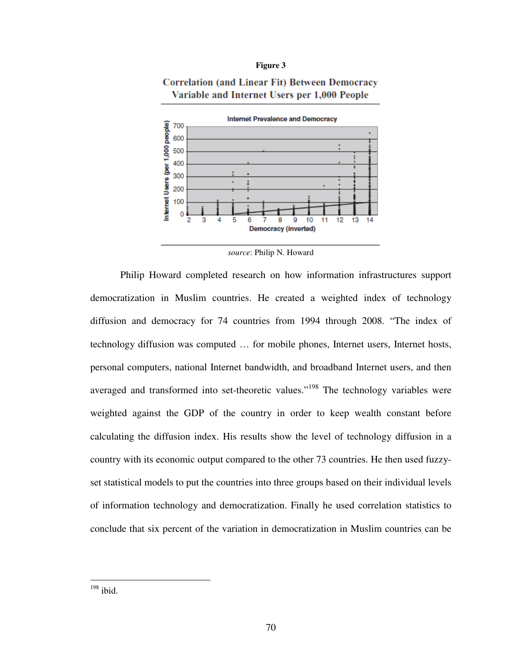#### **Figure 3**

# **Correlation (and Linear Fit) Between Democracy** Variable and Internet Users per 1,000 People



*source*: Philip N. Howard

Philip Howard completed research on how information infrastructures support democratization in Muslim countries. He created a weighted index of technology diffusion and democracy for 74 countries from 1994 through 2008. "The index of technology diffusion was computed … for mobile phones, Internet users, Internet hosts, personal computers, national Internet bandwidth, and broadband Internet users, and then averaged and transformed into set-theoretic values."<sup>198</sup> The technology variables were weighted against the GDP of the country in order to keep wealth constant before calculating the diffusion index. His results show the level of technology diffusion in a country with its economic output compared to the other 73 countries. He then used fuzzyset statistical models to put the countries into three groups based on their individual levels of information technology and democratization. Finally he used correlation statistics to conclude that six percent of the variation in democratization in Muslim countries can be

 $198$  ibid.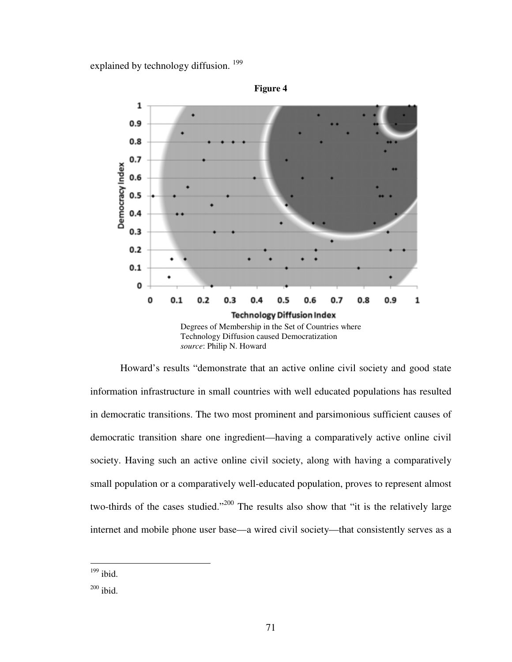explained by technology diffusion.<sup>199</sup>



Howard's results "demonstrate that an active online civil society and good state information infrastructure in small countries with well educated populations has resulted in democratic transitions. The two most prominent and parsimonious sufficient causes of democratic transition share one ingredient—having a comparatively active online civil society. Having such an active online civil society, along with having a comparatively small population or a comparatively well-educated population, proves to represent almost two-thirds of the cases studied."<sup>200</sup> The results also show that "it is the relatively large internet and mobile phone user base—a wired civil society—that consistently serves as a

 $199$  ibid.

 $200$  ibid.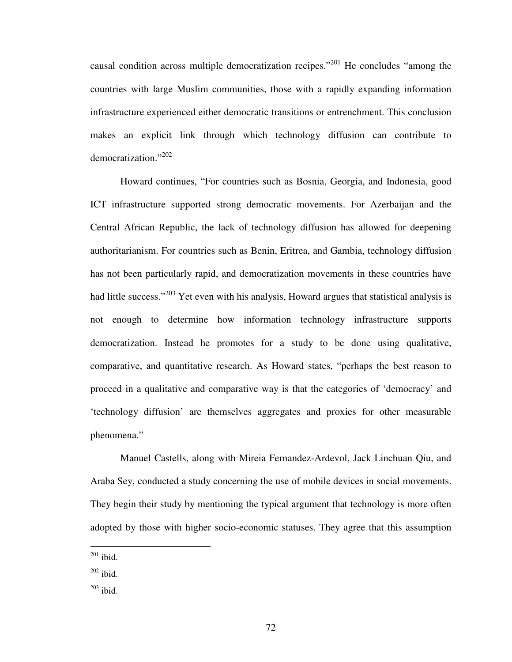causal condition across multiple democratization recipes."<sup>201</sup> He concludes "among the countries with large Muslim communities, those with a rapidly expanding information infrastructure experienced either democratic transitions or entrenchment. This conclusion makes an explicit link through which technology diffusion can contribute to democratization."<sup>202</sup>

Howard continues, "For countries such as Bosnia, Georgia, and Indonesia, good ICT infrastructure supported strong democratic movements. For Azerbaijan and the Central African Republic, the lack of technology diffusion has allowed for deepening authoritarianism. For countries such as Benin, Eritrea, and Gambia, technology diffusion has not been particularly rapid, and democratization movements in these countries have had little success."<sup>203</sup> Yet even with his analysis, Howard argues that statistical analysis is not enough to determine how information technology infrastructure supports democratization. Instead he promotes for a study to be done using qualitative, comparative, and quantitative research. As Howard states, "perhaps the best reason to proceed in a qualitative and comparative way is that the categories of 'democracy' and 'technology diffusion' are themselves aggregates and proxies for other measurable phenomena."

Manuel Castells, along with Mireia Fernandez-Ardevol, Jack Linchuan Qiu, and Araba Sey, conducted a study concerning the use of mobile devices in social movements. They begin their study by mentioning the typical argument that technology is more often adopted by those with higher socio-economic statuses. They agree that this assumption

 $201$  ibid.

 $202$  ibid.

 $203$  ibid.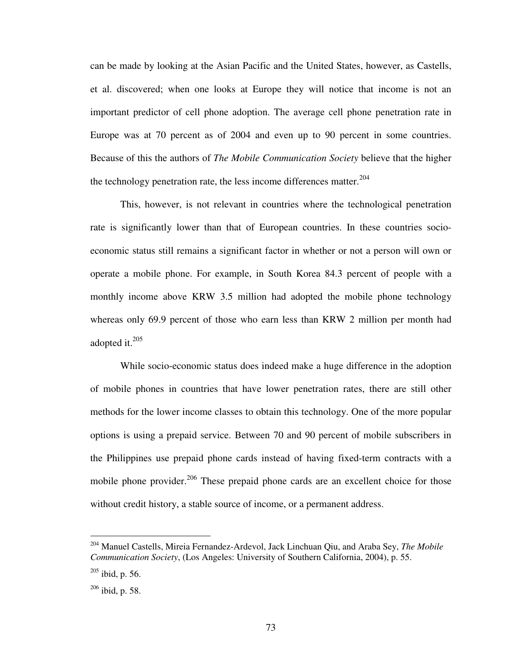can be made by looking at the Asian Pacific and the United States, however, as Castells, et al. discovered; when one looks at Europe they will notice that income is not an important predictor of cell phone adoption. The average cell phone penetration rate in Europe was at 70 percent as of 2004 and even up to 90 percent in some countries. Because of this the authors of *The Mobile Communication Society* believe that the higher the technology penetration rate, the less income differences matter. $204$ 

This, however, is not relevant in countries where the technological penetration rate is significantly lower than that of European countries. In these countries socioeconomic status still remains a significant factor in whether or not a person will own or operate a mobile phone. For example, in South Korea 84.3 percent of people with a monthly income above KRW 3.5 million had adopted the mobile phone technology whereas only 69.9 percent of those who earn less than KRW 2 million per month had adopted it.<sup>205</sup>

While socio-economic status does indeed make a huge difference in the adoption of mobile phones in countries that have lower penetration rates, there are still other methods for the lower income classes to obtain this technology. One of the more popular options is using a prepaid service. Between 70 and 90 percent of mobile subscribers in the Philippines use prepaid phone cards instead of having fixed-term contracts with a mobile phone provider.<sup>206</sup> These prepaid phone cards are an excellent choice for those without credit history, a stable source of income, or a permanent address.

<u>.</u>

<sup>204</sup> Manuel Castells, Mireia Fernandez-Ardevol, Jack Linchuan Qiu, and Araba Sey, *The Mobile Communication Society*, (Los Angeles: University of Southern California, 2004), p. 55.

 $205$  ibid, p. 56.

<sup>206</sup> ibid, p. 58.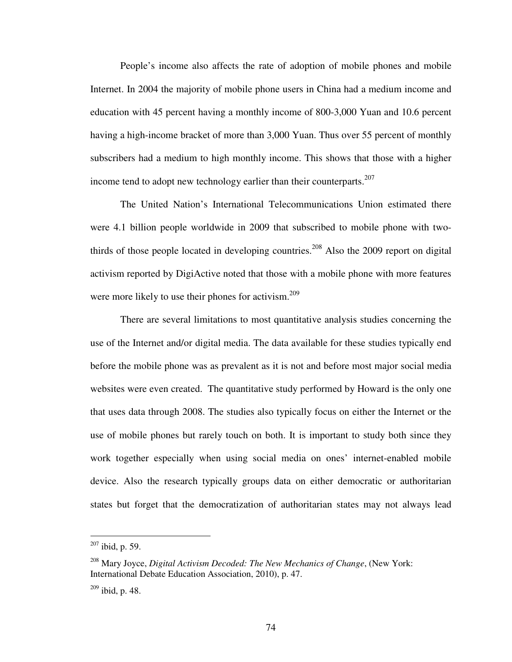People's income also affects the rate of adoption of mobile phones and mobile Internet. In 2004 the majority of mobile phone users in China had a medium income and education with 45 percent having a monthly income of 800-3,000 Yuan and 10.6 percent having a high-income bracket of more than 3,000 Yuan. Thus over 55 percent of monthly subscribers had a medium to high monthly income. This shows that those with a higher income tend to adopt new technology earlier than their counterparts.<sup>207</sup>

The United Nation's International Telecommunications Union estimated there were 4.1 billion people worldwide in 2009 that subscribed to mobile phone with twothirds of those people located in developing countries.<sup>208</sup> Also the 2009 report on digital activism reported by DigiActive noted that those with a mobile phone with more features were more likely to use their phones for activism.<sup>209</sup>

There are several limitations to most quantitative analysis studies concerning the use of the Internet and/or digital media. The data available for these studies typically end before the mobile phone was as prevalent as it is not and before most major social media websites were even created. The quantitative study performed by Howard is the only one that uses data through 2008. The studies also typically focus on either the Internet or the use of mobile phones but rarely touch on both. It is important to study both since they work together especially when using social media on ones' internet-enabled mobile device. Also the research typically groups data on either democratic or authoritarian states but forget that the democratization of authoritarian states may not always lead

 $207$  ibid, p. 59.

<sup>208</sup> Mary Joyce, *Digital Activism Decoded: The New Mechanics of Change*, (New York: International Debate Education Association, 2010), p. 47.

 $209$  ibid, p. 48.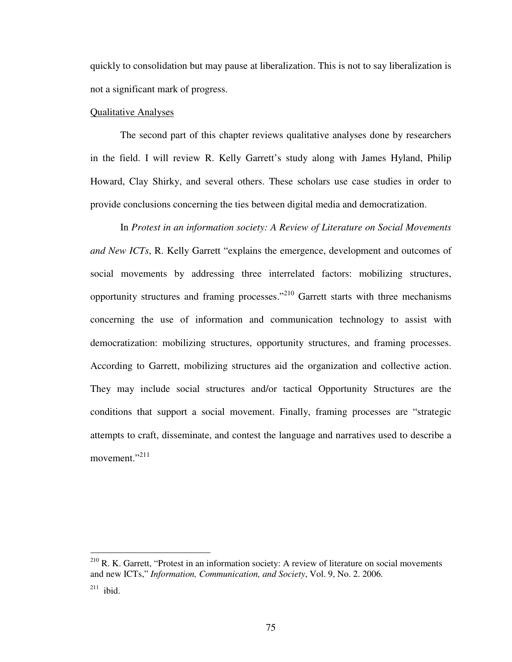quickly to consolidation but may pause at liberalization. This is not to say liberalization is not a significant mark of progress.

## Qualitative Analyses

 $\overline{a}$ 

The second part of this chapter reviews qualitative analyses done by researchers in the field. I will review R. Kelly Garrett's study along with James Hyland, Philip Howard, Clay Shirky, and several others. These scholars use case studies in order to provide conclusions concerning the ties between digital media and democratization.

In *Protest in an information society: A Review of Literature on Social Movements and New ICTs*, R. Kelly Garrett "explains the emergence, development and outcomes of social movements by addressing three interrelated factors: mobilizing structures, opportunity structures and framing processes."<sup>210</sup> Garrett starts with three mechanisms concerning the use of information and communication technology to assist with democratization: mobilizing structures, opportunity structures, and framing processes. According to Garrett, mobilizing structures aid the organization and collective action. They may include social structures and/or tactical Opportunity Structures are the conditions that support a social movement. Finally, framing processes are "strategic attempts to craft, disseminate, and contest the language and narratives used to describe a movement."<sup>211</sup>

 $210$  R. K. Garrett, "Protest in an information society: A review of literature on social movements and new ICTs," *Information, Communication, and Society*, Vol. 9, No. 2. 2006.  $211$  ibid.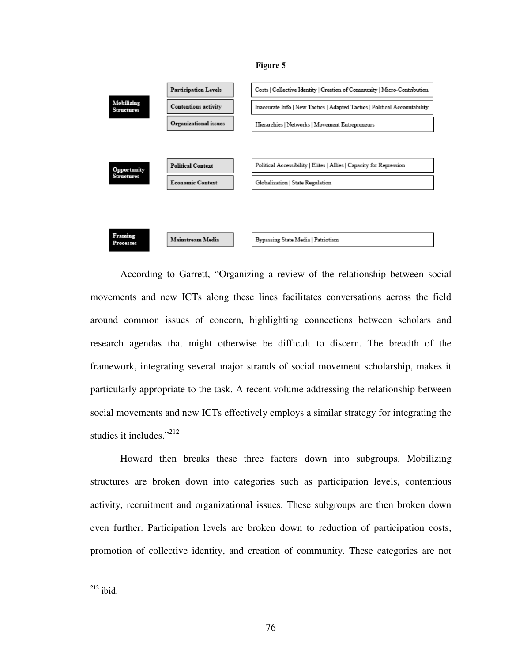#### **Figure 5**



According to Garrett, "Organizing a review of the relationship between social movements and new ICTs along these lines facilitates conversations across the field around common issues of concern, highlighting connections between scholars and research agendas that might otherwise be difficult to discern. The breadth of the framework, integrating several major strands of social movement scholarship, makes it particularly appropriate to the task. A recent volume addressing the relationship between social movements and new ICTs effectively employs a similar strategy for integrating the studies it includes."<sup>212</sup>

Howard then breaks these three factors down into subgroups. Mobilizing structures are broken down into categories such as participation levels, contentious activity, recruitment and organizational issues. These subgroups are then broken down even further. Participation levels are broken down to reduction of participation costs, promotion of collective identity, and creation of community. These categories are not

 $^{212}$  ibid.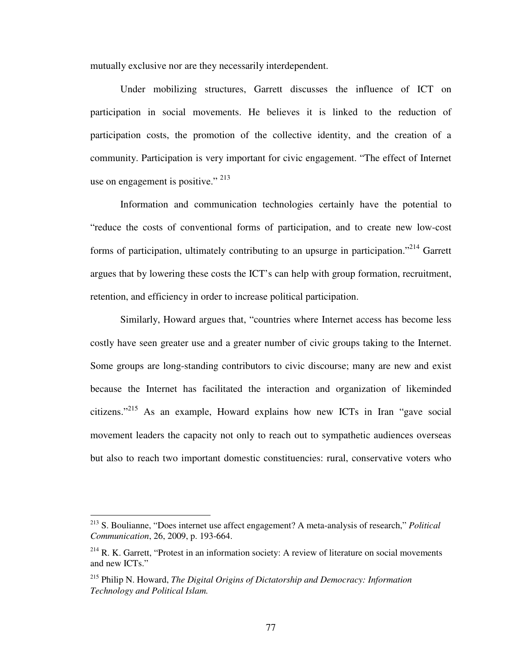mutually exclusive nor are they necessarily interdependent.

Under mobilizing structures, Garrett discusses the influence of ICT on participation in social movements. He believes it is linked to the reduction of participation costs, the promotion of the collective identity, and the creation of a community. Participation is very important for civic engagement. "The effect of Internet use on engagement is positive."  $^{213}$ 

Information and communication technologies certainly have the potential to "reduce the costs of conventional forms of participation, and to create new low-cost forms of participation, ultimately contributing to an upsurge in participation.<sup> $214$ </sup> Garrett argues that by lowering these costs the ICT's can help with group formation, recruitment, retention, and efficiency in order to increase political participation.

Similarly, Howard argues that, "countries where Internet access has become less costly have seen greater use and a greater number of civic groups taking to the Internet. Some groups are long-standing contributors to civic discourse; many are new and exist because the Internet has facilitated the interaction and organization of likeminded citizens."<sup>215</sup> As an example, Howard explains how new ICTs in Iran "gave social movement leaders the capacity not only to reach out to sympathetic audiences overseas but also to reach two important domestic constituencies: rural, conservative voters who

<sup>213</sup> S. Boulianne, "Does internet use affect engagement? A meta-analysis of research," *Political Communication*, 26, 2009, p. 193-664.

 $214$  R. K. Garrett, "Protest in an information society: A review of literature on social movements and new ICTs."

<sup>215</sup> Philip N. Howard, *The Digital Origins of Dictatorship and Democracy: Information Technology and Political Islam.*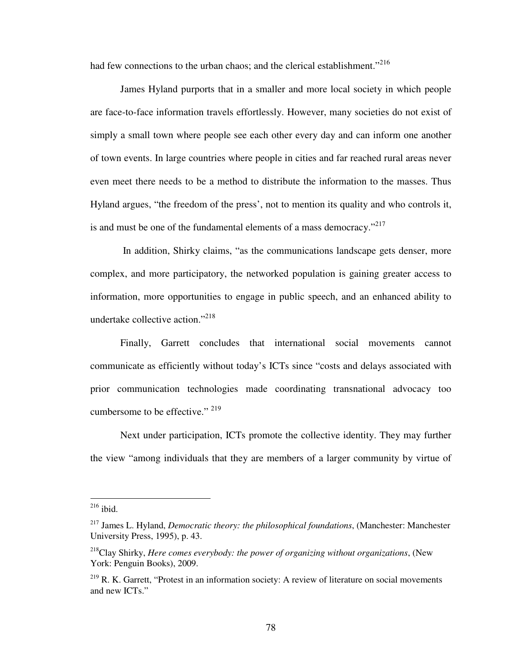had few connections to the urban chaos; and the clerical establishment. $^{216}$ 

James Hyland purports that in a smaller and more local society in which people are face-to-face information travels effortlessly. However, many societies do not exist of simply a small town where people see each other every day and can inform one another of town events. In large countries where people in cities and far reached rural areas never even meet there needs to be a method to distribute the information to the masses. Thus Hyland argues, "the freedom of the press', not to mention its quality and who controls it, is and must be one of the fundamental elements of a mass democracy. $12^{17}$ 

 In addition, Shirky claims, "as the communications landscape gets denser, more complex, and more participatory, the networked population is gaining greater access to information, more opportunities to engage in public speech, and an enhanced ability to undertake collective action."<sup>218</sup>

Finally, Garrett concludes that international social movements cannot communicate as efficiently without today's ICTs since "costs and delays associated with prior communication technologies made coordinating transnational advocacy too cumbersome to be effective."  $^{219}$ 

Next under participation, ICTs promote the collective identity. They may further the view "among individuals that they are members of a larger community by virtue of

 $^{216}$  ibid.

<sup>217</sup> James L. Hyland, *Democratic theory: the philosophical foundations*, (Manchester: Manchester University Press, 1995), p. 43.

<sup>218</sup>Clay Shirky, *Here comes everybody: the power of organizing without organizations*, (New York: Penguin Books), 2009.

 $219$  R. K. Garrett, "Protest in an information society: A review of literature on social movements and new ICTs."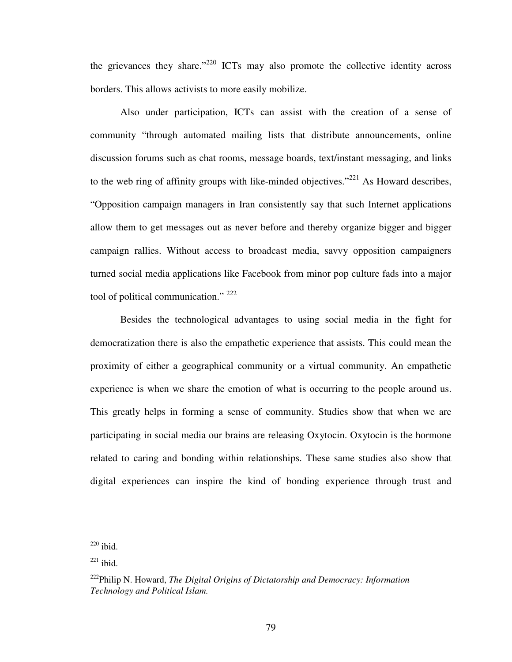the grievances they share."<sup>220</sup> ICTs may also promote the collective identity across borders. This allows activists to more easily mobilize.

Also under participation, ICTs can assist with the creation of a sense of community "through automated mailing lists that distribute announcements, online discussion forums such as chat rooms, message boards, text/instant messaging, and links to the web ring of affinity groups with like-minded objectives."<sup>221</sup> As Howard describes, "Opposition campaign managers in Iran consistently say that such Internet applications allow them to get messages out as never before and thereby organize bigger and bigger campaign rallies. Without access to broadcast media, savvy opposition campaigners turned social media applications like Facebook from minor pop culture fads into a major tool of political communication."<sup>222</sup>

Besides the technological advantages to using social media in the fight for democratization there is also the empathetic experience that assists. This could mean the proximity of either a geographical community or a virtual community. An empathetic experience is when we share the emotion of what is occurring to the people around us. This greatly helps in forming a sense of community. Studies show that when we are participating in social media our brains are releasing Oxytocin. Oxytocin is the hormone related to caring and bonding within relationships. These same studies also show that digital experiences can inspire the kind of bonding experience through trust and

 $220$  ibid.

 $221$  ibid.

<sup>222</sup>Philip N. Howard, *The Digital Origins of Dictatorship and Democracy: Information Technology and Political Islam.*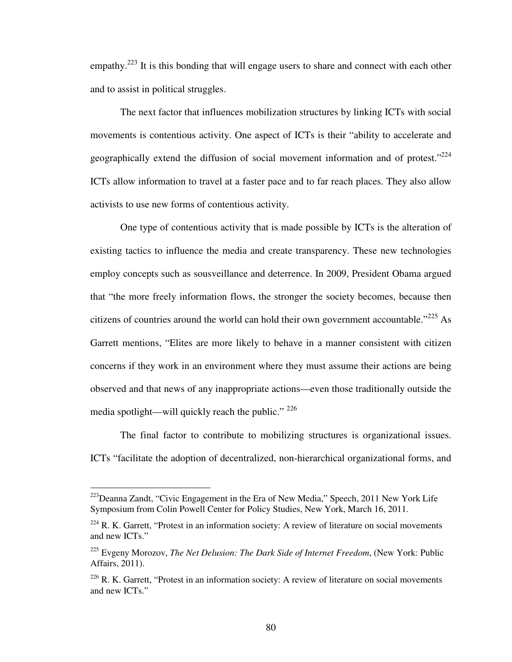empathy.<sup>223</sup> It is this bonding that will engage users to share and connect with each other and to assist in political struggles.

The next factor that influences mobilization structures by linking ICTs with social movements is contentious activity. One aspect of ICTs is their "ability to accelerate and geographically extend the diffusion of social movement information and of protest." $224$ ICTs allow information to travel at a faster pace and to far reach places. They also allow activists to use new forms of contentious activity.

One type of contentious activity that is made possible by ICTs is the alteration of existing tactics to influence the media and create transparency. These new technologies employ concepts such as sousveillance and deterrence. In 2009, President Obama argued that "the more freely information flows, the stronger the society becomes, because then citizens of countries around the world can hold their own government accountable."<sup>225</sup> As Garrett mentions, "Elites are more likely to behave in a manner consistent with citizen concerns if they work in an environment where they must assume their actions are being observed and that news of any inappropriate actions—even those traditionally outside the media spotlight—will quickly reach the public."  $226$ 

The final factor to contribute to mobilizing structures is organizational issues. ICTs "facilitate the adoption of decentralized, non-hierarchical organizational forms, and

 $223$ Deanna Zandt, "Civic Engagement in the Era of New Media," Speech, 2011 New York Life Symposium from Colin Powell Center for Policy Studies, New York, March 16, 2011.

 $224$  R. K. Garrett, "Protest in an information society: A review of literature on social movements and new ICTs."

<sup>225</sup> Evgeny Morozov, *The Net Delusion: The Dark Side of Internet Freedom*, (New York: Public Affairs, 2011).

 $226$  R. K. Garrett, "Protest in an information society: A review of literature on social movements and new ICTs."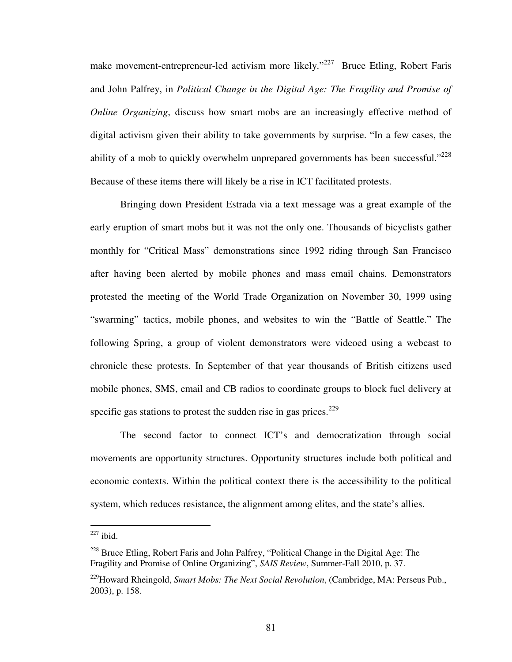make movement-entrepreneur-led activism more likely."<sup>227</sup> Bruce Etling, Robert Faris and John Palfrey, in *Political Change in the Digital Age: The Fragility and Promise of Online Organizing*, discuss how smart mobs are an increasingly effective method of digital activism given their ability to take governments by surprise. "In a few cases, the ability of a mob to quickly overwhelm unprepared governments has been successful." $228$ Because of these items there will likely be a rise in ICT facilitated protests.

Bringing down President Estrada via a text message was a great example of the early eruption of smart mobs but it was not the only one. Thousands of bicyclists gather monthly for "Critical Mass" demonstrations since 1992 riding through San Francisco after having been alerted by mobile phones and mass email chains. Demonstrators protested the meeting of the World Trade Organization on November 30, 1999 using "swarming" tactics, mobile phones, and websites to win the "Battle of Seattle." The following Spring, a group of violent demonstrators were videoed using a webcast to chronicle these protests. In September of that year thousands of British citizens used mobile phones, SMS, email and CB radios to coordinate groups to block fuel delivery at specific gas stations to protest the sudden rise in gas prices.<sup>229</sup>

The second factor to connect ICT's and democratization through social movements are opportunity structures. Opportunity structures include both political and economic contexts. Within the political context there is the accessibility to the political system, which reduces resistance, the alignment among elites, and the state's allies.

 $227$  ibid.

<sup>&</sup>lt;sup>228</sup> Bruce Etling, Robert Faris and John Palfrey, "Political Change in the Digital Age: The Fragility and Promise of Online Organizing", *SAIS Review*, Summer-Fall 2010, p. 37.

<sup>229</sup>Howard Rheingold, *Smart Mobs: The Next Social Revolution*, (Cambridge, MA: Perseus Pub., 2003), p. 158.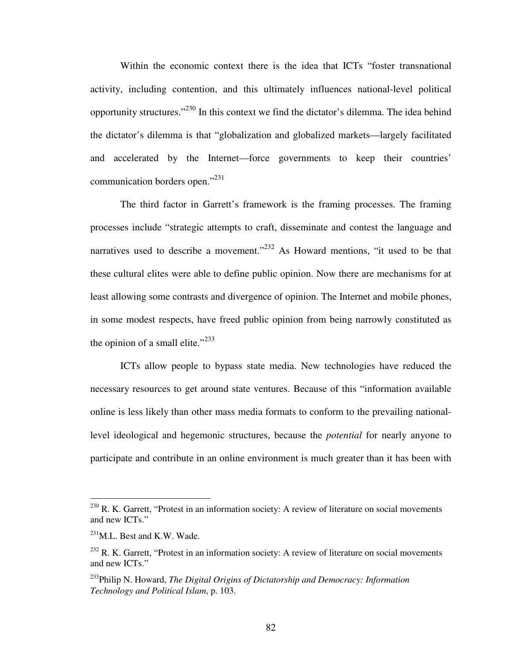Within the economic context there is the idea that ICTs "foster transnational activity, including contention, and this ultimately influences national-level political opportunity structures."<sup>230</sup> In this context we find the dictator's dilemma. The idea behind the dictator's dilemma is that "globalization and globalized markets—largely facilitated and accelerated by the Internet—force governments to keep their countries' communication borders open."<sup>231</sup>

The third factor in Garrett's framework is the framing processes. The framing processes include "strategic attempts to craft, disseminate and contest the language and narratives used to describe a movement."<sup>232</sup> As Howard mentions, "it used to be that these cultural elites were able to define public opinion. Now there are mechanisms for at least allowing some contrasts and divergence of opinion. The Internet and mobile phones, in some modest respects, have freed public opinion from being narrowly constituted as the opinion of a small elite." $^{233}$ 

ICTs allow people to bypass state media. New technologies have reduced the necessary resources to get around state ventures. Because of this "information available online is less likely than other mass media formats to conform to the prevailing nationallevel ideological and hegemonic structures, because the *potential* for nearly anyone to participate and contribute in an online environment is much greater than it has been with

 $230$  R. K. Garrett, "Protest in an information society: A review of literature on social movements and new ICTs."

<sup>&</sup>lt;sup>231</sup>M.L. Best and K.W. Wade.

 $232$  R. K. Garrett, "Protest in an information society: A review of literature on social movements and new ICTs."

<sup>233</sup>Philip N. Howard, *The Digital Origins of Dictatorship and Democracy: Information Technology and Political Islam*, p. 103.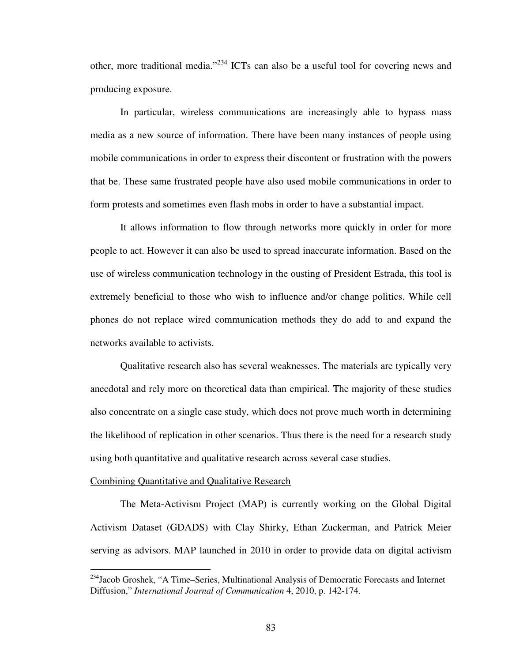other, more traditional media."<sup>234</sup> ICTs can also be a useful tool for covering news and producing exposure.

In particular, wireless communications are increasingly able to bypass mass media as a new source of information. There have been many instances of people using mobile communications in order to express their discontent or frustration with the powers that be. These same frustrated people have also used mobile communications in order to form protests and sometimes even flash mobs in order to have a substantial impact.

It allows information to flow through networks more quickly in order for more people to act. However it can also be used to spread inaccurate information. Based on the use of wireless communication technology in the ousting of President Estrada, this tool is extremely beneficial to those who wish to influence and/or change politics. While cell phones do not replace wired communication methods they do add to and expand the networks available to activists.

Qualitative research also has several weaknesses. The materials are typically very anecdotal and rely more on theoretical data than empirical. The majority of these studies also concentrate on a single case study, which does not prove much worth in determining the likelihood of replication in other scenarios. Thus there is the need for a research study using both quantitative and qualitative research across several case studies.

#### Combining Quantitative and Qualitative Research

 $\overline{a}$ 

The Meta-Activism Project (MAP) is currently working on the Global Digital Activism Dataset (GDADS) with Clay Shirky, Ethan Zuckerman, and Patrick Meier serving as advisors. MAP launched in 2010 in order to provide data on digital activism

<sup>&</sup>lt;sup>234</sup>Jacob Groshek, "A Time–Series, Multinational Analysis of Democratic Forecasts and Internet Diffusion," *International Journal of Communication* 4, 2010, p. 142-174.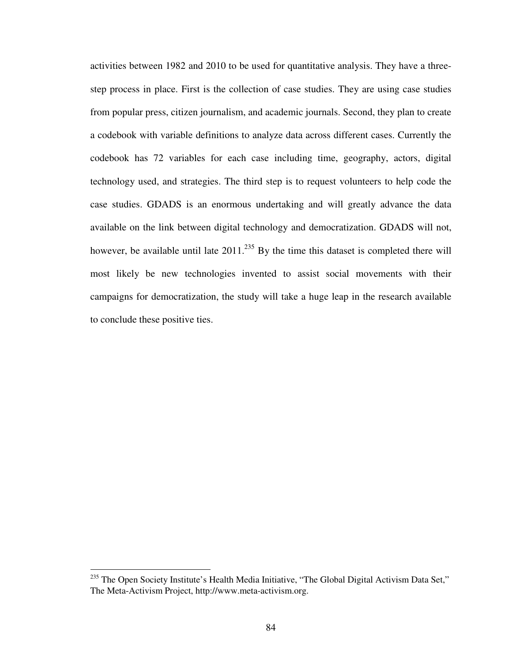activities between 1982 and 2010 to be used for quantitative analysis. They have a threestep process in place. First is the collection of case studies. They are using case studies from popular press, citizen journalism, and academic journals. Second, they plan to create a codebook with variable definitions to analyze data across different cases. Currently the codebook has 72 variables for each case including time, geography, actors, digital technology used, and strategies. The third step is to request volunteers to help code the case studies. GDADS is an enormous undertaking and will greatly advance the data available on the link between digital technology and democratization. GDADS will not, however, be available until late  $2011$ .<sup>235</sup> By the time this dataset is completed there will most likely be new technologies invented to assist social movements with their campaigns for democratization, the study will take a huge leap in the research available to conclude these positive ties.

<sup>&</sup>lt;sup>235</sup> The Open Society Institute's Health Media Initiative, "The Global Digital Activism Data Set," The Meta-Activism Project, http://www.meta-activism.org.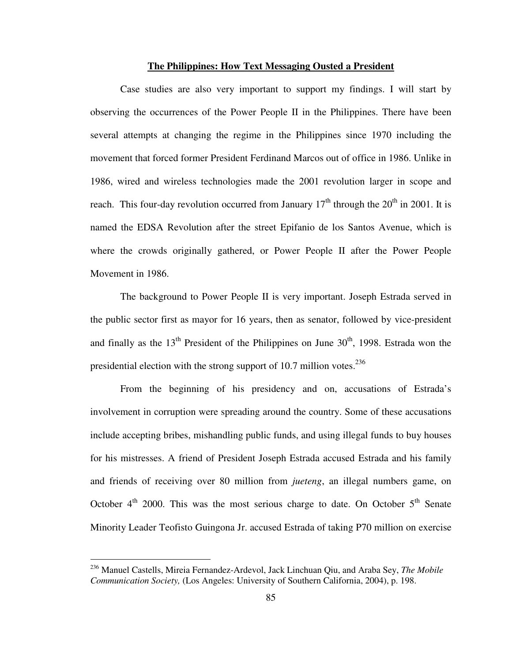### **The Philippines: How Text Messaging Ousted a President**

Case studies are also very important to support my findings. I will start by observing the occurrences of the Power People II in the Philippines. There have been several attempts at changing the regime in the Philippines since 1970 including the movement that forced former President Ferdinand Marcos out of office in 1986. Unlike in 1986, wired and wireless technologies made the 2001 revolution larger in scope and reach. This four-day revolution occurred from January  $17<sup>th</sup>$  through the  $20<sup>th</sup>$  in 2001. It is named the EDSA Revolution after the street Epifanio de los Santos Avenue, which is where the crowds originally gathered, or Power People II after the Power People Movement in 1986.

The background to Power People II is very important. Joseph Estrada served in the public sector first as mayor for 16 years, then as senator, followed by vice-president and finally as the  $13<sup>th</sup>$  President of the Philippines on June  $30<sup>th</sup>$ , 1998. Estrada won the presidential election with the strong support of 10.7 million votes. $^{236}$ 

From the beginning of his presidency and on, accusations of Estrada's involvement in corruption were spreading around the country. Some of these accusations include accepting bribes, mishandling public funds, and using illegal funds to buy houses for his mistresses. A friend of President Joseph Estrada accused Estrada and his family and friends of receiving over 80 million from *jueteng*, an illegal numbers game, on October  $4<sup>th</sup>$  2000. This was the most serious charge to date. On October  $5<sup>th</sup>$  Senate Minority Leader Teofisto Guingona Jr. accused Estrada of taking P70 million on exercise

<sup>236</sup> Manuel Castells, Mireia Fernandez-Ardevol, Jack Linchuan Qiu, and Araba Sey, *The Mobile Communication Society,* (Los Angeles: University of Southern California, 2004), p. 198.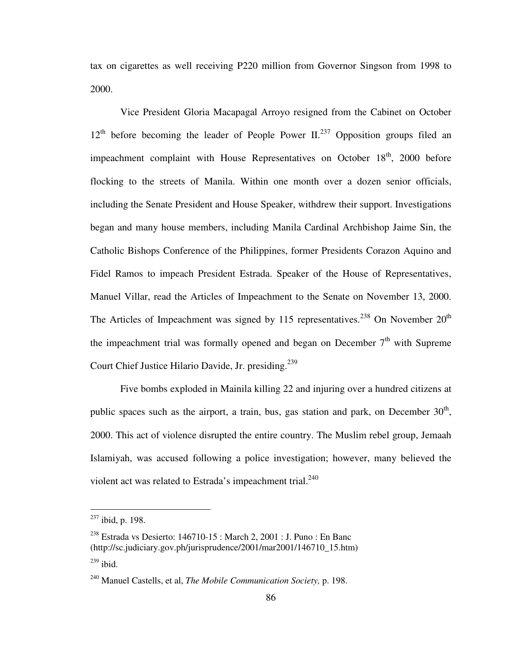tax on cigarettes as well receiving P220 million from Governor Singson from 1998 to 2000.

Vice President Gloria Macapagal Arroyo resigned from the Cabinet on October  $12<sup>th</sup>$  before becoming the leader of People Power II.<sup>237</sup> Opposition groups filed an impeachment complaint with House Representatives on October 18<sup>th</sup>, 2000 before flocking to the streets of Manila. Within one month over a dozen senior officials, including the Senate President and House Speaker, withdrew their support. Investigations began and many house members, including Manila Cardinal Archbishop Jaime Sin, the Catholic Bishops Conference of the Philippines, former Presidents Corazon Aquino and Fidel Ramos to impeach President Estrada. Speaker of the House of Representatives, Manuel Villar, read the Articles of Impeachment to the Senate on November 13, 2000. The Articles of Impeachment was signed by 115 representatives.<sup>238</sup> On November  $20<sup>th</sup>$ the impeachment trial was formally opened and began on December  $7<sup>th</sup>$  with Supreme Court Chief Justice Hilario Davide, Jr. presiding.<sup>239</sup>

Five bombs exploded in Mainila killing 22 and injuring over a hundred citizens at public spaces such as the airport, a train, bus, gas station and park, on December  $30<sup>th</sup>$ , 2000. This act of violence disrupted the entire country. The Muslim rebel group, Jemaah Islamiyah, was accused following a police investigation; however, many believed the violent act was related to Estrada's impeachment trial.<sup>240</sup>

 $237$  ibid, p. 198.

<sup>&</sup>lt;sup>238</sup> Estrada vs Desierto: 146710-15 : March 2, 2001 : J. Puno : En Banc (http://sc.judiciary.gov.ph/jurisprudence/2001/mar2001/146710\_15.htm)  $239$  ibid.

<sup>240</sup> Manuel Castells, et al, *The Mobile Communication Society,* p. 198.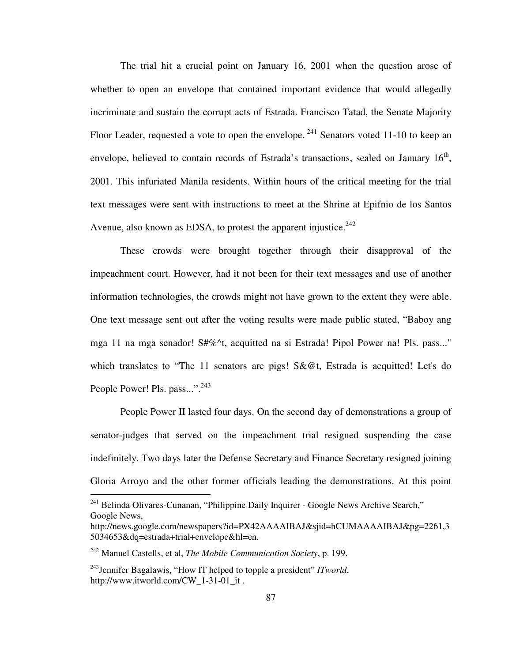The trial hit a crucial point on January 16, 2001 when the question arose of whether to open an envelope that contained important evidence that would allegedly incriminate and sustain the corrupt acts of Estrada. Francisco Tatad, the Senate Majority Floor Leader, requested a vote to open the envelope.  $241$  Senators voted 11-10 to keep an envelope, believed to contain records of Estrada's transactions, sealed on January  $16<sup>th</sup>$ , 2001. This infuriated Manila residents. Within hours of the critical meeting for the trial text messages were sent with instructions to meet at the Shrine at Epifnio de los Santos Avenue, also known as EDSA, to protest the apparent injustice.<sup>242</sup>

These crowds were brought together through their disapproval of the impeachment court. However, had it not been for their text messages and use of another information technologies, the crowds might not have grown to the extent they were able. One text message sent out after the voting results were made public stated, "Baboy ang mga 11 na mga senador! S#%^t, acquitted na si Estrada! Pipol Power na! Pls. pass..." which translates to "The 11 senators are pigs! S&@t, Estrada is acquitted! Let's do People Power! Pls. pass...".<sup>243</sup>

People Power II lasted four days. On the second day of demonstrations a group of senator-judges that served on the impeachment trial resigned suspending the case indefinitely. Two days later the Defense Secretary and Finance Secretary resigned joining Gloria Arroyo and the other former officials leading the demonstrations. At this point

<sup>241</sup> Belinda Olivares-Cunanan, "Philippine Daily Inquirer - Google News Archive Search," Google News,

http://news.google.com/newspapers?id=PX42AAAAIBAJ&sjid=hCUMAAAAIBAJ&pg=2261,3 5034653&dq=estrada+trial+envelope&hl=en.

<sup>242</sup> Manuel Castells, et al, *The Mobile Communication Society*, p. 199.

<sup>243</sup>Jennifer Bagalawis, "How IT helped to topple a president" *ITworld*, http://www.itworld.com/CW\_1-31-01\_it .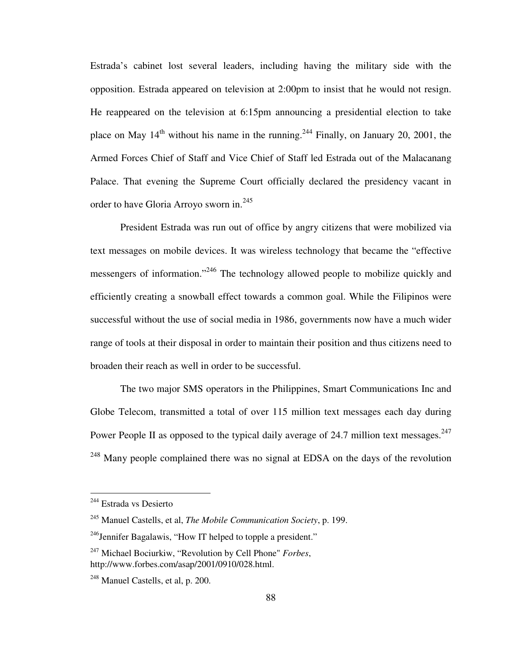Estrada's cabinet lost several leaders, including having the military side with the opposition. Estrada appeared on television at 2:00pm to insist that he would not resign. He reappeared on the television at 6:15pm announcing a presidential election to take place on May  $14<sup>th</sup>$  without his name in the running.<sup>244</sup> Finally, on January 20, 2001, the Armed Forces Chief of Staff and Vice Chief of Staff led Estrada out of the Malacanang Palace. That evening the Supreme Court officially declared the presidency vacant in order to have Gloria Arroyo sworn in.<sup>245</sup>

President Estrada was run out of office by angry citizens that were mobilized via text messages on mobile devices. It was wireless technology that became the "effective messengers of information."<sup>246</sup> The technology allowed people to mobilize quickly and efficiently creating a snowball effect towards a common goal. While the Filipinos were successful without the use of social media in 1986, governments now have a much wider range of tools at their disposal in order to maintain their position and thus citizens need to broaden their reach as well in order to be successful.

The two major SMS operators in the Philippines, Smart Communications Inc and Globe Telecom, transmitted a total of over 115 million text messages each day during Power People II as opposed to the typical daily average of 24.7 million text messages.<sup>247</sup> <sup>248</sup> Many people complained there was no signal at EDSA on the days of the revolution

<sup>&</sup>lt;sup>244</sup> Estrada vs Desierto

<sup>245</sup> Manuel Castells, et al, *The Mobile Communication Society*, p. 199.

 $^{246}$ Jennifer Bagalawis, "How IT helped to topple a president."

<sup>247</sup> Michael Bociurkiw, "Revolution by Cell Phone" *Forbes*, http://www.forbes.com/asap/2001/0910/028.html.

<sup>248</sup> Manuel Castells, et al, p. 200.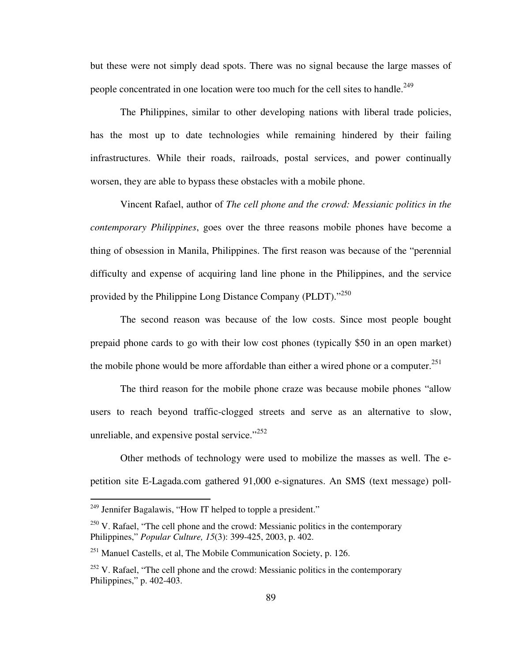but these were not simply dead spots. There was no signal because the large masses of people concentrated in one location were too much for the cell sites to handle.<sup>249</sup>

The Philippines, similar to other developing nations with liberal trade policies, has the most up to date technologies while remaining hindered by their failing infrastructures. While their roads, railroads, postal services, and power continually worsen, they are able to bypass these obstacles with a mobile phone.

Vincent Rafael, author of *The cell phone and the crowd: Messianic politics in the contemporary Philippines*, goes over the three reasons mobile phones have become a thing of obsession in Manila, Philippines. The first reason was because of the "perennial difficulty and expense of acquiring land line phone in the Philippines, and the service provided by the Philippine Long Distance Company (PLDT)."<sup>250</sup>

The second reason was because of the low costs. Since most people bought prepaid phone cards to go with their low cost phones (typically \$50 in an open market) the mobile phone would be more affordable than either a wired phone or a computer.<sup>251</sup>

The third reason for the mobile phone craze was because mobile phones "allow users to reach beyond traffic-clogged streets and serve as an alternative to slow, unreliable, and expensive postal service." $252$ 

Other methods of technology were used to mobilize the masses as well. The epetition site E-Lagada.com gathered 91,000 e-signatures. An SMS (text message) poll-

 $249$  Jennifer Bagalawis, "How IT helped to topple a president."

 $250$  V. Rafael, "The cell phone and the crowd: Messianic politics in the contemporary Philippines," *Popular Culture, 15*(3): 399-425, 2003, p. 402.

 $^{251}$  Manuel Castells, et al, The Mobile Communication Society, p. 126.

 $252$  V. Rafael, "The cell phone and the crowd: Messianic politics in the contemporary Philippines," p. 402-403.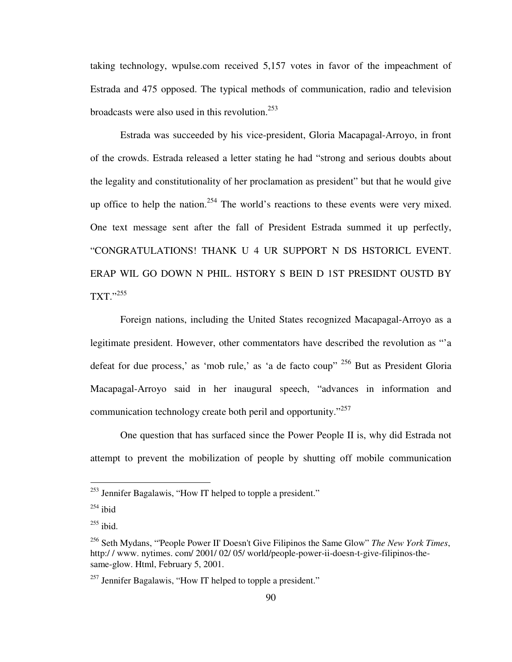taking technology, wpulse.com received 5,157 votes in favor of the impeachment of Estrada and 475 opposed. The typical methods of communication, radio and television broadcasts were also used in this revolution.<sup>253</sup>

Estrada was succeeded by his vice-president, Gloria Macapagal-Arroyo, in front of the crowds. Estrada released a letter stating he had "strong and serious doubts about the legality and constitutionality of her proclamation as president" but that he would give up office to help the nation.<sup>254</sup> The world's reactions to these events were very mixed. One text message sent after the fall of President Estrada summed it up perfectly, "CONGRATULATIONS! THANK U 4 UR SUPPORT N DS HSTORICL EVENT. ERAP WIL GO DOWN N PHIL. HSTORY S BEIN D 1ST PRESIDNT OUSTD BY TXT."<sup>255</sup>

Foreign nations, including the United States recognized Macapagal-Arroyo as a legitimate president. However, other commentators have described the revolution as "'a defeat for due process,' as 'mob rule,' as 'a de facto coup" <sup>256</sup> But as President Gloria Macapagal-Arroyo said in her inaugural speech, "advances in information and communication technology create both peril and opportunity."<sup>257</sup>

One question that has surfaced since the Power People II is, why did Estrada not attempt to prevent the mobilization of people by shutting off mobile communication

<u>.</u>

 $253$  Jennifer Bagalawis, "How IT helped to topple a president."

 $254$  ibid

 $^{255}$  ibid.

<sup>256</sup> Seth Mydans, "'People Power II' Doesn't Give Filipinos the Same Glow" *The New York Times*, http:/ / www. nytimes. com/ 2001/ 02/ 05/ world/people-power-ii-doesn-t-give-filipinos-thesame-glow. Html, February 5, 2001.

<sup>&</sup>lt;sup>257</sup> Jennifer Bagalawis, "How IT helped to topple a president."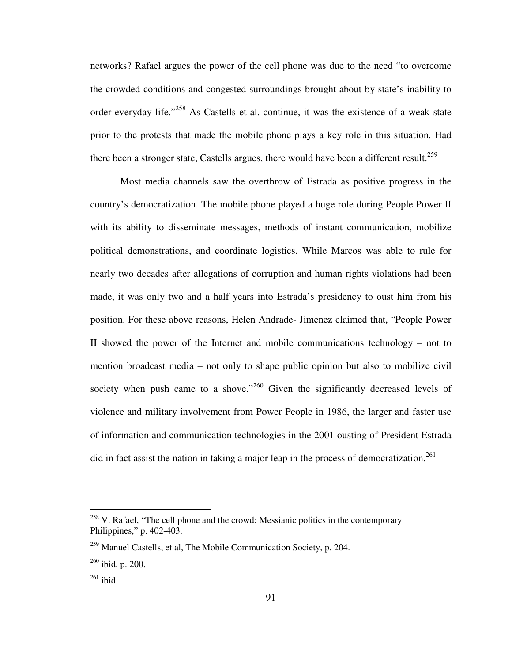networks? Rafael argues the power of the cell phone was due to the need "to overcome the crowded conditions and congested surroundings brought about by state's inability to order everyday life."<sup>258</sup> As Castells et al. continue, it was the existence of a weak state prior to the protests that made the mobile phone plays a key role in this situation. Had there been a stronger state, Castells argues, there would have been a different result.<sup>259</sup>

Most media channels saw the overthrow of Estrada as positive progress in the country's democratization. The mobile phone played a huge role during People Power II with its ability to disseminate messages, methods of instant communication, mobilize political demonstrations, and coordinate logistics. While Marcos was able to rule for nearly two decades after allegations of corruption and human rights violations had been made, it was only two and a half years into Estrada's presidency to oust him from his position. For these above reasons, Helen Andrade- Jimenez claimed that, "People Power II showed the power of the Internet and mobile communications technology – not to mention broadcast media – not only to shape public opinion but also to mobilize civil society when push came to a shove."<sup>260</sup> Given the significantly decreased levels of violence and military involvement from Power People in 1986, the larger and faster use of information and communication technologies in the 2001 ousting of President Estrada did in fact assist the nation in taking a major leap in the process of democratization.<sup>261</sup>

<sup>&</sup>lt;sup>258</sup> V. Rafael, "The cell phone and the crowd: Messianic politics in the contemporary Philippines," p. 402-403.

 $^{259}$  Manuel Castells, et al, The Mobile Communication Society, p. 204.

<sup>260</sup> ibid, p. 200.

 $261$  ibid.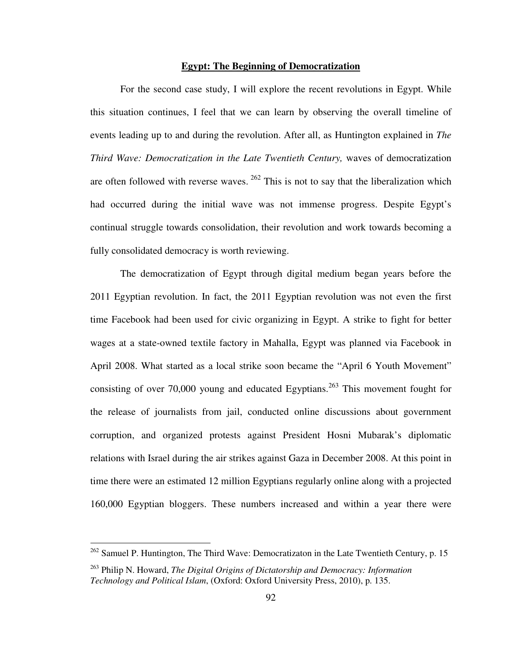## **Egypt: The Beginning of Democratization**

For the second case study, I will explore the recent revolutions in Egypt. While this situation continues, I feel that we can learn by observing the overall timeline of events leading up to and during the revolution. After all, as Huntington explained in *The Third Wave: Democratization in the Late Twentieth Century,* waves of democratization are often followed with reverse waves.<sup>262</sup> This is not to say that the liberalization which had occurred during the initial wave was not immense progress. Despite Egypt's continual struggle towards consolidation, their revolution and work towards becoming a fully consolidated democracy is worth reviewing.

The democratization of Egypt through digital medium began years before the 2011 Egyptian revolution. In fact, the 2011 Egyptian revolution was not even the first time Facebook had been used for civic organizing in Egypt. A strike to fight for better wages at a state-owned textile factory in Mahalla, Egypt was planned via Facebook in April 2008. What started as a local strike soon became the "April 6 Youth Movement" consisting of over 70,000 young and educated Egyptians.<sup>263</sup> This movement fought for the release of journalists from jail, conducted online discussions about government corruption, and organized protests against President Hosni Mubarak's diplomatic relations with Israel during the air strikes against Gaza in December 2008. At this point in time there were an estimated 12 million Egyptians regularly online along with a projected 160,000 Egyptian bloggers. These numbers increased and within a year there were

 $262$  Samuel P. Huntington, The Third Wave: Democratizaton in the Late Twentieth Century, p. 15

<sup>263</sup> Philip N. Howard, *The Digital Origins of Dictatorship and Democracy: Information Technology and Political Islam*, (Oxford: Oxford University Press, 2010), p. 135.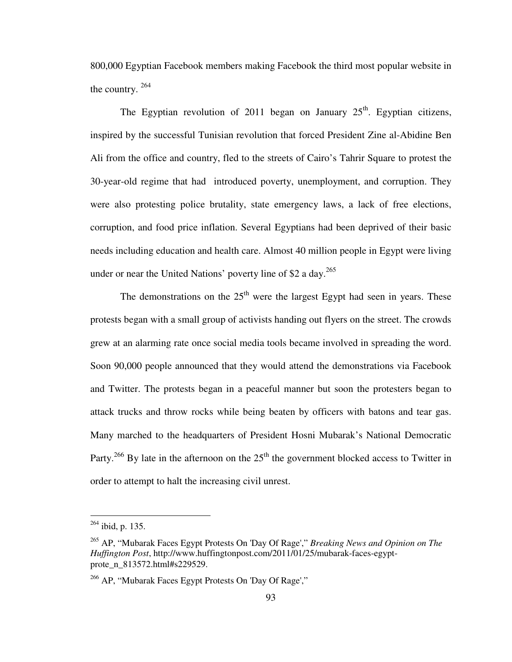800,000 Egyptian Facebook members making Facebook the third most popular website in the country. <sup>264</sup>

The Egyptian revolution of 2011 began on January  $25<sup>th</sup>$ . Egyptian citizens, inspired by the successful Tunisian revolution that forced President Zine al-Abidine Ben Ali from the office and country, fled to the streets of Cairo's Tahrir Square to protest the 30-year-old regime that had introduced poverty, unemployment, and corruption. They were also protesting police brutality, state emergency laws, a lack of free elections, corruption, and food price inflation. Several Egyptians had been deprived of their basic needs including education and health care. Almost 40 million people in Egypt were living under or near the United Nations' poverty line of \$2 a day.<sup>265</sup>

The demonstrations on the  $25<sup>th</sup>$  were the largest Egypt had seen in years. These protests began with a small group of activists handing out flyers on the street. The crowds grew at an alarming rate once social media tools became involved in spreading the word. Soon 90,000 people announced that they would attend the demonstrations via Facebook and Twitter. The protests began in a peaceful manner but soon the protesters began to attack trucks and throw rocks while being beaten by officers with batons and tear gas. Many marched to the headquarters of President Hosni Mubarak's National Democratic Party.<sup>266</sup> By late in the afternoon on the  $25<sup>th</sup>$  the government blocked access to Twitter in order to attempt to halt the increasing civil unrest.

 $^{264}$  ibid, p. 135.

<sup>265</sup> AP, "Mubarak Faces Egypt Protests On 'Day Of Rage'," *Breaking News and Opinion on The Huffington Post*, http://www.huffingtonpost.com/2011/01/25/mubarak-faces-egyptprote\_n\_813572.html#s229529.

<sup>266</sup> AP, "Mubarak Faces Egypt Protests On 'Day Of Rage',"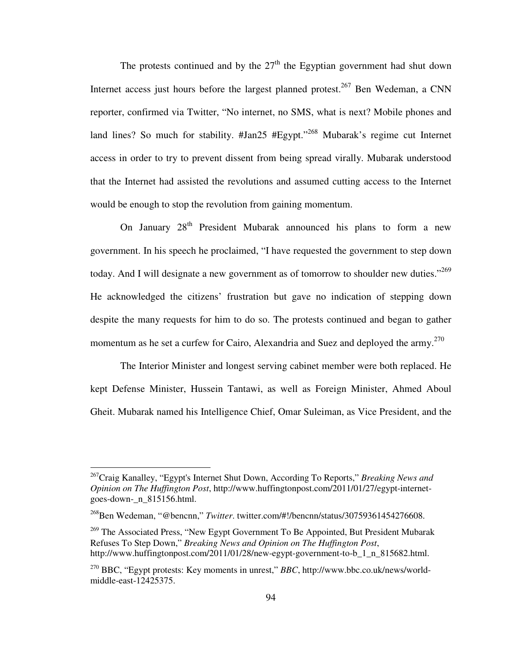The protests continued and by the  $27<sup>th</sup>$  the Egyptian government had shut down Internet access just hours before the largest planned protest.<sup>267</sup> Ben Wedeman, a CNN reporter, confirmed via Twitter, "No internet, no SMS, what is next? Mobile phones and land lines? So much for stability. #Jan25 #Egypt."<sup>268</sup> Mubarak's regime cut Internet access in order to try to prevent dissent from being spread virally. Mubarak understood that the Internet had assisted the revolutions and assumed cutting access to the Internet would be enough to stop the revolution from gaining momentum.

On January 28<sup>th</sup> President Mubarak announced his plans to form a new government. In his speech he proclaimed, "I have requested the government to step down today. And I will designate a new government as of tomorrow to shoulder new duties."<sup>269</sup> He acknowledged the citizens' frustration but gave no indication of stepping down despite the many requests for him to do so. The protests continued and began to gather momentum as he set a curfew for Cairo, Alexandria and Suez and deployed the army.<sup>270</sup>

The Interior Minister and longest serving cabinet member were both replaced. He kept Defense Minister, Hussein Tantawi, as well as Foreign Minister, Ahmed Aboul Gheit. Mubarak named his Intelligence Chief, Omar Suleiman, as Vice President, and the

<sup>267</sup>Craig Kanalley, "Egypt's Internet Shut Down, According To Reports," *Breaking News and Opinion on The Huffington Post*, http://www.huffingtonpost.com/2011/01/27/egypt-internetgoes-down-\_n\_815156.html.

<sup>268</sup>Ben Wedeman, "@bencnn," *Twitter*. twitter.com/#!/bencnn/status/30759361454276608.

<sup>&</sup>lt;sup>269</sup> The Associated Press, "New Egypt Government To Be Appointed, But President Mubarak Refuses To Step Down," *Breaking News and Opinion on The Huffington Post*, http://www.huffingtonpost.com/2011/01/28/new-egypt-government-to-b\_1\_n\_815682.html.

<sup>270</sup> BBC, "Egypt protests: Key moments in unrest," *BBC*, http://www.bbc.co.uk/news/worldmiddle-east-12425375.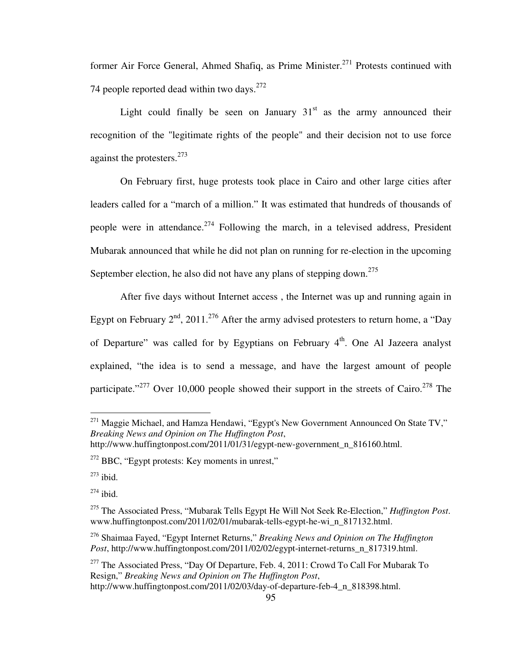former Air Force General, Ahmed Shafiq, as Prime Minister.<sup>271</sup> Protests continued with 74 people reported dead within two days. $272$ 

Light could finally be seen on January  $31<sup>st</sup>$  as the army announced their recognition of the "legitimate rights of the people" and their decision not to use force against the protesters.<sup>273</sup>

On February first, huge protests took place in Cairo and other large cities after leaders called for a "march of a million." It was estimated that hundreds of thousands of people were in attendance.<sup>274</sup> Following the march, in a televised address, President Mubarak announced that while he did not plan on running for re-election in the upcoming September election, he also did not have any plans of stepping down.<sup>275</sup>

After five days without Internet access , the Internet was up and running again in Egypt on February  $2<sup>nd</sup>$ , 2011.<sup>276</sup> After the army advised protesters to return home, a "Day" of Departure" was called for by Egyptians on February  $4<sup>th</sup>$ . One Al Jazeera analyst explained, "the idea is to send a message, and have the largest amount of people participate."<sup>277</sup> Over 10,000 people showed their support in the streets of Cairo.<sup>278</sup> The

<u>.</u>

 $^{271}$  Maggie Michael, and Hamza Hendawi, "Egypt's New Government Announced On State TV," *Breaking News and Opinion on The Huffington Post*, http://www.huffingtonpost.com/2011/01/31/egypt-new-government\_n\_816160.html.

 $272$  BBC, "Egypt protests: Key moments in unrest,"

 $273$  ibid.

 $274$  ibid.

<sup>275</sup> The Associated Press, "Mubarak Tells Egypt He Will Not Seek Re-Election," *Huffington Post*. www.huffingtonpost.com/2011/02/01/mubarak-tells-egypt-he-wi\_n\_817132.html.

<sup>276</sup> Shaimaa Fayed, "Egypt Internet Returns," *Breaking News and Opinion on The Huffington Post*, http://www.huffingtonpost.com/2011/02/02/egypt-internet-returns\_n\_817319.html.

<sup>&</sup>lt;sup>277</sup> The Associated Press, "Day Of Departure, Feb. 4, 2011: Crowd To Call For Mubarak To Resign," *Breaking News and Opinion on The Huffington Post*, http://www.huffingtonpost.com/2011/02/03/day-of-departure-feb-4\_n\_818398.html.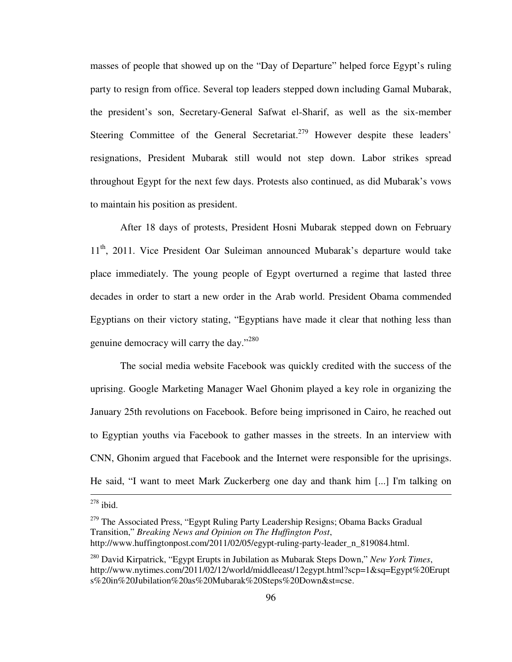masses of people that showed up on the "Day of Departure" helped force Egypt's ruling party to resign from office. Several top leaders stepped down including Gamal Mubarak, the president's son, Secretary-General Safwat el-Sharif, as well as the six-member Steering Committee of the General Secretariat.<sup>279</sup> However despite these leaders' resignations, President Mubarak still would not step down. Labor strikes spread throughout Egypt for the next few days. Protests also continued, as did Mubarak's vows to maintain his position as president.

After 18 days of protests, President Hosni Mubarak stepped down on February 11<sup>th</sup>, 2011. Vice President Oar Suleiman announced Mubarak's departure would take place immediately. The young people of Egypt overturned a regime that lasted three decades in order to start a new order in the Arab world. President Obama commended Egyptians on their victory stating, "Egyptians have made it clear that nothing less than genuine democracy will carry the day."<sup>280</sup>

The social media website Facebook was quickly credited with the success of the uprising. Google Marketing Manager Wael Ghonim played a key role in organizing the January 25th revolutions on Facebook. Before being imprisoned in Cairo, he reached out to Egyptian youths via Facebook to gather masses in the streets. In an interview with CNN, Ghonim argued that Facebook and the Internet were responsible for the uprisings. He said, "I want to meet Mark Zuckerberg one day and thank him [...] I'm talking on  $\overline{a}$ 

 $278$  ibid.

<sup>&</sup>lt;sup>279</sup> The Associated Press, "Egypt Ruling Party Leadership Resigns; Obama Backs Gradual Transition," *Breaking News and Opinion on The Huffington Post*, http://www.huffingtonpost.com/2011/02/05/egypt-ruling-party-leader\_n\_819084.html.

<sup>280</sup> David Kirpatrick, "Egypt Erupts in Jubilation as Mubarak Steps Down," *New York Times*, http://www.nytimes.com/2011/02/12/world/middleeast/12egypt.html?scp=1&sq=Egypt%20Erupt s%20in%20Jubilation%20as%20Mubarak%20Steps%20Down&st=cse.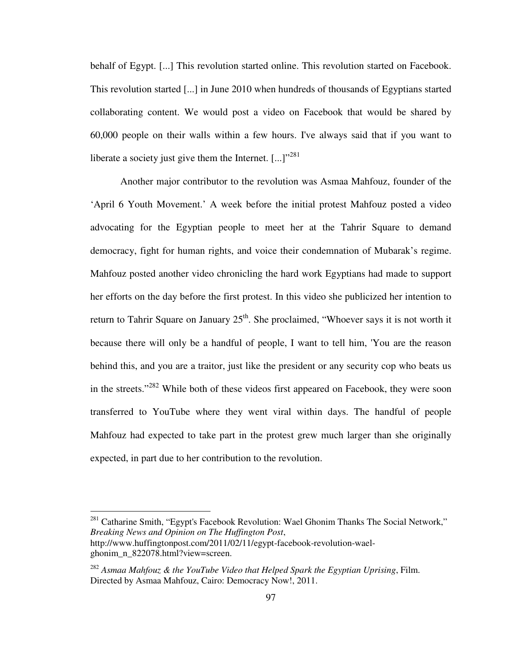behalf of Egypt. [...] This revolution started online. This revolution started on Facebook. This revolution started [...] in June 2010 when hundreds of thousands of Egyptians started collaborating content. We would post a video on Facebook that would be shared by 60,000 people on their walls within a few hours. I've always said that if you want to liberate a society just give them the Internet.  $[\dots]^{3281}$ 

Another major contributor to the revolution was Asmaa Mahfouz, founder of the 'April 6 Youth Movement.' A week before the initial protest Mahfouz posted a video advocating for the Egyptian people to meet her at the Tahrir Square to demand democracy, fight for human rights, and voice their condemnation of Mubarak's regime. Mahfouz posted another video chronicling the hard work Egyptians had made to support her efforts on the day before the first protest. In this video she publicized her intention to return to Tahrir Square on January  $25<sup>th</sup>$ . She proclaimed, "Whoever says it is not worth it because there will only be a handful of people, I want to tell him, 'You are the reason behind this, and you are a traitor, just like the president or any security cop who beats us in the streets."<sup>282</sup> While both of these videos first appeared on Facebook, they were soon transferred to YouTube where they went viral within days. The handful of people Mahfouz had expected to take part in the protest grew much larger than she originally expected, in part due to her contribution to the revolution.

 $281$  Catharine Smith, "Egypt's Facebook Revolution: Wael Ghonim Thanks The Social Network," *Breaking News and Opinion on The Huffington Post*, http://www.huffingtonpost.com/2011/02/11/egypt-facebook-revolution-wael-

ghonim\_n\_822078.html?view=screen.

<sup>282</sup> *Asmaa Mahfouz & the YouTube Video that Helped Spark the Egyptian Uprising*, Film. Directed by Asmaa Mahfouz, Cairo: Democracy Now!, 2011.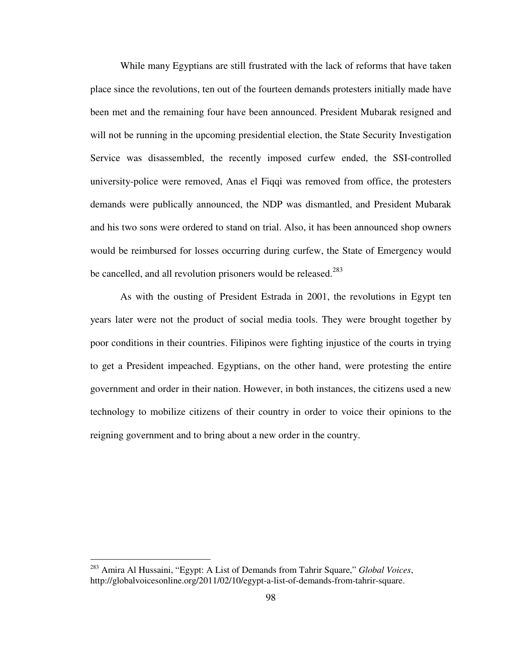While many Egyptians are still frustrated with the lack of reforms that have taken place since the revolutions, ten out of the fourteen demands protesters initially made have been met and the remaining four have been announced. President Mubarak resigned and will not be running in the upcoming presidential election, the State Security Investigation Service was disassembled, the recently imposed curfew ended, the SSI-controlled university-police were removed, Anas el Fiqqi was removed from office, the protesters demands were publically announced, the NDP was dismantled, and President Mubarak and his two sons were ordered to stand on trial. Also, it has been announced shop owners would be reimbursed for losses occurring during curfew, the State of Emergency would be cancelled, and all revolution prisoners would be released.<sup>283</sup>

As with the ousting of President Estrada in 2001, the revolutions in Egypt ten years later were not the product of social media tools. They were brought together by poor conditions in their countries. Filipinos were fighting injustice of the courts in trying to get a President impeached. Egyptians, on the other hand, were protesting the entire government and order in their nation. However, in both instances, the citizens used a new technology to mobilize citizens of their country in order to voice their opinions to the reigning government and to bring about a new order in the country.

<sup>283</sup> Amira Al Hussaini, "Egypt: A List of Demands from Tahrir Square," *Global Voices*, http://globalvoicesonline.org/2011/02/10/egypt-a-list-of-demands-from-tahrir-square.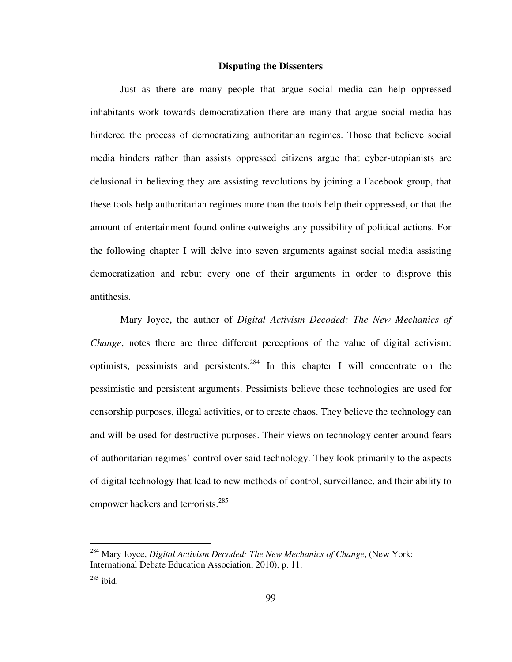#### **Disputing the Dissenters**

Just as there are many people that argue social media can help oppressed inhabitants work towards democratization there are many that argue social media has hindered the process of democratizing authoritarian regimes. Those that believe social media hinders rather than assists oppressed citizens argue that cyber-utopianists are delusional in believing they are assisting revolutions by joining a Facebook group, that these tools help authoritarian regimes more than the tools help their oppressed, or that the amount of entertainment found online outweighs any possibility of political actions. For the following chapter I will delve into seven arguments against social media assisting democratization and rebut every one of their arguments in order to disprove this antithesis.

Mary Joyce, the author of *Digital Activism Decoded: The New Mechanics of Change*, notes there are three different perceptions of the value of digital activism: optimists, pessimists and persistents.<sup>284</sup> In this chapter I will concentrate on the pessimistic and persistent arguments. Pessimists believe these technologies are used for censorship purposes, illegal activities, or to create chaos. They believe the technology can and will be used for destructive purposes. Their views on technology center around fears of authoritarian regimes' control over said technology. They look primarily to the aspects of digital technology that lead to new methods of control, surveillance, and their ability to empower hackers and terrorists.<sup>285</sup>

<sup>284</sup> Mary Joyce, *Digital Activism Decoded: The New Mechanics of Change*, (New York: International Debate Education Association, 2010), p. 11.

 $285$  ibid.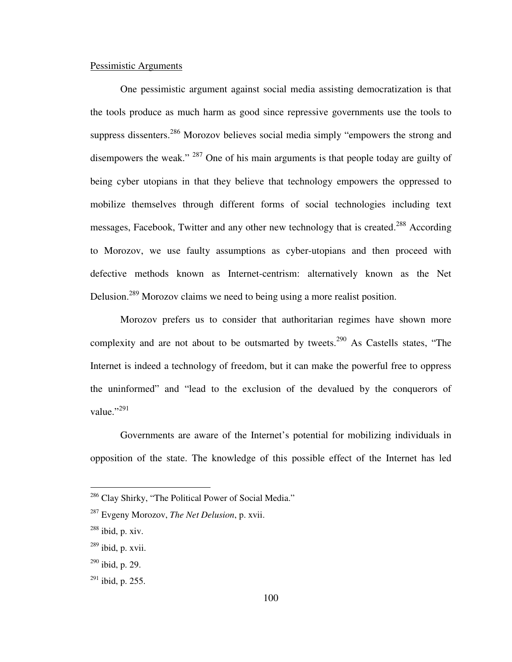## Pessimistic Arguments

One pessimistic argument against social media assisting democratization is that the tools produce as much harm as good since repressive governments use the tools to suppress dissenters.<sup>286</sup> Morozov believes social media simply "empowers the strong and disempowers the weak." <sup>287</sup> One of his main arguments is that people today are guilty of being cyber utopians in that they believe that technology empowers the oppressed to mobilize themselves through different forms of social technologies including text messages, Facebook, Twitter and any other new technology that is created.<sup>288</sup> According to Morozov, we use faulty assumptions as cyber-utopians and then proceed with defective methods known as Internet-centrism: alternatively known as the Net Delusion.<sup>289</sup> Morozov claims we need to being using a more realist position.

Morozov prefers us to consider that authoritarian regimes have shown more complexity and are not about to be outsmarted by tweets.<sup>290</sup> As Castells states, "The Internet is indeed a technology of freedom, but it can make the powerful free to oppress the uninformed" and "lead to the exclusion of the devalued by the conquerors of value." $^{3291}$ 

Governments are aware of the Internet's potential for mobilizing individuals in opposition of the state. The knowledge of this possible effect of the Internet has led

<u>.</u>

<sup>&</sup>lt;sup>286</sup> Clay Shirky, "The Political Power of Social Media."

<sup>287</sup> Evgeny Morozov, *The Net Delusion*, p. xvii.

 $^{288}$  ibid, p. xiv.

 $^{289}$  ibid, p. xvii.

 $^{290}$  ibid, p. 29.

 $^{291}$  ibid, p. 255.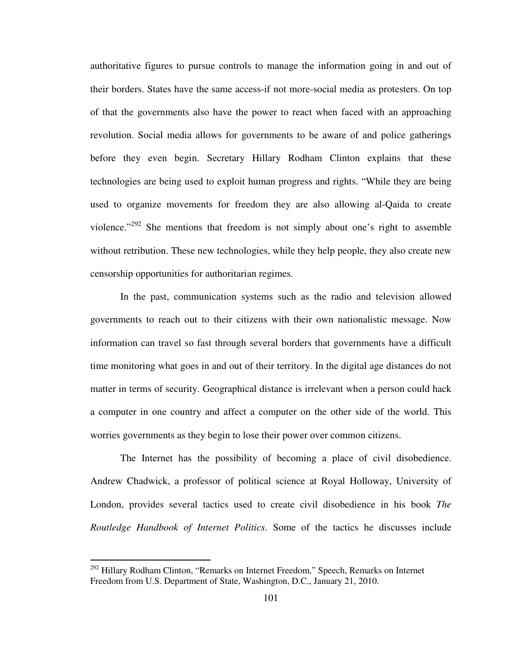authoritative figures to pursue controls to manage the information going in and out of their borders. States have the same access-if not more-social media as protesters. On top of that the governments also have the power to react when faced with an approaching revolution. Social media allows for governments to be aware of and police gatherings before they even begin. Secretary Hillary Rodham Clinton explains that these technologies are being used to exploit human progress and rights. "While they are being used to organize movements for freedom they are also allowing al-Qaida to create violence."<sup>292</sup> She mentions that freedom is not simply about one's right to assemble without retribution. These new technologies, while they help people, they also create new censorship opportunities for authoritarian regimes.

In the past, communication systems such as the radio and television allowed governments to reach out to their citizens with their own nationalistic message. Now information can travel so fast through several borders that governments have a difficult time monitoring what goes in and out of their territory. In the digital age distances do not matter in terms of security. Geographical distance is irrelevant when a person could hack a computer in one country and affect a computer on the other side of the world. This worries governments as they begin to lose their power over common citizens.

The Internet has the possibility of becoming a place of civil disobedience. Andrew Chadwick, a professor of political science at Royal Holloway, University of London, provides several tactics used to create civil disobedience in his book *The Routledge Handbook of Internet Politics*. Some of the tactics he discusses include

<sup>&</sup>lt;sup>292</sup> Hillary Rodham Clinton, "Remarks on Internet Freedom," Speech, Remarks on Internet Freedom from U.S. Department of State, Washington, D.C., January 21, 2010.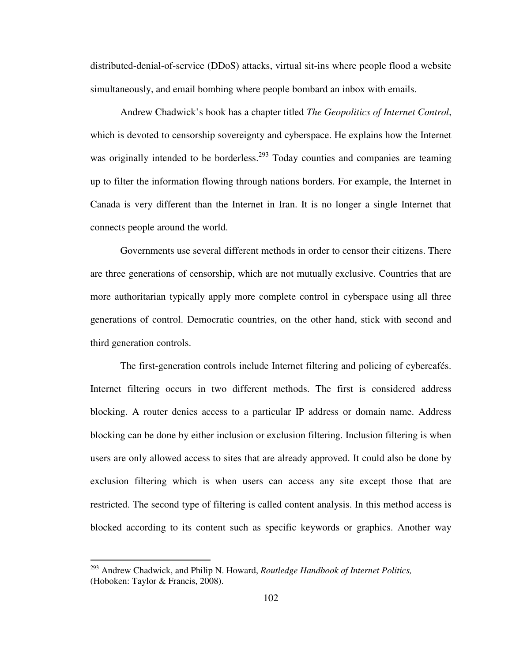distributed-denial-of-service (DDoS) attacks, virtual sit-ins where people flood a website simultaneously, and email bombing where people bombard an inbox with emails.

Andrew Chadwick's book has a chapter titled *The Geopolitics of Internet Control*, which is devoted to censorship sovereignty and cyberspace. He explains how the Internet was originally intended to be borderless.<sup>293</sup> Today counties and companies are teaming up to filter the information flowing through nations borders. For example, the Internet in Canada is very different than the Internet in Iran. It is no longer a single Internet that connects people around the world.

Governments use several different methods in order to censor their citizens. There are three generations of censorship, which are not mutually exclusive. Countries that are more authoritarian typically apply more complete control in cyberspace using all three generations of control. Democratic countries, on the other hand, stick with second and third generation controls.

The first-generation controls include Internet filtering and policing of cybercafés. Internet filtering occurs in two different methods. The first is considered address blocking. A router denies access to a particular IP address or domain name. Address blocking can be done by either inclusion or exclusion filtering. Inclusion filtering is when users are only allowed access to sites that are already approved. It could also be done by exclusion filtering which is when users can access any site except those that are restricted. The second type of filtering is called content analysis. In this method access is blocked according to its content such as specific keywords or graphics. Another way

<u>.</u>

<sup>293</sup> Andrew Chadwick, and Philip N. Howard, *Routledge Handbook of Internet Politics,*  (Hoboken: Taylor & Francis, 2008).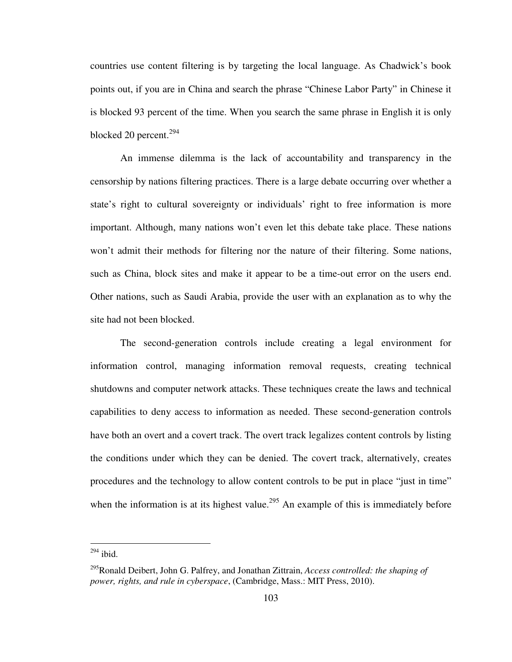countries use content filtering is by targeting the local language. As Chadwick's book points out, if you are in China and search the phrase "Chinese Labor Party" in Chinese it is blocked 93 percent of the time. When you search the same phrase in English it is only blocked 20 percent.<sup>294</sup>

An immense dilemma is the lack of accountability and transparency in the censorship by nations filtering practices. There is a large debate occurring over whether a state's right to cultural sovereignty or individuals' right to free information is more important. Although, many nations won't even let this debate take place. These nations won't admit their methods for filtering nor the nature of their filtering. Some nations, such as China, block sites and make it appear to be a time-out error on the users end. Other nations, such as Saudi Arabia, provide the user with an explanation as to why the site had not been blocked.

The second-generation controls include creating a legal environment for information control, managing information removal requests, creating technical shutdowns and computer network attacks. These techniques create the laws and technical capabilities to deny access to information as needed. These second-generation controls have both an overt and a covert track. The overt track legalizes content controls by listing the conditions under which they can be denied. The covert track, alternatively, creates procedures and the technology to allow content controls to be put in place "just in time" when the information is at its highest value.<sup>295</sup> An example of this is immediately before

 $294$  ibid.

<sup>295</sup>Ronald Deibert, John G. Palfrey, and Jonathan Zittrain, *Access controlled: the shaping of power, rights, and rule in cyberspace*, (Cambridge, Mass.: MIT Press, 2010).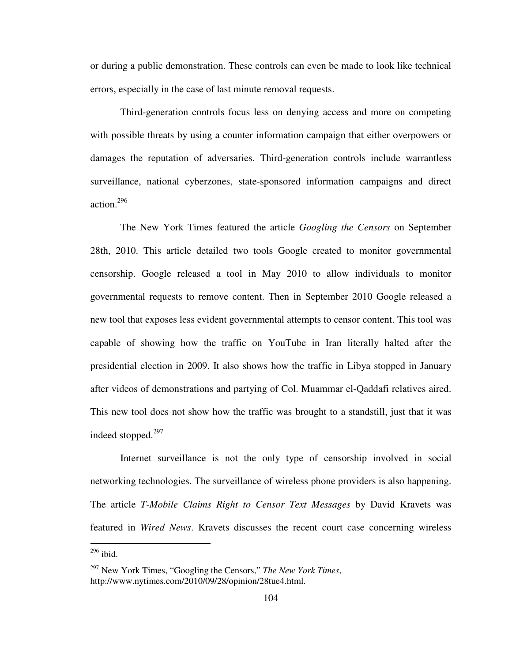or during a public demonstration. These controls can even be made to look like technical errors, especially in the case of last minute removal requests.

Third-generation controls focus less on denying access and more on competing with possible threats by using a counter information campaign that either overpowers or damages the reputation of adversaries. Third-generation controls include warrantless surveillance, national cyberzones, state-sponsored information campaigns and direct action.<sup>296</sup>

The New York Times featured the article *Googling the Censors* on September 28th, 2010. This article detailed two tools Google created to monitor governmental censorship. Google released a tool in May 2010 to allow individuals to monitor governmental requests to remove content. Then in September 2010 Google released a new tool that exposes less evident governmental attempts to censor content. This tool was capable of showing how the traffic on YouTube in Iran literally halted after the presidential election in 2009. It also shows how the traffic in Libya stopped in January after videos of demonstrations and partying of Col. Muammar el-Qaddafi relatives aired. This new tool does not show how the traffic was brought to a standstill, just that it was indeed stopped. $297$ 

Internet surveillance is not the only type of censorship involved in social networking technologies. The surveillance of wireless phone providers is also happening. The article *T-Mobile Claims Right to Censor Text Messages* by David Kravets was featured in *Wired News*. Kravets discusses the recent court case concerning wireless

<u>.</u>

 $296$  ibid.

<sup>297</sup> New York Times, "Googling the Censors," *The New York Times*, http://www.nytimes.com/2010/09/28/opinion/28tue4.html.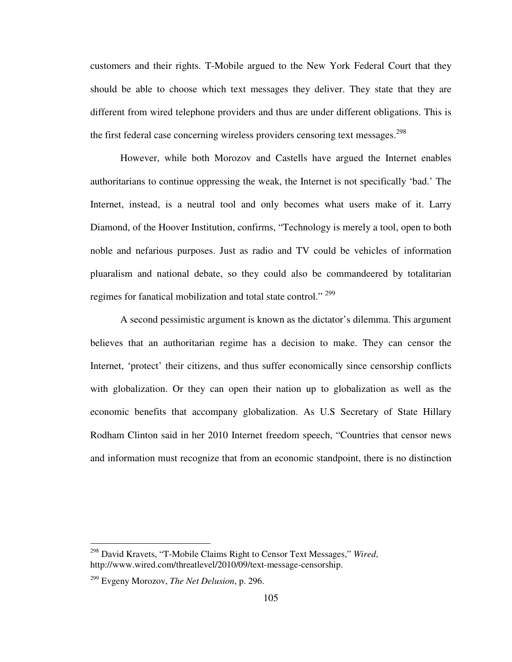customers and their rights. T-Mobile argued to the New York Federal Court that they should be able to choose which text messages they deliver. They state that they are different from wired telephone providers and thus are under different obligations. This is the first federal case concerning wireless providers censoring text messages.<sup>298</sup>

However, while both Morozov and Castells have argued the Internet enables authoritarians to continue oppressing the weak, the Internet is not specifically 'bad.' The Internet, instead, is a neutral tool and only becomes what users make of it. Larry Diamond, of the Hoover Institution, confirms, "Technology is merely a tool, open to both noble and nefarious purposes. Just as radio and TV could be vehicles of information pluaralism and national debate, so they could also be commandeered by totalitarian regimes for fanatical mobilization and total state control." <sup>299</sup>

A second pessimistic argument is known as the dictator's dilemma. This argument believes that an authoritarian regime has a decision to make. They can censor the Internet, 'protect' their citizens, and thus suffer economically since censorship conflicts with globalization. Or they can open their nation up to globalization as well as the economic benefits that accompany globalization. As U.S Secretary of State Hillary Rodham Clinton said in her 2010 Internet freedom speech, "Countries that censor news and information must recognize that from an economic standpoint, there is no distinction

<sup>298</sup> David Kravets, "T-Mobile Claims Right to Censor Text Messages," *Wired*, http://www.wired.com/threatlevel/2010/09/text-message-censorship.

<sup>299</sup> Evgeny Morozov, *The Net Delusion*, p. 296.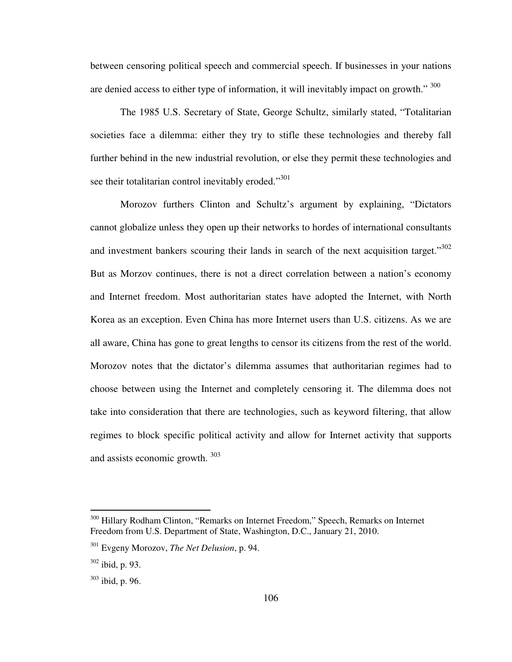between censoring political speech and commercial speech. If businesses in your nations are denied access to either type of information, it will inevitably impact on growth." 300

The 1985 U.S. Secretary of State, George Schultz, similarly stated, "Totalitarian societies face a dilemma: either they try to stifle these technologies and thereby fall further behind in the new industrial revolution, or else they permit these technologies and see their totalitarian control inevitably eroded."<sup>301</sup>

Morozov furthers Clinton and Schultz's argument by explaining, "Dictators cannot globalize unless they open up their networks to hordes of international consultants and investment bankers scouring their lands in search of the next acquisition target."<sup>302</sup> But as Morzov continues, there is not a direct correlation between a nation's economy and Internet freedom. Most authoritarian states have adopted the Internet, with North Korea as an exception. Even China has more Internet users than U.S. citizens. As we are all aware, China has gone to great lengths to censor its citizens from the rest of the world. Morozov notes that the dictator's dilemma assumes that authoritarian regimes had to choose between using the Internet and completely censoring it. The dilemma does not take into consideration that there are technologies, such as keyword filtering, that allow regimes to block specific political activity and allow for Internet activity that supports and assists economic growth.<sup>303</sup>

<u>.</u>

<sup>300</sup> Hillary Rodham Clinton, "Remarks on Internet Freedom," Speech, Remarks on Internet Freedom from U.S. Department of State, Washington, D.C., January 21, 2010.

<sup>301</sup> Evgeny Morozov, *The Net Delusion*, p. 94.

 $302$  ibid, p. 93.

 $303$  ibid, p. 96.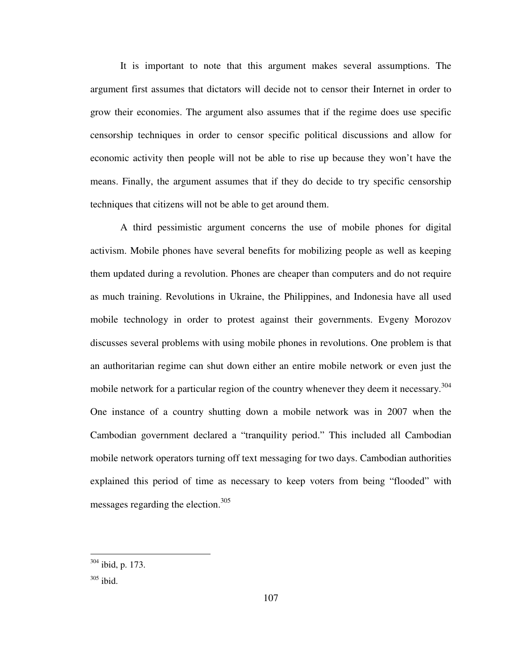It is important to note that this argument makes several assumptions. The argument first assumes that dictators will decide not to censor their Internet in order to grow their economies. The argument also assumes that if the regime does use specific censorship techniques in order to censor specific political discussions and allow for economic activity then people will not be able to rise up because they won't have the means. Finally, the argument assumes that if they do decide to try specific censorship techniques that citizens will not be able to get around them.

A third pessimistic argument concerns the use of mobile phones for digital activism. Mobile phones have several benefits for mobilizing people as well as keeping them updated during a revolution. Phones are cheaper than computers and do not require as much training. Revolutions in Ukraine, the Philippines, and Indonesia have all used mobile technology in order to protest against their governments. Evgeny Morozov discusses several problems with using mobile phones in revolutions. One problem is that an authoritarian regime can shut down either an entire mobile network or even just the mobile network for a particular region of the country whenever they deem it necessary.<sup>304</sup> One instance of a country shutting down a mobile network was in 2007 when the Cambodian government declared a "tranquility period." This included all Cambodian mobile network operators turning off text messaging for two days. Cambodian authorities explained this period of time as necessary to keep voters from being "flooded" with messages regarding the election.<sup>305</sup>

 $304$  ibid, p. 173.

 $305$  ibid.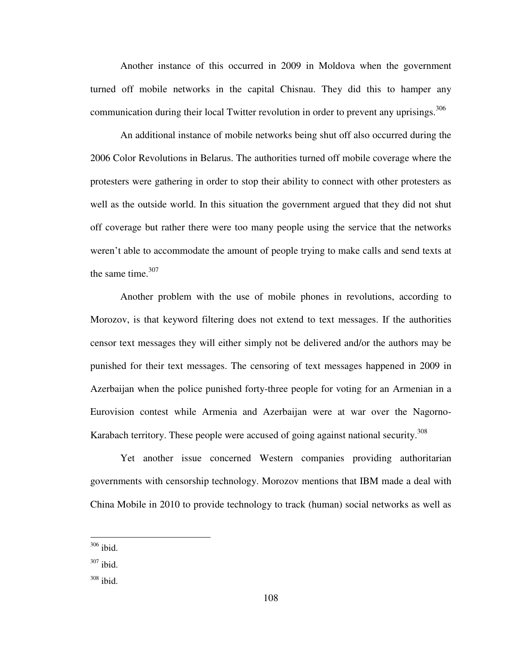Another instance of this occurred in 2009 in Moldova when the government turned off mobile networks in the capital Chisnau. They did this to hamper any communication during their local Twitter revolution in order to prevent any uprisings.<sup>306</sup>

An additional instance of mobile networks being shut off also occurred during the 2006 Color Revolutions in Belarus. The authorities turned off mobile coverage where the protesters were gathering in order to stop their ability to connect with other protesters as well as the outside world. In this situation the government argued that they did not shut off coverage but rather there were too many people using the service that the networks weren't able to accommodate the amount of people trying to make calls and send texts at the same time. $307$ 

Another problem with the use of mobile phones in revolutions, according to Morozov, is that keyword filtering does not extend to text messages. If the authorities censor text messages they will either simply not be delivered and/or the authors may be punished for their text messages. The censoring of text messages happened in 2009 in Azerbaijan when the police punished forty-three people for voting for an Armenian in a Eurovision contest while Armenia and Azerbaijan were at war over the Nagorno-Karabach territory. These people were accused of going against national security.<sup>308</sup>

Yet another issue concerned Western companies providing authoritarian governments with censorship technology. Morozov mentions that IBM made a deal with China Mobile in 2010 to provide technology to track (human) social networks as well as

 $306$  ibid.

 $307$  ibid.

<sup>308</sup> ibid.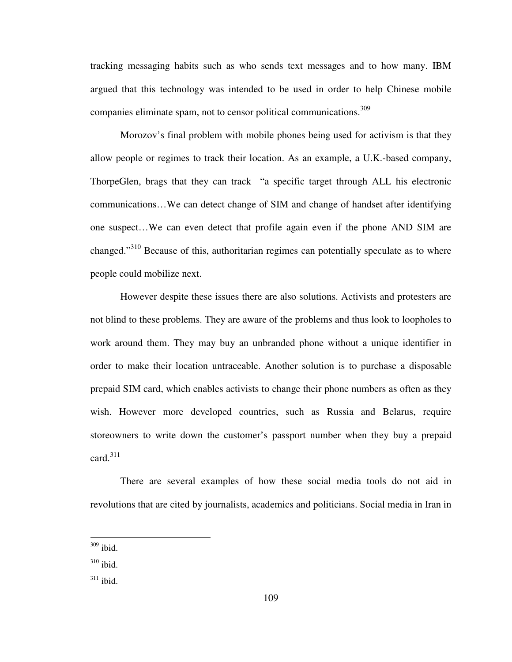tracking messaging habits such as who sends text messages and to how many. IBM argued that this technology was intended to be used in order to help Chinese mobile companies eliminate spam, not to censor political communications.<sup>309</sup>

Morozov's final problem with mobile phones being used for activism is that they allow people or regimes to track their location. As an example, a U.K.-based company, ThorpeGlen, brags that they can track "a specific target through ALL his electronic communications…We can detect change of SIM and change of handset after identifying one suspect…We can even detect that profile again even if the phone AND SIM are changed."<sup>310</sup> Because of this, authoritarian regimes can potentially speculate as to where people could mobilize next.

However despite these issues there are also solutions. Activists and protesters are not blind to these problems. They are aware of the problems and thus look to loopholes to work around them. They may buy an unbranded phone without a unique identifier in order to make their location untraceable. Another solution is to purchase a disposable prepaid SIM card, which enables activists to change their phone numbers as often as they wish. However more developed countries, such as Russia and Belarus, require storeowners to write down the customer's passport number when they buy a prepaid card. $311$ 

There are several examples of how these social media tools do not aid in revolutions that are cited by journalists, academics and politicians. Social media in Iran in

-

 $309$  ibid.

 $310$  ibid.

 $311$  ibid.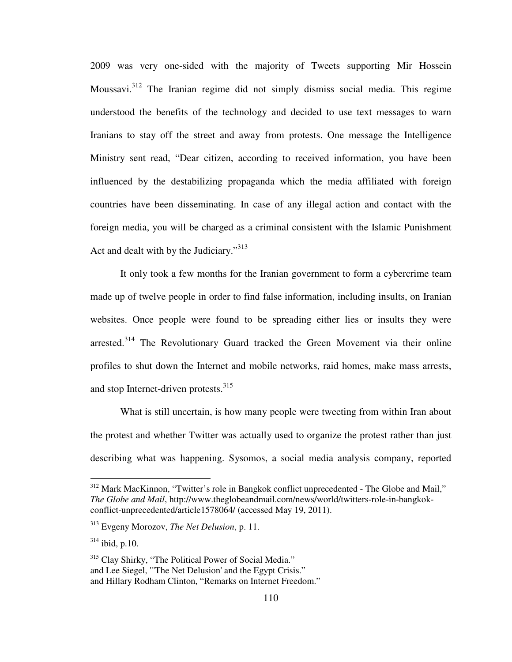2009 was very one-sided with the majority of Tweets supporting Mir Hossein Moussavi.<sup>312</sup> The Iranian regime did not simply dismiss social media. This regime understood the benefits of the technology and decided to use text messages to warn Iranians to stay off the street and away from protests. One message the Intelligence Ministry sent read, "Dear citizen, according to received information, you have been influenced by the destabilizing propaganda which the media affiliated with foreign countries have been disseminating. In case of any illegal action and contact with the foreign media, you will be charged as a criminal consistent with the Islamic Punishment Act and dealt with by the Judiciary."<sup>313</sup>

It only took a few months for the Iranian government to form a cybercrime team made up of twelve people in order to find false information, including insults, on Iranian websites. Once people were found to be spreading either lies or insults they were arrested.<sup>314</sup> The Revolutionary Guard tracked the Green Movement via their online profiles to shut down the Internet and mobile networks, raid homes, make mass arrests, and stop Internet-driven protests.<sup>315</sup>

What is still uncertain, is how many people were tweeting from within Iran about the protest and whether Twitter was actually used to organize the protest rather than just describing what was happening. Sysomos, a social media analysis company, reported

 $312$  Mark MacKinnon, "Twitter's role in Bangkok conflict unprecedented - The Globe and Mail," *The Globe and Mail*, http://www.theglobeandmail.com/news/world/twitters-role-in-bangkokconflict-unprecedented/article1578064/ (accessed May 19, 2011).

<sup>313</sup> Evgeny Morozov, *The Net Delusion*, p. 11.

<sup>314</sup> ibid, p.10.

<sup>&</sup>lt;sup>315</sup> Clay Shirky, "The Political Power of Social Media." and Lee Siegel, "'The Net Delusion' and the Egypt Crisis." and Hillary Rodham Clinton, "Remarks on Internet Freedom."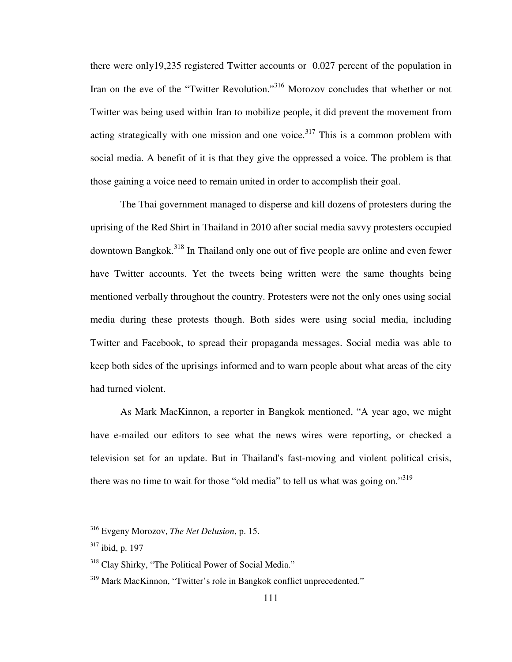there were only19,235 registered Twitter accounts or 0.027 percent of the population in Iran on the eve of the "Twitter Revolution."<sup>316</sup> Morozov concludes that whether or not Twitter was being used within Iran to mobilize people, it did prevent the movement from acting strategically with one mission and one voice.<sup>317</sup> This is a common problem with social media. A benefit of it is that they give the oppressed a voice. The problem is that those gaining a voice need to remain united in order to accomplish their goal.

The Thai government managed to disperse and kill dozens of protesters during the uprising of the Red Shirt in Thailand in 2010 after social media savvy protesters occupied downtown Bangkok.<sup>318</sup> In Thailand only one out of five people are online and even fewer have Twitter accounts. Yet the tweets being written were the same thoughts being mentioned verbally throughout the country. Protesters were not the only ones using social media during these protests though. Both sides were using social media, including Twitter and Facebook, to spread their propaganda messages. Social media was able to keep both sides of the uprisings informed and to warn people about what areas of the city had turned violent.

As Mark MacKinnon, a reporter in Bangkok mentioned, "A year ago, we might have e-mailed our editors to see what the news wires were reporting, or checked a television set for an update. But in Thailand's fast-moving and violent political crisis, there was no time to wait for those "old media" to tell us what was going on."<sup>319</sup>

<sup>316</sup> Evgeny Morozov, *The Net Delusion*, p. 15.

 $317$  ibid, p. 197

<sup>&</sup>lt;sup>318</sup> Clay Shirky, "The Political Power of Social Media."

<sup>&</sup>lt;sup>319</sup> Mark MacKinnon, "Twitter's role in Bangkok conflict unprecedented."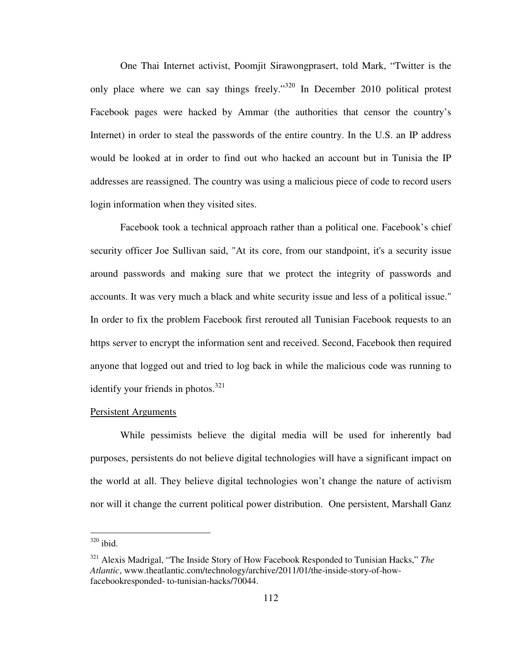One Thai Internet activist, Poomjit Sirawongprasert, told Mark, "Twitter is the only place where we can say things freely."<sup>320</sup> In December 2010 political protest Facebook pages were hacked by Ammar (the authorities that censor the country's Internet) in order to steal the passwords of the entire country. In the U.S. an IP address would be looked at in order to find out who hacked an account but in Tunisia the IP addresses are reassigned. The country was using a malicious piece of code to record users login information when they visited sites.

Facebook took a technical approach rather than a political one. Facebook's chief security officer Joe Sullivan said, "At its core, from our standpoint, it's a security issue around passwords and making sure that we protect the integrity of passwords and accounts. It was very much a black and white security issue and less of a political issue." In order to fix the problem Facebook first rerouted all Tunisian Facebook requests to an https server to encrypt the information sent and received. Second, Facebook then required anyone that logged out and tried to log back in while the malicious code was running to identify your friends in photos. $321$ 

## Persistent Arguments

While pessimists believe the digital media will be used for inherently bad purposes, persistents do not believe digital technologies will have a significant impact on the world at all. They believe digital technologies won't change the nature of activism nor will it change the current political power distribution. One persistent, Marshall Ganz

 $320$  ibid.

<sup>321</sup> Alexis Madrigal, "The Inside Story of How Facebook Responded to Tunisian Hacks," *The Atlantic*, www.theatlantic.com/technology/archive/2011/01/the-inside-story-of-howfacebookresponded- to-tunisian-hacks/70044.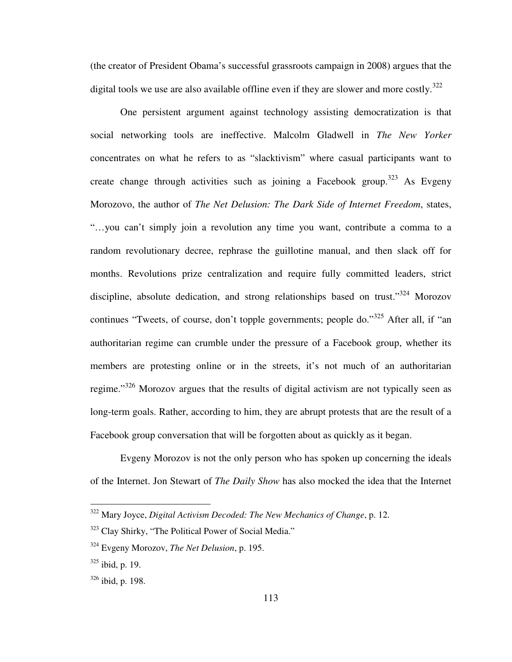(the creator of President Obama's successful grassroots campaign in 2008) argues that the digital tools we use are also available offline even if they are slower and more costly.<sup>322</sup>

One persistent argument against technology assisting democratization is that social networking tools are ineffective. Malcolm Gladwell in *The New Yorker* concentrates on what he refers to as "slacktivism" where casual participants want to create change through activities such as joining a Facebook group.<sup>323</sup> As Evgeny Morozovo, the author of *The Net Delusion: The Dark Side of Internet Freedom*, states, "…you can't simply join a revolution any time you want, contribute a comma to a random revolutionary decree, rephrase the guillotine manual, and then slack off for months. Revolutions prize centralization and require fully committed leaders, strict discipline, absolute dedication, and strong relationships based on trust."<sup>324</sup> Morozov continues "Tweets, of course, don't topple governments; people do."<sup>325</sup> After all, if "an authoritarian regime can crumble under the pressure of a Facebook group, whether its members are protesting online or in the streets, it's not much of an authoritarian regime."<sup>326</sup> Morozov argues that the results of digital activism are not typically seen as long-term goals. Rather, according to him, they are abrupt protests that are the result of a Facebook group conversation that will be forgotten about as quickly as it began.

Evgeny Morozov is not the only person who has spoken up concerning the ideals of the Internet. Jon Stewart of *The Daily Show* has also mocked the idea that the Internet

<sup>322</sup> Mary Joyce, *Digital Activism Decoded: The New Mechanics of Change*, p. 12.

<sup>&</sup>lt;sup>323</sup> Clay Shirky, "The Political Power of Social Media."

<sup>324</sup> Evgeny Morozov, *The Net Delusion*, p. 195.

 $325$  ibid, p. 19.

 $326$  ibid, p. 198.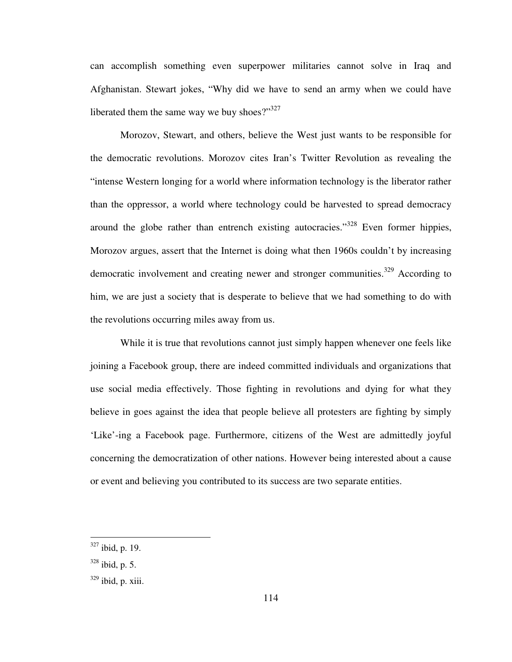can accomplish something even superpower militaries cannot solve in Iraq and Afghanistan. Stewart jokes, "Why did we have to send an army when we could have liberated them the same way we buy shoes?" $327$ 

Morozov, Stewart, and others, believe the West just wants to be responsible for the democratic revolutions. Morozov cites Iran's Twitter Revolution as revealing the "intense Western longing for a world where information technology is the liberator rather than the oppressor, a world where technology could be harvested to spread democracy around the globe rather than entrench existing autocracies."<sup>328</sup> Even former hippies, Morozov argues, assert that the Internet is doing what then 1960s couldn't by increasing democratic involvement and creating newer and stronger communities.<sup>329</sup> According to him, we are just a society that is desperate to believe that we had something to do with the revolutions occurring miles away from us.

While it is true that revolutions cannot just simply happen whenever one feels like joining a Facebook group, there are indeed committed individuals and organizations that use social media effectively. Those fighting in revolutions and dying for what they believe in goes against the idea that people believe all protesters are fighting by simply 'Like'-ing a Facebook page. Furthermore, citizens of the West are admittedly joyful concerning the democratization of other nations. However being interested about a cause or event and believing you contributed to its success are two separate entities.

 $327$  ibid, p. 19.

 $328$  ibid, p. 5.

 $329$  ibid, p. xiii.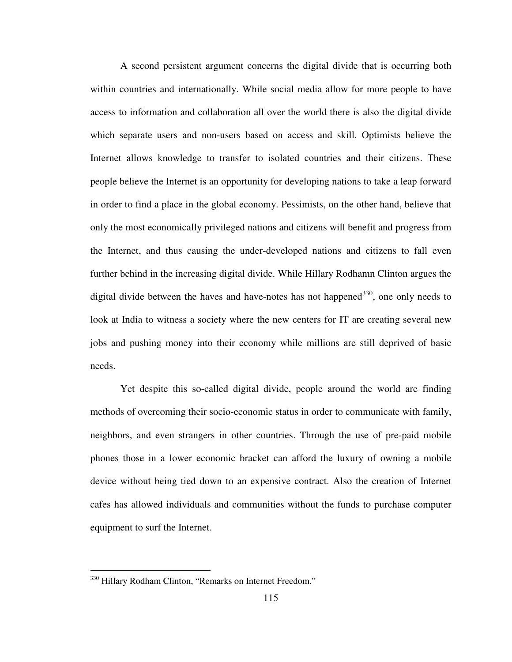A second persistent argument concerns the digital divide that is occurring both within countries and internationally. While social media allow for more people to have access to information and collaboration all over the world there is also the digital divide which separate users and non-users based on access and skill. Optimists believe the Internet allows knowledge to transfer to isolated countries and their citizens. These people believe the Internet is an opportunity for developing nations to take a leap forward in order to find a place in the global economy. Pessimists, on the other hand, believe that only the most economically privileged nations and citizens will benefit and progress from the Internet, and thus causing the under-developed nations and citizens to fall even further behind in the increasing digital divide. While Hillary Rodhamn Clinton argues the digital divide between the haves and have-notes has not happened $^{330}$ , one only needs to look at India to witness a society where the new centers for IT are creating several new jobs and pushing money into their economy while millions are still deprived of basic needs.

Yet despite this so-called digital divide, people around the world are finding methods of overcoming their socio-economic status in order to communicate with family, neighbors, and even strangers in other countries. Through the use of pre-paid mobile phones those in a lower economic bracket can afford the luxury of owning a mobile device without being tied down to an expensive contract. Also the creation of Internet cafes has allowed individuals and communities without the funds to purchase computer equipment to surf the Internet.

<sup>&</sup>lt;sup>330</sup> Hillary Rodham Clinton, "Remarks on Internet Freedom."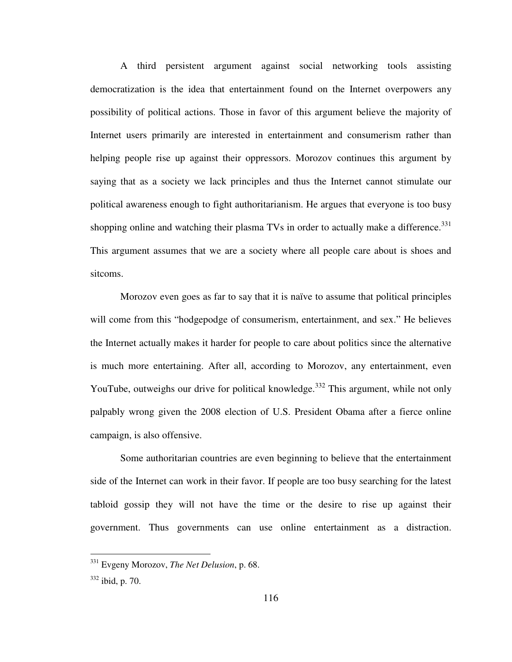A third persistent argument against social networking tools assisting democratization is the idea that entertainment found on the Internet overpowers any possibility of political actions. Those in favor of this argument believe the majority of Internet users primarily are interested in entertainment and consumerism rather than helping people rise up against their oppressors. Morozov continues this argument by saying that as a society we lack principles and thus the Internet cannot stimulate our political awareness enough to fight authoritarianism. He argues that everyone is too busy shopping online and watching their plasma TVs in order to actually make a difference. $331$ This argument assumes that we are a society where all people care about is shoes and sitcoms.

Morozov even goes as far to say that it is naïve to assume that political principles will come from this "hodgepodge of consumerism, entertainment, and sex." He believes the Internet actually makes it harder for people to care about politics since the alternative is much more entertaining. After all, according to Morozov, any entertainment, even YouTube, outweighs our drive for political knowledge.<sup>332</sup> This argument, while not only palpably wrong given the 2008 election of U.S. President Obama after a fierce online campaign, is also offensive.

Some authoritarian countries are even beginning to believe that the entertainment side of the Internet can work in their favor. If people are too busy searching for the latest tabloid gossip they will not have the time or the desire to rise up against their government. Thus governments can use online entertainment as a distraction.

<sup>331</sup> Evgeny Morozov, *The Net Delusion*, p. 68.

<sup>332</sup> ibid, p. 70.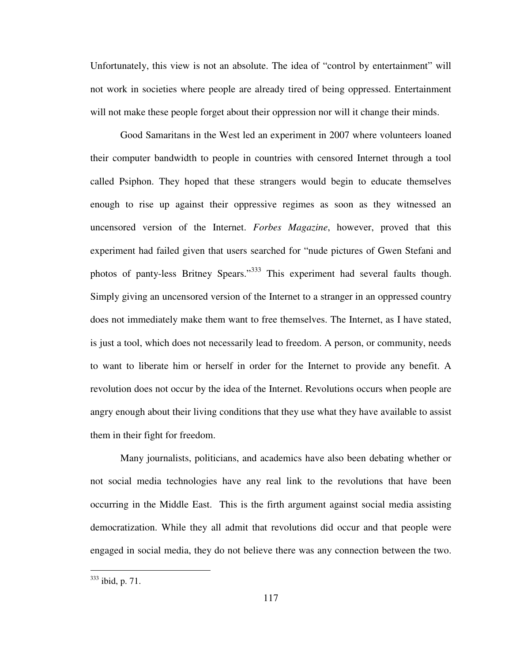Unfortunately, this view is not an absolute. The idea of "control by entertainment" will not work in societies where people are already tired of being oppressed. Entertainment will not make these people forget about their oppression nor will it change their minds.

Good Samaritans in the West led an experiment in 2007 where volunteers loaned their computer bandwidth to people in countries with censored Internet through a tool called Psiphon. They hoped that these strangers would begin to educate themselves enough to rise up against their oppressive regimes as soon as they witnessed an uncensored version of the Internet. *Forbes Magazine*, however, proved that this experiment had failed given that users searched for "nude pictures of Gwen Stefani and photos of panty-less Britney Spears."<sup>333</sup> This experiment had several faults though. Simply giving an uncensored version of the Internet to a stranger in an oppressed country does not immediately make them want to free themselves. The Internet, as I have stated, is just a tool, which does not necessarily lead to freedom. A person, or community, needs to want to liberate him or herself in order for the Internet to provide any benefit. A revolution does not occur by the idea of the Internet. Revolutions occurs when people are angry enough about their living conditions that they use what they have available to assist them in their fight for freedom.

Many journalists, politicians, and academics have also been debating whether or not social media technologies have any real link to the revolutions that have been occurring in the Middle East. This is the firth argument against social media assisting democratization. While they all admit that revolutions did occur and that people were engaged in social media, they do not believe there was any connection between the two.

-

<sup>&</sup>lt;sup>333</sup> ibid, p. 71.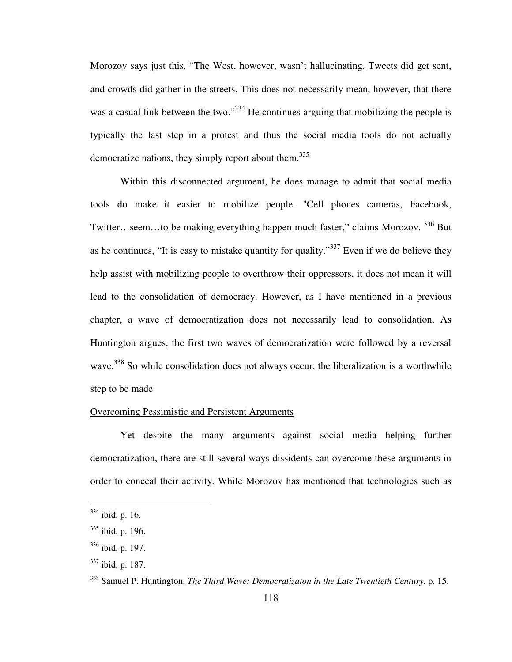Morozov says just this, "The West, however, wasn't hallucinating. Tweets did get sent, and crowds did gather in the streets. This does not necessarily mean, however, that there was a casual link between the two."<sup>334</sup> He continues arguing that mobilizing the people is typically the last step in a protest and thus the social media tools do not actually democratize nations, they simply report about them.<sup>335</sup>

Within this disconnected argument, he does manage to admit that social media tools do make it easier to mobilize people. "Cell phones cameras, Facebook, Twitter…seem…to be making everything happen much faster," claims Morozov. <sup>336</sup> But as he continues, "It is easy to mistake quantity for quality."<sup>337</sup> Even if we do believe they help assist with mobilizing people to overthrow their oppressors, it does not mean it will lead to the consolidation of democracy. However, as I have mentioned in a previous chapter, a wave of democratization does not necessarily lead to consolidation. As Huntington argues, the first two waves of democratization were followed by a reversal wave.<sup>338</sup> So while consolidation does not always occur, the liberalization is a worthwhile step to be made.

## Overcoming Pessimistic and Persistent Arguments

Yet despite the many arguments against social media helping further democratization, there are still several ways dissidents can overcome these arguments in order to conceal their activity. While Morozov has mentioned that technologies such as

-

 $334$  ibid, p. 16.

 $335$  ibid, p. 196.

 $336$  ibid, p. 197.

 $337$  ibid, p. 187.

<sup>338</sup> Samuel P. Huntington, *The Third Wave: Democratizaton in the Late Twentieth Century*, p. 15.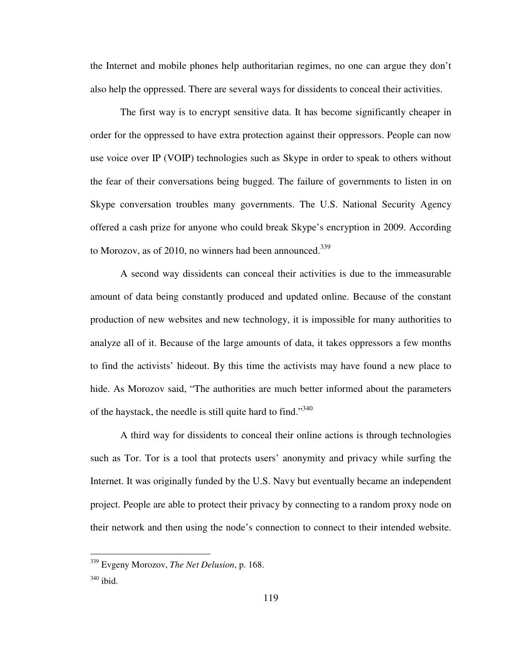the Internet and mobile phones help authoritarian regimes, no one can argue they don't also help the oppressed. There are several ways for dissidents to conceal their activities.

The first way is to encrypt sensitive data. It has become significantly cheaper in order for the oppressed to have extra protection against their oppressors. People can now use voice over IP (VOIP) technologies such as Skype in order to speak to others without the fear of their conversations being bugged. The failure of governments to listen in on Skype conversation troubles many governments. The U.S. National Security Agency offered a cash prize for anyone who could break Skype's encryption in 2009. According to Morozov, as of 2010, no winners had been announced.<sup>339</sup>

A second way dissidents can conceal their activities is due to the immeasurable amount of data being constantly produced and updated online. Because of the constant production of new websites and new technology, it is impossible for many authorities to analyze all of it. Because of the large amounts of data, it takes oppressors a few months to find the activists' hideout. By this time the activists may have found a new place to hide. As Morozov said, "The authorities are much better informed about the parameters of the haystack, the needle is still quite hard to find."<sup>340</sup>

A third way for dissidents to conceal their online actions is through technologies such as Tor. Tor is a tool that protects users' anonymity and privacy while surfing the Internet. It was originally funded by the U.S. Navy but eventually became an independent project. People are able to protect their privacy by connecting to a random proxy node on their network and then using the node's connection to connect to their intended website.

<u>.</u>

<sup>339</sup> Evgeny Morozov, *The Net Delusion*, p. 168.

<sup>340</sup> ibid.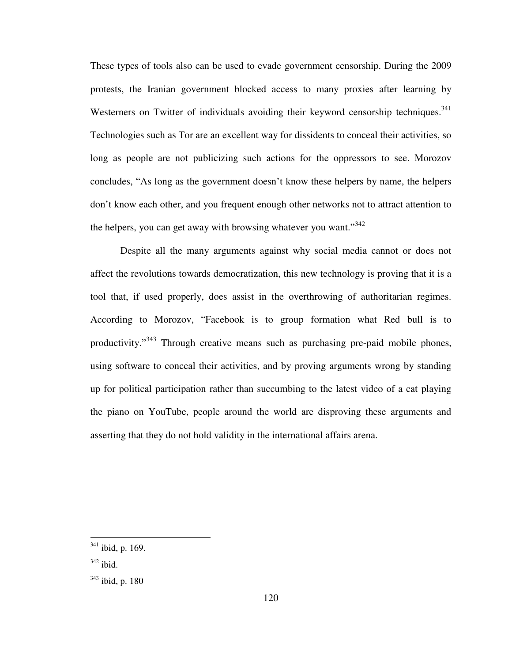These types of tools also can be used to evade government censorship. During the 2009 protests, the Iranian government blocked access to many proxies after learning by Westerners on Twitter of individuals avoiding their keyword censorship techniques.<sup>341</sup> Technologies such as Tor are an excellent way for dissidents to conceal their activities, so long as people are not publicizing such actions for the oppressors to see. Morozov concludes, "As long as the government doesn't know these helpers by name, the helpers don't know each other, and you frequent enough other networks not to attract attention to the helpers, you can get away with browsing whatever you want."<sup>342</sup>

Despite all the many arguments against why social media cannot or does not affect the revolutions towards democratization, this new technology is proving that it is a tool that, if used properly, does assist in the overthrowing of authoritarian regimes. According to Morozov, "Facebook is to group formation what Red bull is to productivity."<sup>343</sup> Through creative means such as purchasing pre-paid mobile phones, using software to conceal their activities, and by proving arguments wrong by standing up for political participation rather than succumbing to the latest video of a cat playing the piano on YouTube, people around the world are disproving these arguments and asserting that they do not hold validity in the international affairs arena.

 $341$  ibid, p. 169.

 $342$  ibid.

 $343$  ibid, p. 180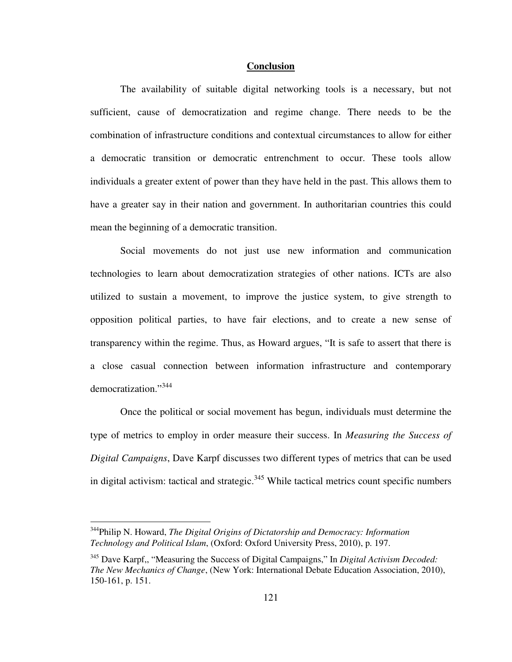## **Conclusion**

The availability of suitable digital networking tools is a necessary, but not sufficient, cause of democratization and regime change. There needs to be the combination of infrastructure conditions and contextual circumstances to allow for either a democratic transition or democratic entrenchment to occur. These tools allow individuals a greater extent of power than they have held in the past. This allows them to have a greater say in their nation and government. In authoritarian countries this could mean the beginning of a democratic transition.

Social movements do not just use new information and communication technologies to learn about democratization strategies of other nations. ICTs are also utilized to sustain a movement, to improve the justice system, to give strength to opposition political parties, to have fair elections, and to create a new sense of transparency within the regime. Thus, as Howard argues, "It is safe to assert that there is a close casual connection between information infrastructure and contemporary democratization."<sup>344</sup>

Once the political or social movement has begun, individuals must determine the type of metrics to employ in order measure their success. In *Measuring the Success of Digital Campaigns*, Dave Karpf discusses two different types of metrics that can be used in digital activism: tactical and strategic. $345$  While tactical metrics count specific numbers

<sup>344</sup>Philip N. Howard, *The Digital Origins of Dictatorship and Democracy: Information Technology and Political Islam*, (Oxford: Oxford University Press, 2010), p. 197.

<sup>345</sup> Dave Karpf,, "Measuring the Success of Digital Campaigns," In *Digital Activism Decoded: The New Mechanics of Change*, (New York: International Debate Education Association, 2010), 150-161, p. 151.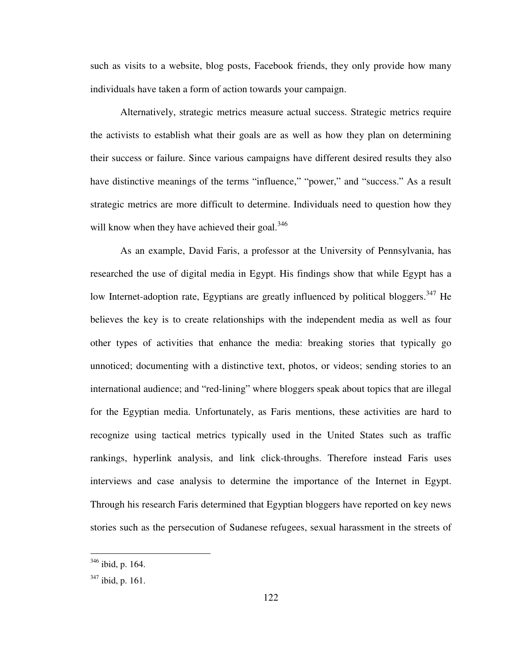such as visits to a website, blog posts, Facebook friends, they only provide how many individuals have taken a form of action towards your campaign.

Alternatively, strategic metrics measure actual success. Strategic metrics require the activists to establish what their goals are as well as how they plan on determining their success or failure. Since various campaigns have different desired results they also have distinctive meanings of the terms "influence," "power," and "success." As a result strategic metrics are more difficult to determine. Individuals need to question how they will know when they have achieved their goal.<sup>346</sup>

As an example, David Faris, a professor at the University of Pennsylvania, has researched the use of digital media in Egypt. His findings show that while Egypt has a low Internet-adoption rate, Egyptians are greatly influenced by political bloggers.<sup>347</sup> He believes the key is to create relationships with the independent media as well as four other types of activities that enhance the media: breaking stories that typically go unnoticed; documenting with a distinctive text, photos, or videos; sending stories to an international audience; and "red-lining" where bloggers speak about topics that are illegal for the Egyptian media. Unfortunately, as Faris mentions, these activities are hard to recognize using tactical metrics typically used in the United States such as traffic rankings, hyperlink analysis, and link click-throughs. Therefore instead Faris uses interviews and case analysis to determine the importance of the Internet in Egypt. Through his research Faris determined that Egyptian bloggers have reported on key news stories such as the persecution of Sudanese refugees, sexual harassment in the streets of

 $346$  ibid, p. 164.

<sup>&</sup>lt;sup>347</sup> ibid, p. 161.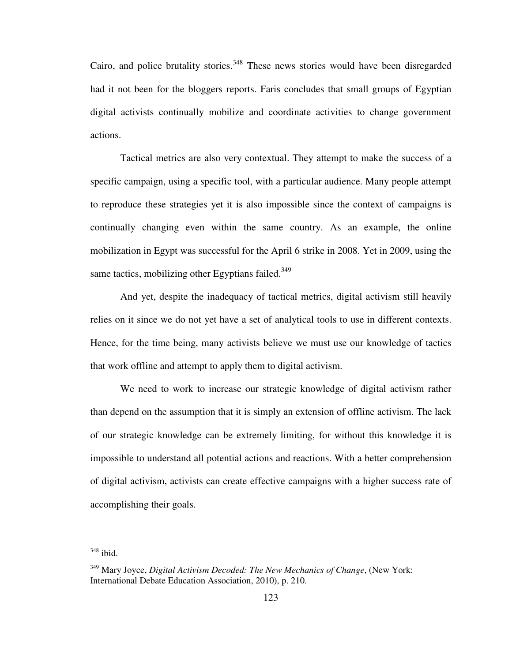Cairo, and police brutality stories.<sup>348</sup> These news stories would have been disregarded had it not been for the bloggers reports. Faris concludes that small groups of Egyptian digital activists continually mobilize and coordinate activities to change government actions.

Tactical metrics are also very contextual. They attempt to make the success of a specific campaign, using a specific tool, with a particular audience. Many people attempt to reproduce these strategies yet it is also impossible since the context of campaigns is continually changing even within the same country. As an example, the online mobilization in Egypt was successful for the April 6 strike in 2008. Yet in 2009, using the same tactics, mobilizing other Egyptians failed. $349$ 

And yet, despite the inadequacy of tactical metrics, digital activism still heavily relies on it since we do not yet have a set of analytical tools to use in different contexts. Hence, for the time being, many activists believe we must use our knowledge of tactics that work offline and attempt to apply them to digital activism.

We need to work to increase our strategic knowledge of digital activism rather than depend on the assumption that it is simply an extension of offline activism. The lack of our strategic knowledge can be extremely limiting, for without this knowledge it is impossible to understand all potential actions and reactions. With a better comprehension of digital activism, activists can create effective campaigns with a higher success rate of accomplishing their goals.

 $348$  ibid.

<sup>349</sup> Mary Joyce, *Digital Activism Decoded: The New Mechanics of Change*, (New York: International Debate Education Association, 2010), p. 210.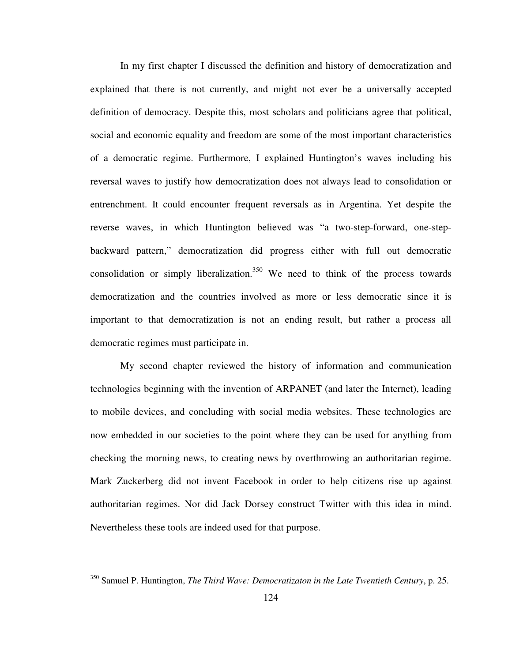In my first chapter I discussed the definition and history of democratization and explained that there is not currently, and might not ever be a universally accepted definition of democracy. Despite this, most scholars and politicians agree that political, social and economic equality and freedom are some of the most important characteristics of a democratic regime. Furthermore, I explained Huntington's waves including his reversal waves to justify how democratization does not always lead to consolidation or entrenchment. It could encounter frequent reversals as in Argentina. Yet despite the reverse waves, in which Huntington believed was "a two-step-forward, one-stepbackward pattern," democratization did progress either with full out democratic consolidation or simply liberalization.<sup>350</sup> We need to think of the process towards democratization and the countries involved as more or less democratic since it is important to that democratization is not an ending result, but rather a process all democratic regimes must participate in.

My second chapter reviewed the history of information and communication technologies beginning with the invention of ARPANET (and later the Internet), leading to mobile devices, and concluding with social media websites. These technologies are now embedded in our societies to the point where they can be used for anything from checking the morning news, to creating news by overthrowing an authoritarian regime. Mark Zuckerberg did not invent Facebook in order to help citizens rise up against authoritarian regimes. Nor did Jack Dorsey construct Twitter with this idea in mind. Nevertheless these tools are indeed used for that purpose.

<sup>350</sup> Samuel P. Huntington, *The Third Wave: Democratizaton in the Late Twentieth Century*, p. 25.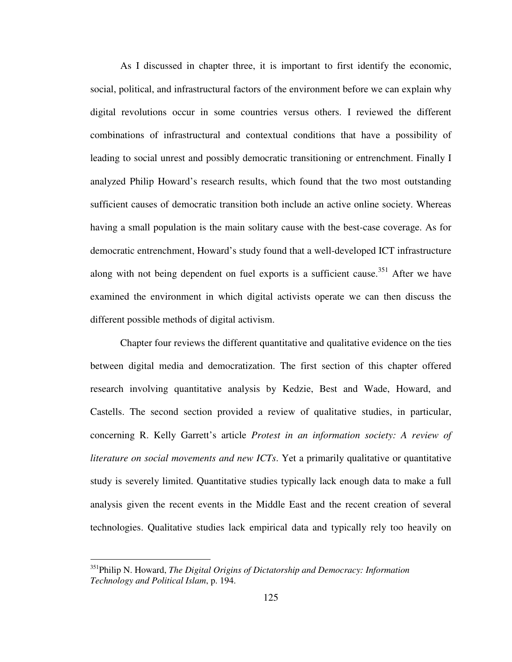As I discussed in chapter three, it is important to first identify the economic, social, political, and infrastructural factors of the environment before we can explain why digital revolutions occur in some countries versus others. I reviewed the different combinations of infrastructural and contextual conditions that have a possibility of leading to social unrest and possibly democratic transitioning or entrenchment. Finally I analyzed Philip Howard's research results, which found that the two most outstanding sufficient causes of democratic transition both include an active online society. Whereas having a small population is the main solitary cause with the best-case coverage. As for democratic entrenchment, Howard's study found that a well-developed ICT infrastructure along with not being dependent on fuel exports is a sufficient cause.<sup>351</sup> After we have examined the environment in which digital activists operate we can then discuss the different possible methods of digital activism.

Chapter four reviews the different quantitative and qualitative evidence on the ties between digital media and democratization. The first section of this chapter offered research involving quantitative analysis by Kedzie, Best and Wade, Howard, and Castells. The second section provided a review of qualitative studies, in particular, concerning R. Kelly Garrett's article *Protest in an information society: A review of literature on social movements and new ICTs*. Yet a primarily qualitative or quantitative study is severely limited. Quantitative studies typically lack enough data to make a full analysis given the recent events in the Middle East and the recent creation of several technologies. Qualitative studies lack empirical data and typically rely too heavily on

-

<sup>351</sup>Philip N. Howard, *The Digital Origins of Dictatorship and Democracy: Information Technology and Political Islam*, p. 194.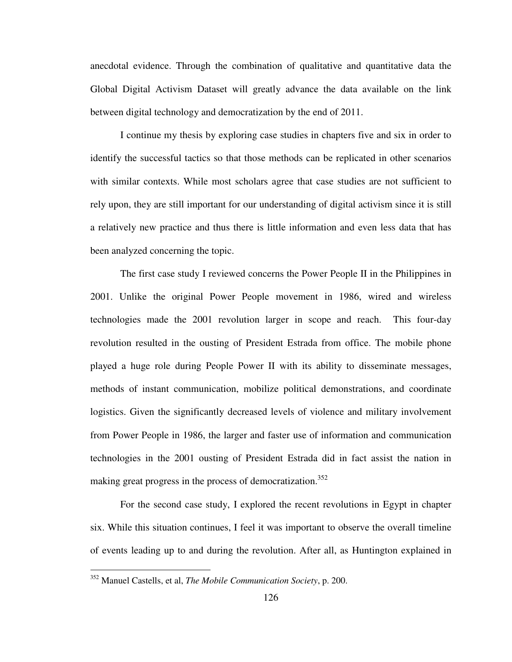anecdotal evidence. Through the combination of qualitative and quantitative data the Global Digital Activism Dataset will greatly advance the data available on the link between digital technology and democratization by the end of 2011.

I continue my thesis by exploring case studies in chapters five and six in order to identify the successful tactics so that those methods can be replicated in other scenarios with similar contexts. While most scholars agree that case studies are not sufficient to rely upon, they are still important for our understanding of digital activism since it is still a relatively new practice and thus there is little information and even less data that has been analyzed concerning the topic.

The first case study I reviewed concerns the Power People II in the Philippines in 2001. Unlike the original Power People movement in 1986, wired and wireless technologies made the 2001 revolution larger in scope and reach. This four-day revolution resulted in the ousting of President Estrada from office. The mobile phone played a huge role during People Power II with its ability to disseminate messages, methods of instant communication, mobilize political demonstrations, and coordinate logistics. Given the significantly decreased levels of violence and military involvement from Power People in 1986, the larger and faster use of information and communication technologies in the 2001 ousting of President Estrada did in fact assist the nation in making great progress in the process of democratization.<sup>352</sup>

For the second case study, I explored the recent revolutions in Egypt in chapter six. While this situation continues, I feel it was important to observe the overall timeline of events leading up to and during the revolution. After all, as Huntington explained in

<sup>352</sup> Manuel Castells, et al, *The Mobile Communication Society*, p. 200.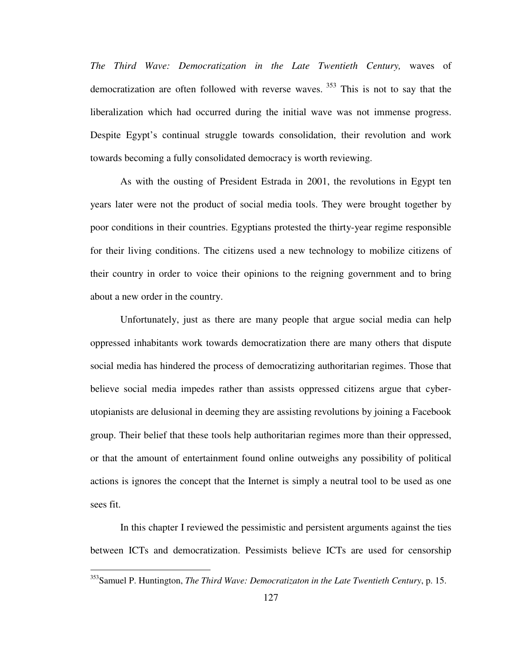*The Third Wave: Democratization in the Late Twentieth Century,* waves of democratization are often followed with reverse waves.<sup>353</sup> This is not to say that the liberalization which had occurred during the initial wave was not immense progress. Despite Egypt's continual struggle towards consolidation, their revolution and work towards becoming a fully consolidated democracy is worth reviewing.

As with the ousting of President Estrada in 2001, the revolutions in Egypt ten years later were not the product of social media tools. They were brought together by poor conditions in their countries. Egyptians protested the thirty-year regime responsible for their living conditions. The citizens used a new technology to mobilize citizens of their country in order to voice their opinions to the reigning government and to bring about a new order in the country.

Unfortunately, just as there are many people that argue social media can help oppressed inhabitants work towards democratization there are many others that dispute social media has hindered the process of democratizing authoritarian regimes. Those that believe social media impedes rather than assists oppressed citizens argue that cyberutopianists are delusional in deeming they are assisting revolutions by joining a Facebook group. Their belief that these tools help authoritarian regimes more than their oppressed, or that the amount of entertainment found online outweighs any possibility of political actions is ignores the concept that the Internet is simply a neutral tool to be used as one sees fit.

In this chapter I reviewed the pessimistic and persistent arguments against the ties between ICTs and democratization. Pessimists believe ICTs are used for censorship

<sup>353</sup>Samuel P. Huntington, *The Third Wave: Democratizaton in the Late Twentieth Century*, p. 15.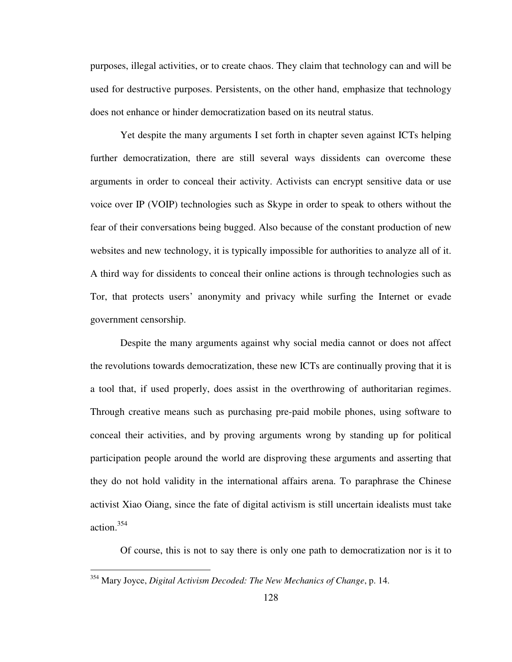purposes, illegal activities, or to create chaos. They claim that technology can and will be used for destructive purposes. Persistents, on the other hand, emphasize that technology does not enhance or hinder democratization based on its neutral status.

Yet despite the many arguments I set forth in chapter seven against ICTs helping further democratization, there are still several ways dissidents can overcome these arguments in order to conceal their activity. Activists can encrypt sensitive data or use voice over IP (VOIP) technologies such as Skype in order to speak to others without the fear of their conversations being bugged. Also because of the constant production of new websites and new technology, it is typically impossible for authorities to analyze all of it. A third way for dissidents to conceal their online actions is through technologies such as Tor, that protects users' anonymity and privacy while surfing the Internet or evade government censorship.

Despite the many arguments against why social media cannot or does not affect the revolutions towards democratization, these new ICTs are continually proving that it is a tool that, if used properly, does assist in the overthrowing of authoritarian regimes. Through creative means such as purchasing pre-paid mobile phones, using software to conceal their activities, and by proving arguments wrong by standing up for political participation people around the world are disproving these arguments and asserting that they do not hold validity in the international affairs arena. To paraphrase the Chinese activist Xiao Oiang, since the fate of digital activism is still uncertain idealists must take action.<sup>354</sup>

Of course, this is not to say there is only one path to democratization nor is it to

<sup>354</sup> Mary Joyce, *Digital Activism Decoded: The New Mechanics of Change*, p. 14.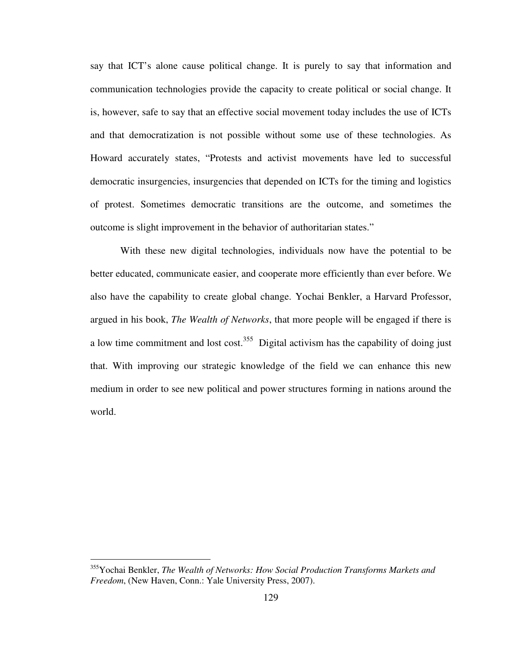say that ICT's alone cause political change. It is purely to say that information and communication technologies provide the capacity to create political or social change. It is, however, safe to say that an effective social movement today includes the use of ICTs and that democratization is not possible without some use of these technologies. As Howard accurately states, "Protests and activist movements have led to successful democratic insurgencies, insurgencies that depended on ICTs for the timing and logistics of protest. Sometimes democratic transitions are the outcome, and sometimes the outcome is slight improvement in the behavior of authoritarian states."

With these new digital technologies, individuals now have the potential to be better educated, communicate easier, and cooperate more efficiently than ever before. We also have the capability to create global change. Yochai Benkler, a Harvard Professor, argued in his book, *The Wealth of Networks*, that more people will be engaged if there is a low time commitment and lost cost.<sup>355</sup> Digital activism has the capability of doing just that. With improving our strategic knowledge of the field we can enhance this new medium in order to see new political and power structures forming in nations around the world.

<sup>355</sup>Yochai Benkler, *The Wealth of Networks: How Social Production Transforms Markets and Freedom*, (New Haven, Conn.: Yale University Press, 2007).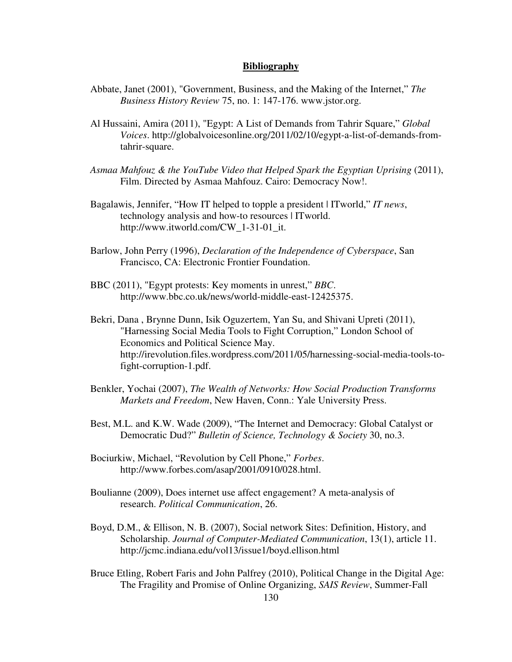## **Bibliography**

- Abbate, Janet (2001), "Government, Business, and the Making of the Internet," *The Business History Review* 75, no. 1: 147-176. www.jstor.org.
- Al Hussaini, Amira (2011), "Egypt: A List of Demands from Tahrir Square," *Global Voices*. http://globalvoicesonline.org/2011/02/10/egypt-a-list-of-demands-fromtahrir-square.
- *Asmaa Mahfouz & the YouTube Video that Helped Spark the Egyptian Uprising* (2011), Film. Directed by Asmaa Mahfouz. Cairo: Democracy Now!.
- Bagalawis, Jennifer, "How IT helped to topple a president | ITworld," *IT news*, technology analysis and how-to resources | ITworld. http://www.itworld.com/CW\_1-31-01\_it.
- Barlow, John Perry (1996), *Declaration of the Independence of Cyberspace*, San Francisco, CA: Electronic Frontier Foundation.
- BBC (2011), "Egypt protests: Key moments in unrest," *BBC*. http://www.bbc.co.uk/news/world-middle-east-12425375.
- Bekri, Dana , Brynne Dunn, Isik Oguzertem, Yan Su, and Shivani Upreti (2011), "Harnessing Social Media Tools to Fight Corruption," London School of Economics and Political Science May. http://irevolution.files.wordpress.com/2011/05/harnessing-social-media-tools-tofight-corruption-1.pdf.
- Benkler, Yochai (2007), *The Wealth of Networks: How Social Production Transforms Markets and Freedom*, New Haven, Conn.: Yale University Press.
- Best, M.L. and K.W. Wade (2009), "The Internet and Democracy: Global Catalyst or Democratic Dud?" *Bulletin of Science, Technology & Society* 30, no.3.
- Bociurkiw, Michael, "Revolution by Cell Phone," *Forbes*. http://www.forbes.com/asap/2001/0910/028.html.
- Boulianne (2009), Does internet use affect engagement? A meta-analysis of research. *Political Communication*, 26.
- Boyd, D.M., & Ellison, N. B. (2007), Social network Sites: Definition, History, and Scholarship. *Journal of Computer-Mediated Communication*, 13(1), article 11. http://jcmc.indiana.edu/vol13/issue1/boyd.ellison.html
- Bruce Etling, Robert Faris and John Palfrey (2010), Political Change in the Digital Age: The Fragility and Promise of Online Organizing, *SAIS Review*, Summer-Fall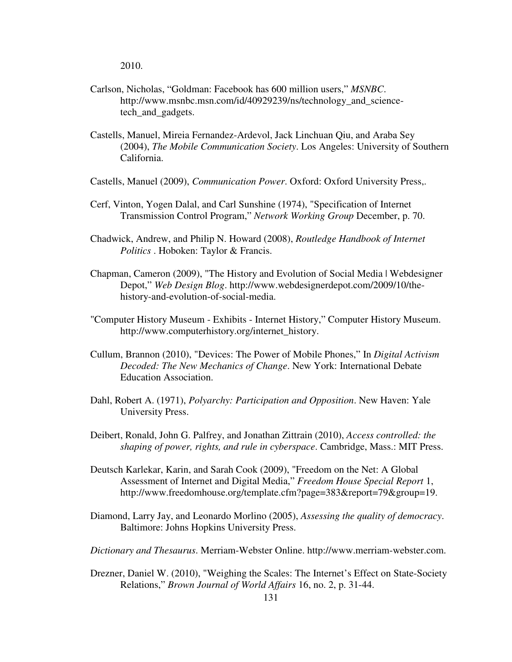2010.

- Carlson, Nicholas, "Goldman: Facebook has 600 million users," *MSNBC*. http://www.msnbc.msn.com/id/40929239/ns/technology\_and\_sciencetech\_and\_gadgets.
- Castells, Manuel, Mireia Fernandez-Ardevol, Jack Linchuan Qiu, and Araba Sey (2004), *The Mobile Communication Society*. Los Angeles: University of Southern California.
- Castells, Manuel (2009), *Communication Power*. Oxford: Oxford University Press,.
- Cerf, Vinton, Yogen Dalal, and Carl Sunshine (1974), "Specification of Internet Transmission Control Program," *Network Working Group* December, p. 70.
- Chadwick, Andrew, and Philip N. Howard (2008), *Routledge Handbook of Internet Politics* . Hoboken: Taylor & Francis.
- Chapman, Cameron (2009), "The History and Evolution of Social Media | Webdesigner Depot," *Web Design Blog*. http://www.webdesignerdepot.com/2009/10/thehistory-and-evolution-of-social-media.
- "Computer History Museum Exhibits Internet History," Computer History Museum. http://www.computerhistory.org/internet\_history.
- Cullum, Brannon (2010), "Devices: The Power of Mobile Phones," In *Digital Activism Decoded: The New Mechanics of Change*. New York: International Debate Education Association.
- Dahl, Robert A. (1971), *Polyarchy: Participation and Opposition*. New Haven: Yale University Press.
- Deibert, Ronald, John G. Palfrey, and Jonathan Zittrain (2010), *Access controlled: the shaping of power, rights, and rule in cyberspace*. Cambridge, Mass.: MIT Press.
- Deutsch Karlekar, Karin, and Sarah Cook (2009), "Freedom on the Net: A Global Assessment of Internet and Digital Media," *Freedom House Special Report* 1, http://www.freedomhouse.org/template.cfm?page=383&report=79&group=19.
- Diamond, Larry Jay, and Leonardo Morlino (2005), *Assessing the quality of democracy*. Baltimore: Johns Hopkins University Press.
- *Dictionary and Thesaurus*. Merriam-Webster Online. http://www.merriam-webster.com.
- Drezner, Daniel W. (2010), "Weighing the Scales: The Internet's Effect on State-Society Relations," *Brown Journal of World Affairs* 16, no. 2, p. 31-44.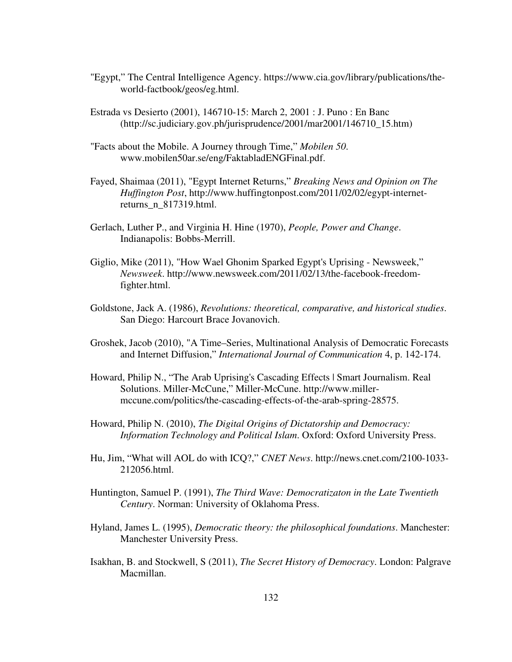- "Egypt," The Central Intelligence Agency. https://www.cia.gov/library/publications/theworld-factbook/geos/eg.html.
- Estrada vs Desierto (2001), 146710-15: March 2, 2001 : J. Puno : En Banc (http://sc.judiciary.gov.ph/jurisprudence/2001/mar2001/146710\_15.htm)
- "Facts about the Mobile. A Journey through Time," *Mobilen 50*. www.mobilen50ar.se/eng/FaktabladENGFinal.pdf.
- Fayed, Shaimaa (2011), "Egypt Internet Returns," *Breaking News and Opinion on The Huffington Post*, http://www.huffingtonpost.com/2011/02/02/egypt-internetreturns\_n\_817319.html.
- Gerlach, Luther P., and Virginia H. Hine (1970), *People, Power and Change*. Indianapolis: Bobbs-Merrill.
- Giglio, Mike (2011), "How Wael Ghonim Sparked Egypt's Uprising Newsweek," *Newsweek*. http://www.newsweek.com/2011/02/13/the-facebook-freedomfighter.html.
- Goldstone, Jack A. (1986), *Revolutions: theoretical, comparative, and historical studies*. San Diego: Harcourt Brace Jovanovich.
- Groshek, Jacob (2010), "A Time–Series, Multinational Analysis of Democratic Forecasts and Internet Diffusion," *International Journal of Communication* 4, p. 142-174.
- Howard, Philip N., "The Arab Uprising's Cascading Effects | Smart Journalism. Real Solutions. Miller-McCune," Miller-McCune. http://www.millermccune.com/politics/the-cascading-effects-of-the-arab-spring-28575.
- Howard, Philip N. (2010), *The Digital Origins of Dictatorship and Democracy: Information Technology and Political Islam*. Oxford: Oxford University Press.
- Hu, Jim, "What will AOL do with ICQ?," *CNET News*. http://news.cnet.com/2100-1033- 212056.html.
- Huntington, Samuel P. (1991), *The Third Wave: Democratizaton in the Late Twentieth Century*. Norman: University of Oklahoma Press.
- Hyland, James L. (1995), *Democratic theory: the philosophical foundations*. Manchester: Manchester University Press.
- Isakhan, B. and Stockwell, S (2011), *The Secret History of Democracy*. London: Palgrave Macmillan.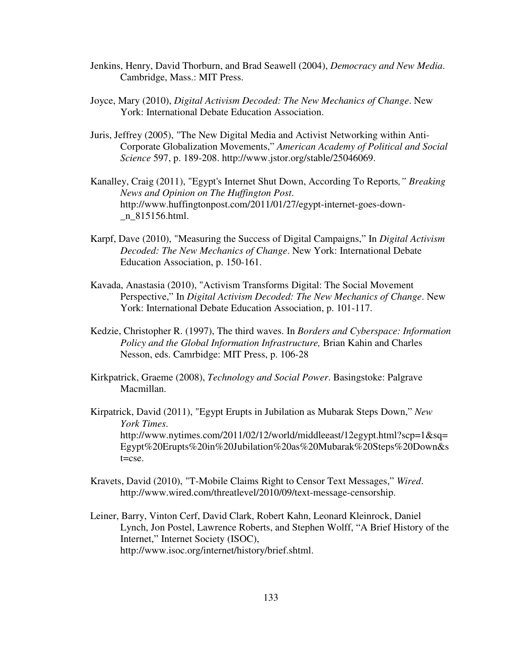- Jenkins, Henry, David Thorburn, and Brad Seawell (2004), *Democracy and New Media*. Cambridge, Mass.: MIT Press.
- Joyce, Mary (2010), *Digital Activism Decoded: The New Mechanics of Change*. New York: International Debate Education Association.
- Juris, Jeffrey (2005), "The New Digital Media and Activist Networking within Anti-Corporate Globalization Movements," *American Academy of Political and Social Science* 597, p. 189-208. http://www.jstor.org/stable/25046069.
- Kanalley, Craig (2011), "Egypt's Internet Shut Down, According To Reports*," Breaking News and Opinion on The Huffington Post*. http://www.huffingtonpost.com/2011/01/27/egypt-internet-goes-down- \_n\_815156.html.
- Karpf, Dave (2010), "Measuring the Success of Digital Campaigns," In *Digital Activism Decoded: The New Mechanics of Change*. New York: International Debate Education Association, p. 150-161.
- Kavada, Anastasia (2010), "Activism Transforms Digital: The Social Movement Perspective," In *Digital Activism Decoded: The New Mechanics of Change*. New York: International Debate Education Association, p. 101-117.
- Kedzie, Christopher R. (1997), The third waves. In *Borders and Cyberspace: Information Policy and the Global Information Infrastructure,* Brian Kahin and Charles Nesson, eds. Camrbidge: MIT Press, p. 106-28
- Kirkpatrick, Graeme (2008), *Technology and Social Power*. Basingstoke: Palgrave Macmillan.
- Kirpatrick, David (2011), "Egypt Erupts in Jubilation as Mubarak Steps Down," *New York Times*. http://www.nytimes.com/2011/02/12/world/middleeast/12egypt.html?scp=1&sq= Egypt%20Erupts%20in%20Jubilation%20as%20Mubarak%20Steps%20Down&s t=cse.
- Kravets, David (2010), "T-Mobile Claims Right to Censor Text Messages," *Wired*. http://www.wired.com/threatlevel/2010/09/text-message-censorship.
- Leiner, Barry, Vinton Cerf, David Clark, Robert Kahn, Leonard Kleinrock, Daniel Lynch, Jon Postel, Lawrence Roberts, and Stephen Wolff, "A Brief History of the Internet," Internet Society (ISOC), http://www.isoc.org/internet/history/brief.shtml.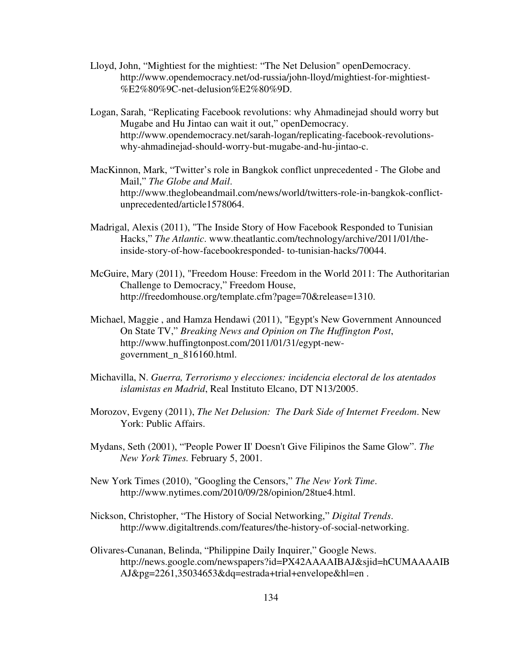- Lloyd, John, "Mightiest for the mightiest: "The Net Delusion" openDemocracy. http://www.opendemocracy.net/od-russia/john-lloyd/mightiest-for-mightiest- %E2%80%9C-net-delusion%E2%80%9D.
- Logan, Sarah, "Replicating Facebook revolutions: why Ahmadinejad should worry but Mugabe and Hu Jintao can wait it out," openDemocracy. http://www.opendemocracy.net/sarah-logan/replicating-facebook-revolutionswhy-ahmadinejad-should-worry-but-mugabe-and-hu-jintao-c.
- MacKinnon, Mark, "Twitter's role in Bangkok conflict unprecedented The Globe and Mail," *The Globe and Mail*. http://www.theglobeandmail.com/news/world/twitters-role-in-bangkok-conflictunprecedented/article1578064.
- Madrigal, Alexis (2011), "The Inside Story of How Facebook Responded to Tunisian Hacks," *The Atlantic*. www.theatlantic.com/technology/archive/2011/01/theinside-story-of-how-facebookresponded- to-tunisian-hacks/70044.
- McGuire, Mary (2011), "Freedom House: Freedom in the World 2011: The Authoritarian Challenge to Democracy," Freedom House, http://freedomhouse.org/template.cfm?page=70&release=1310.
- Michael, Maggie , and Hamza Hendawi (2011), "Egypt's New Government Announced On State TV," *Breaking News and Opinion on The Huffington Post*, http://www.huffingtonpost.com/2011/01/31/egypt-newgovernment\_n\_816160.html.
- Michavilla, N. *Guerra, Terrorismo y elecciones: incidencia electoral de los atentados islamistas en Madrid*, Real Instituto Elcano, DT N13/2005.
- Morozov, Evgeny (2011), *The Net Delusion: The Dark Side of Internet Freedom*. New York: Public Affairs.
- Mydans, Seth (2001), "'People Power II' Doesn't Give Filipinos the Same Glow". *The New York Times.* February 5, 2001.
- New York Times (2010), "Googling the Censors," *The New York Time*. http://www.nytimes.com/2010/09/28/opinion/28tue4.html.
- Nickson, Christopher, "The History of Social Networking," *Digital Trends*. http://www.digitaltrends.com/features/the-history-of-social-networking.
- Olivares-Cunanan, Belinda, "Philippine Daily Inquirer," Google News. http://news.google.com/newspapers?id=PX42AAAAIBAJ&sjid=hCUMAAAAIB AJ&pg=2261,35034653&dq=estrada+trial+envelope&hl=en .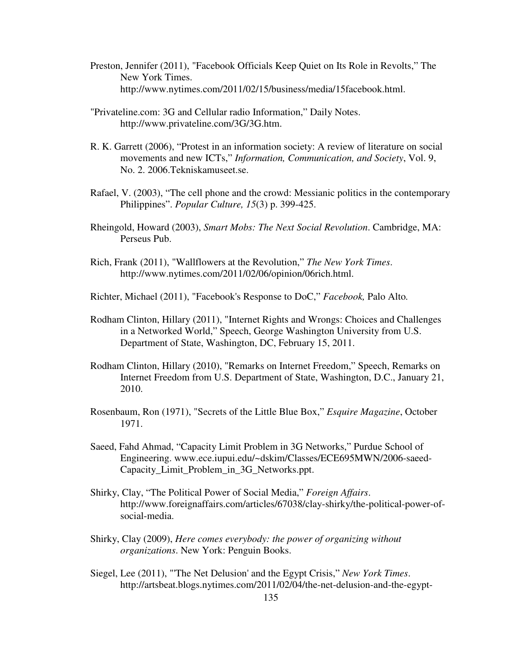- Preston, Jennifer (2011), "Facebook Officials Keep Quiet on Its Role in Revolts," The New York Times. http://www.nytimes.com/2011/02/15/business/media/15facebook.html.
- "Privateline.com: 3G and Cellular radio Information," Daily Notes. http://www.privateline.com/3G/3G.htm.
- R. K. Garrett (2006), "Protest in an information society: A review of literature on social movements and new ICTs," *Information, Communication, and Society*, Vol. 9, No. 2. 2006.Tekniskamuseet.se.
- Rafael, V. (2003), "The cell phone and the crowd: Messianic politics in the contemporary Philippines". *Popular Culture, 15*(3) p. 399-425.
- Rheingold, Howard (2003), *Smart Mobs: The Next Social Revolution*. Cambridge, MA: Perseus Pub.
- Rich, Frank (2011), "Wallflowers at the Revolution," *The New York Times*. http://www.nytimes.com/2011/02/06/opinion/06rich.html.
- Richter, Michael (2011), "Facebook's Response to DoC," *Facebook,* Palo Alto*.*
- Rodham Clinton, Hillary (2011), "Internet Rights and Wrongs: Choices and Challenges in a Networked World," Speech, George Washington University from U.S. Department of State, Washington, DC, February 15, 2011.
- Rodham Clinton, Hillary (2010), "Remarks on Internet Freedom," Speech, Remarks on Internet Freedom from U.S. Department of State, Washington, D.C., January 21, 2010.
- Rosenbaum, Ron (1971), "Secrets of the Little Blue Box," *Esquire Magazine*, October 1971.
- Saeed, Fahd Ahmad, "Capacity Limit Problem in 3G Networks," Purdue School of Engineering. www.ece.iupui.edu/~dskim/Classes/ECE695MWN/2006-saeed-Capacity Limit Problem in 3G Networks.ppt.
- Shirky, Clay, "The Political Power of Social Media," *Foreign Affairs*. http://www.foreignaffairs.com/articles/67038/clay-shirky/the-political-power-ofsocial-media.
- Shirky, Clay (2009), *Here comes everybody: the power of organizing without organizations*. New York: Penguin Books.
- Siegel, Lee (2011), "'The Net Delusion' and the Egypt Crisis," *New York Times*. http://artsbeat.blogs.nytimes.com/2011/02/04/the-net-delusion-and-the-egypt-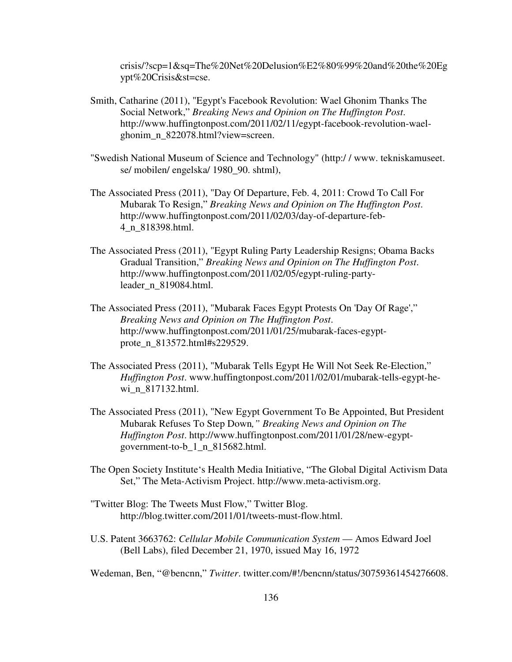crisis/?scp=1&sq=The%20Net%20Delusion%E2%80%99%20and%20the%20Eg ypt%20Crisis&st=cse.

- Smith, Catharine (2011), "Egypt's Facebook Revolution: Wael Ghonim Thanks The Social Network," *Breaking News and Opinion on The Huffington Post*. http://www.huffingtonpost.com/2011/02/11/egypt-facebook-revolution-waelghonim\_n\_822078.html?view=screen.
- "Swedish National Museum of Science and Technology" (http:/ / www. tekniskamuseet. se/ mobilen/ engelska/ 1980\_90. shtml),
- The Associated Press (2011), "Day Of Departure, Feb. 4, 2011: Crowd To Call For Mubarak To Resign," *Breaking News and Opinion on The Huffington Post*. http://www.huffingtonpost.com/2011/02/03/day-of-departure-feb-4\_n\_818398.html.
- The Associated Press (2011), "Egypt Ruling Party Leadership Resigns; Obama Backs Gradual Transition," *Breaking News and Opinion on The Huffington Post*. http://www.huffingtonpost.com/2011/02/05/egypt-ruling-partyleader\_n\_819084.html.
- The Associated Press (2011), "Mubarak Faces Egypt Protests On 'Day Of Rage'," *Breaking News and Opinion on The Huffington Post*. http://www.huffingtonpost.com/2011/01/25/mubarak-faces-egyptprote\_n\_813572.html#s229529.
- The Associated Press (2011), "Mubarak Tells Egypt He Will Not Seek Re-Election," *Huffington Post*. www.huffingtonpost.com/2011/02/01/mubarak-tells-egypt-hewi\_n\_817132.html.
- The Associated Press (2011), "New Egypt Government To Be Appointed, But President Mubarak Refuses To Step Down*," Breaking News and Opinion on The Huffington Post*. http://www.huffingtonpost.com/2011/01/28/new-egyptgovernment-to-b\_1\_n\_815682.html.
- The Open Society Institute's Health Media Initiative, "The Global Digital Activism Data Set," The Meta-Activism Project. http://www.meta-activism.org.
- "Twitter Blog: The Tweets Must Flow," Twitter Blog. http://blog.twitter.com/2011/01/tweets-must-flow.html.
- U.S. Patent 3663762: *Cellular Mobile Communication System*  Amos Edward Joel (Bell Labs), filed December 21, 1970, issued May 16, 1972

Wedeman, Ben, "@bencnn," *Twitter*. twitter.com/#!/bencnn/status/30759361454276608.